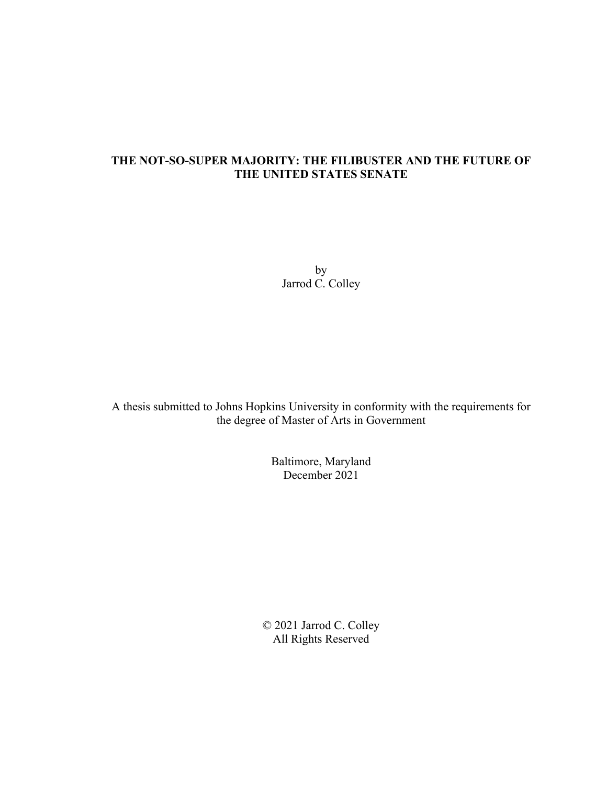# **THE NOT-SO-SUPER MAJORITY: THE FILIBUSTER AND THE FUTURE OF THE UNITED STATES SENATE**

by Jarrod C. Colley

A thesis submitted to Johns Hopkins University in conformity with the requirements for the degree of Master of Arts in Government

> Baltimore, Maryland December 2021

© 2021 Jarrod C. Colley All Rights Reserved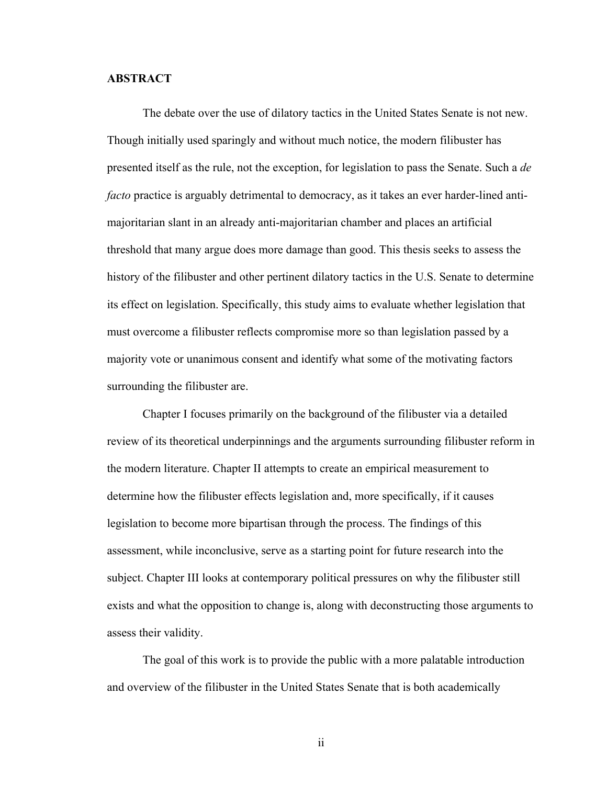### **ABSTRACT**

The debate over the use of dilatory tactics in the United States Senate is not new. Though initially used sparingly and without much notice, the modern filibuster has presented itself as the rule, not the exception, for legislation to pass the Senate. Such a *de facto* practice is arguably detrimental to democracy, as it takes an ever harder-lined antimajoritarian slant in an already anti-majoritarian chamber and places an artificial threshold that many argue does more damage than good. This thesis seeks to assess the history of the filibuster and other pertinent dilatory tactics in the U.S. Senate to determine its effect on legislation. Specifically, this study aims to evaluate whether legislation that must overcome a filibuster reflects compromise more so than legislation passed by a majority vote or unanimous consent and identify what some of the motivating factors surrounding the filibuster are.

Chapter I focuses primarily on the background of the filibuster via a detailed review of its theoretical underpinnings and the arguments surrounding filibuster reform in the modern literature. Chapter II attempts to create an empirical measurement to determine how the filibuster effects legislation and, more specifically, if it causes legislation to become more bipartisan through the process. The findings of this assessment, while inconclusive, serve as a starting point for future research into the subject. Chapter III looks at contemporary political pressures on why the filibuster still exists and what the opposition to change is, along with deconstructing those arguments to assess their validity.

The goal of this work is to provide the public with a more palatable introduction and overview of the filibuster in the United States Senate that is both academically

ii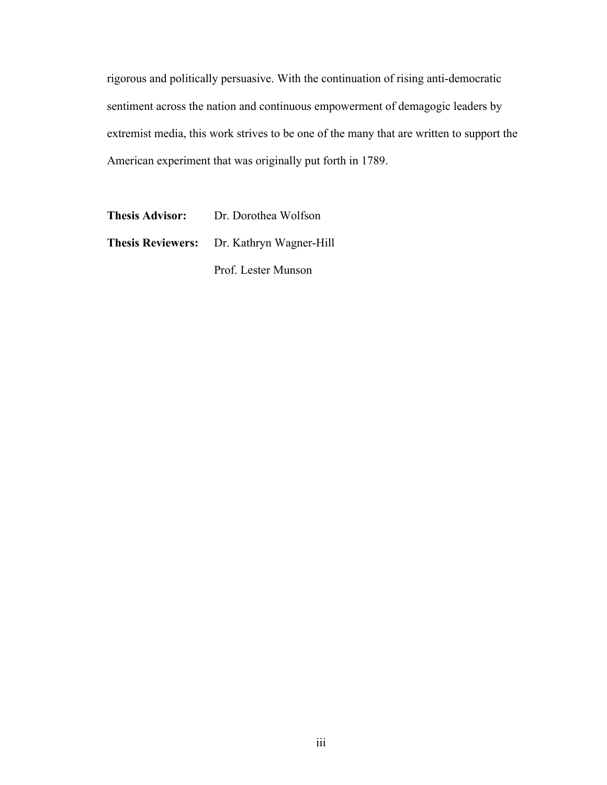rigorous and politically persuasive. With the continuation of rising anti-democratic sentiment across the nation and continuous empowerment of demagogic leaders by extremist media, this work strives to be one of the many that are written to support the American experiment that was originally put forth in 1789.

**Thesis Advisor:** Dr. Dorothea Wolfson **Thesis Reviewers:** Dr. Kathryn Wagner-Hill

Prof. Lester Munson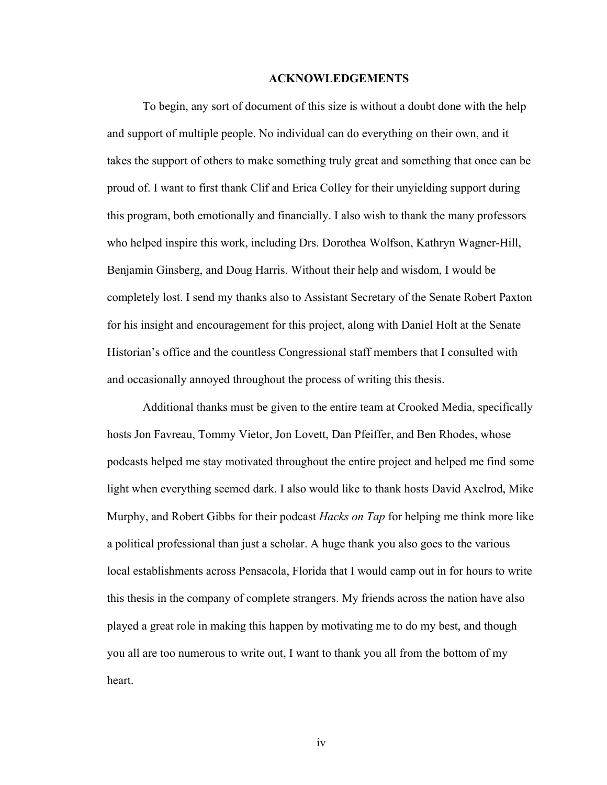#### **ACKNOWLEDGEMENTS**

To begin, any sort of document of this size is without a doubt done with the help and support of multiple people. No individual can do everything on their own, and it takes the support of others to make something truly great and something that once can be proud of. I want to first thank Clif and Erica Colley for their unyielding support during this program, both emotionally and financially. I also wish to thank the many professors who helped inspire this work, including Drs. Dorothea Wolfson, Kathryn Wagner-Hill, Benjamin Ginsberg, and Doug Harris. Without their help and wisdom, I would be completely lost. I send my thanks also to Assistant Secretary of the Senate Robert Paxton for his insight and encouragement for this project, along with Daniel Holt at the Senate Historian's office and the countless Congressional staff members that I consulted with and occasionally annoyed throughout the process of writing this thesis.

Additional thanks must be given to the entire team at Crooked Media, specifically hosts Jon Favreau, Tommy Vietor, Jon Lovett, Dan Pfeiffer, and Ben Rhodes, whose podcasts helped me stay motivated throughout the entire project and helped me find some light when everything seemed dark. I also would like to thank hosts David Axelrod, Mike Murphy, and Robert Gibbs for their podcast *Hacks on Tap* for helping me think more like a political professional than just a scholar. A huge thank you also goes to the various local establishments across Pensacola, Florida that I would camp out in for hours to write this thesis in the company of complete strangers. My friends across the nation have also played a great role in making this happen by motivating me to do my best, and though you all are too numerous to write out, I want to thank you all from the bottom of my heart.

iv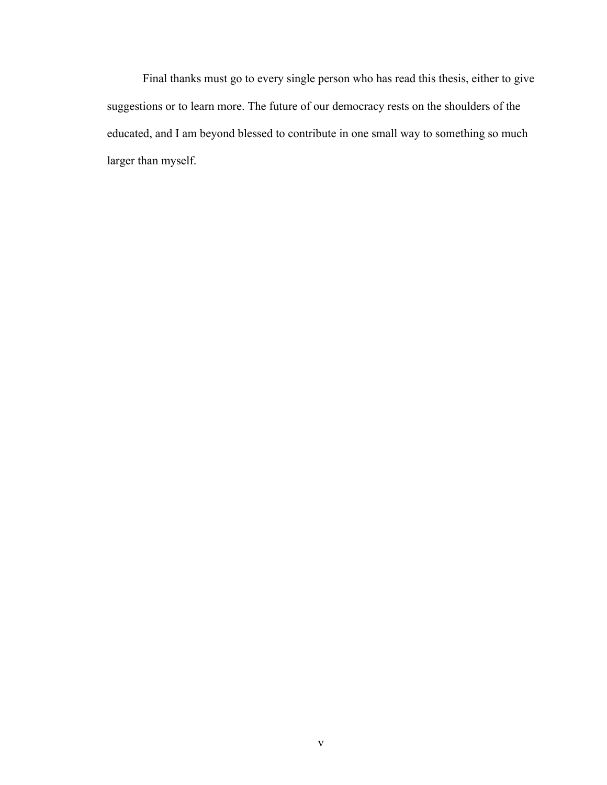Final thanks must go to every single person who has read this thesis, either to give suggestions or to learn more. The future of our democracy rests on the shoulders of the educated, and I am beyond blessed to contribute in one small way to something so much larger than myself.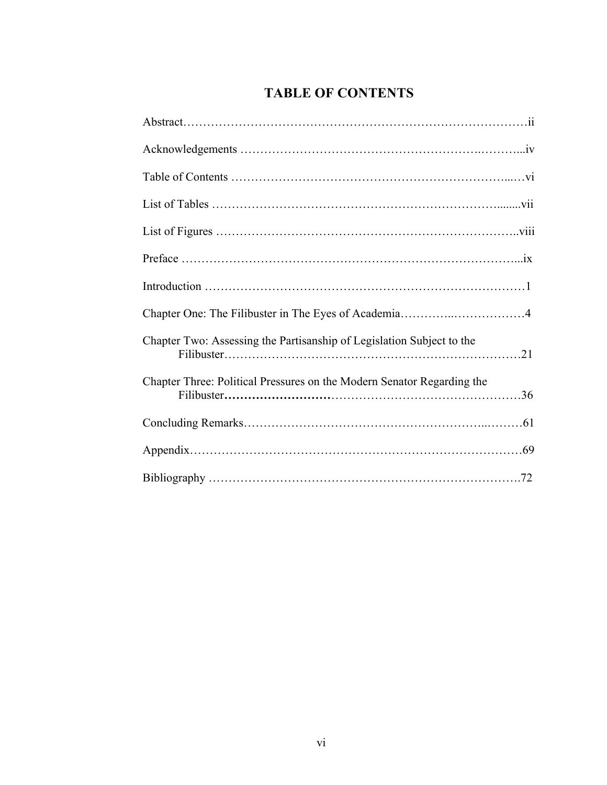# **TABLE OF CONTENTS**

| Chapter Two: Assessing the Partisanship of Legislation Subject to the  |  |
|------------------------------------------------------------------------|--|
| Chapter Three: Political Pressures on the Modern Senator Regarding the |  |
|                                                                        |  |
|                                                                        |  |
|                                                                        |  |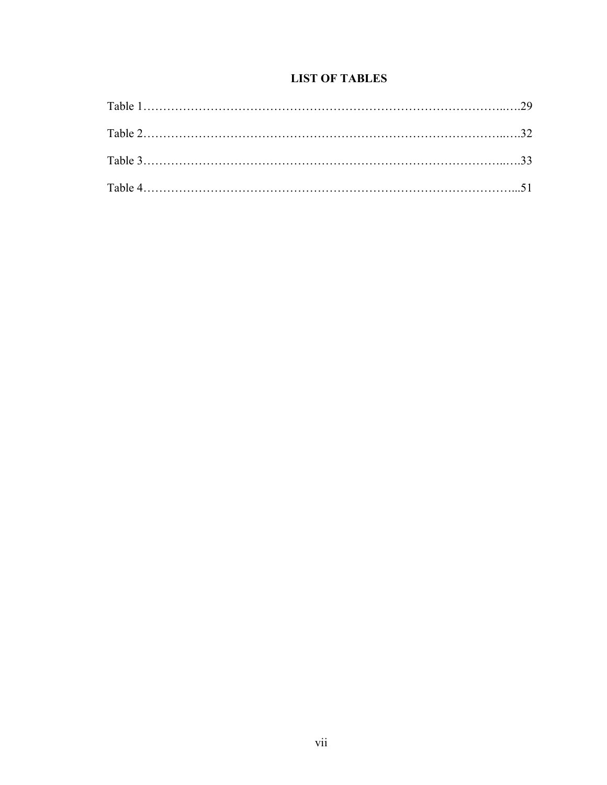# **LIST OF TABLES**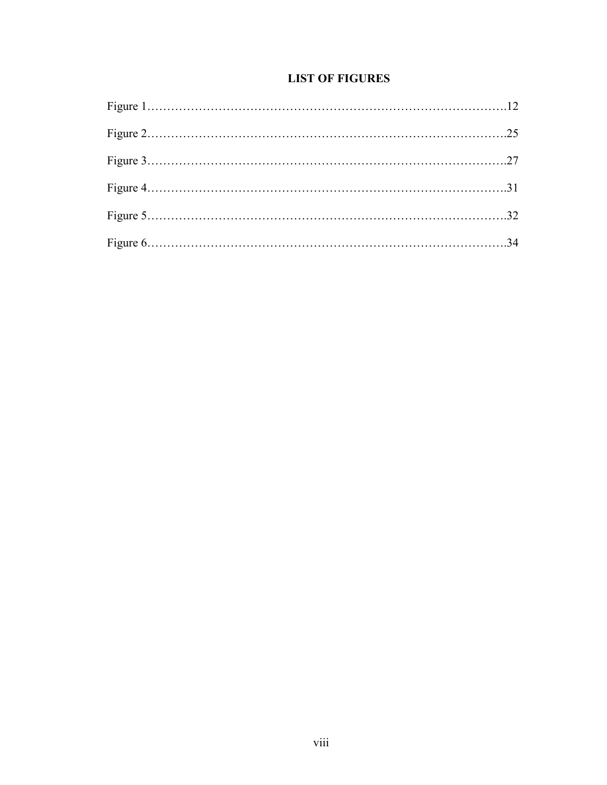# **LIST OF FIGURES**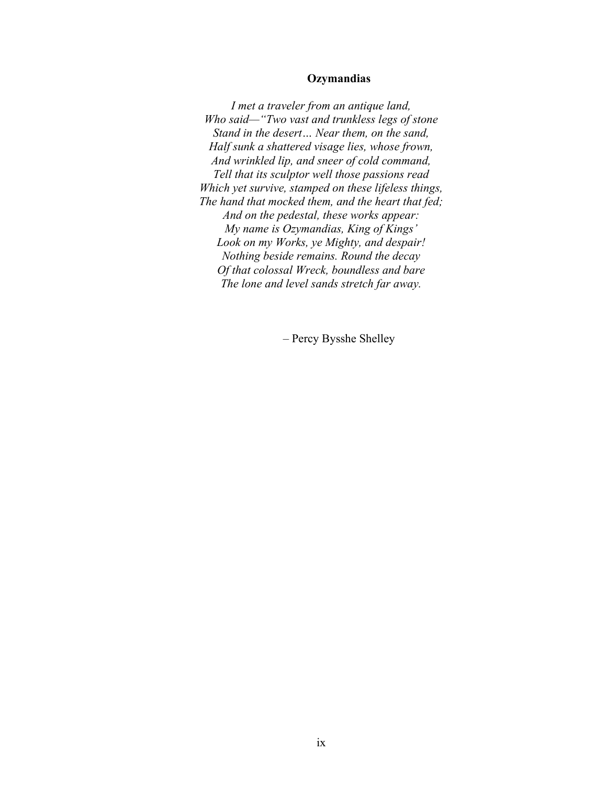# **Ozymandias**

*I met a traveler from an antique land, Who said—"Two vast and trunkless legs of stone Stand in the desert… Near them, on the sand, Half sunk a shattered visage lies, whose frown, And wrinkled lip, and sneer of cold command, Tell that its sculptor well those passions read Which yet survive, stamped on these lifeless things, The hand that mocked them, and the heart that fed; And on the pedestal, these works appear: My name is Ozymandias, King of Kings' Look on my Works, ye Mighty, and despair! Nothing beside remains. Round the decay Of that colossal Wreck, boundless and bare The lone and level sands stretch far away.*

– Percy Bysshe Shelley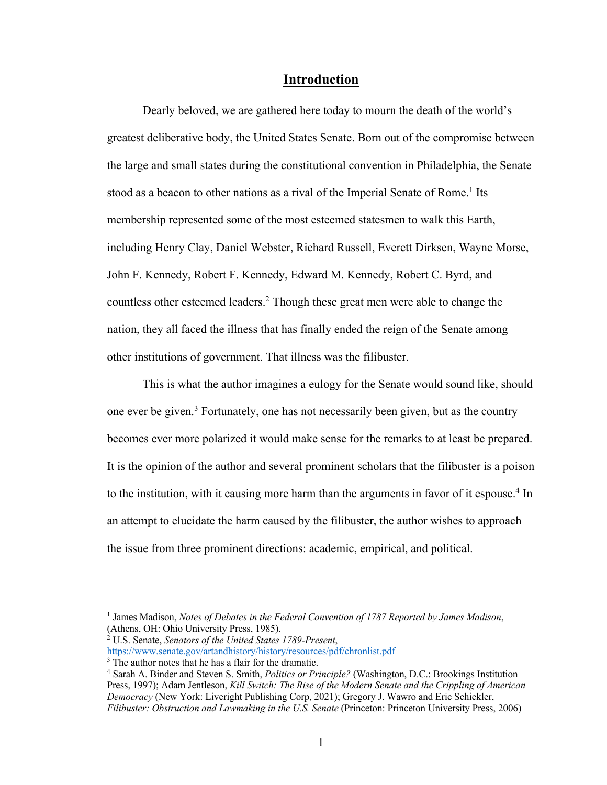# **Introduction**

Dearly beloved, we are gathered here today to mourn the death of the world's greatest deliberative body, the United States Senate. Born out of the compromise between the large and small states during the constitutional convention in Philadelphia, the Senate stood as a beacon to other nations as a rival of the Imperial Senate of Rome.<sup>1</sup> Its membership represented some of the most esteemed statesmen to walk this Earth, including Henry Clay, Daniel Webster, Richard Russell, Everett Dirksen, Wayne Morse, John F. Kennedy, Robert F. Kennedy, Edward M. Kennedy, Robert C. Byrd, and countless other esteemed leaders. <sup>2</sup> Though these great men were able to change the nation, they all faced the illness that has finally ended the reign of the Senate among other institutions of government. That illness was the filibuster.

This is what the author imagines a eulogy for the Senate would sound like, should one ever be given.<sup>3</sup> Fortunately, one has not necessarily been given, but as the country becomes ever more polarized it would make sense for the remarks to at least be prepared. It is the opinion of the author and several prominent scholars that the filibuster is a poison to the institution, with it causing more harm than the arguments in favor of it espouse.<sup>4</sup> In an attempt to elucidate the harm caused by the filibuster, the author wishes to approach the issue from three prominent directions: academic, empirical, and political.

<sup>1</sup> James Madison, *Notes of Debates in the Federal Convention of 1787 Reported by James Madison*, (Athens, OH: Ohio University Press, 1985).

<sup>2</sup> U.S. Senate, *Senators of the United States 1789-Present*, https://www.senate.gov/artandhistory/history/resources/pdf/chronlist.pdf

<sup>&</sup>lt;sup>3</sup> The author notes that he has a flair for the dramatic.

<sup>4</sup> Sarah A. Binder and Steven S. Smith, *Politics or Principle?* (Washington, D.C.: Brookings Institution Press, 1997); Adam Jentleson, *Kill Switch: The Rise of the Modern Senate and the Crippling of American Democracy* (New York: Liveright Publishing Corp, 2021); Gregory J. Wawro and Eric Schickler, *Filibuster: Obstruction and Lawmaking in the U.S. Senate* (Princeton: Princeton University Press, 2006)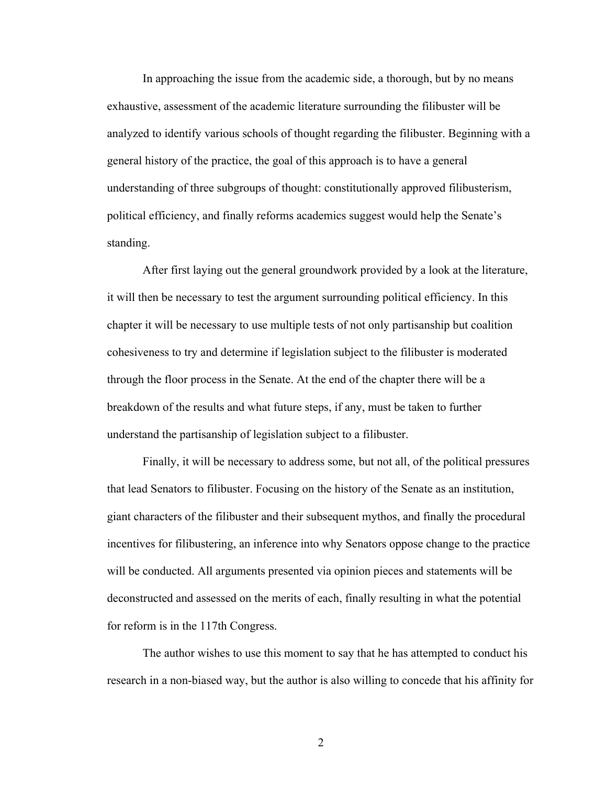In approaching the issue from the academic side, a thorough, but by no means exhaustive, assessment of the academic literature surrounding the filibuster will be analyzed to identify various schools of thought regarding the filibuster. Beginning with a general history of the practice, the goal of this approach is to have a general understanding of three subgroups of thought: constitutionally approved filibusterism, political efficiency, and finally reforms academics suggest would help the Senate's standing.

After first laying out the general groundwork provided by a look at the literature, it will then be necessary to test the argument surrounding political efficiency. In this chapter it will be necessary to use multiple tests of not only partisanship but coalition cohesiveness to try and determine if legislation subject to the filibuster is moderated through the floor process in the Senate. At the end of the chapter there will be a breakdown of the results and what future steps, if any, must be taken to further understand the partisanship of legislation subject to a filibuster.

Finally, it will be necessary to address some, but not all, of the political pressures that lead Senators to filibuster. Focusing on the history of the Senate as an institution, giant characters of the filibuster and their subsequent mythos, and finally the procedural incentives for filibustering, an inference into why Senators oppose change to the practice will be conducted. All arguments presented via opinion pieces and statements will be deconstructed and assessed on the merits of each, finally resulting in what the potential for reform is in the 117th Congress.

The author wishes to use this moment to say that he has attempted to conduct his research in a non-biased way, but the author is also willing to concede that his affinity for

2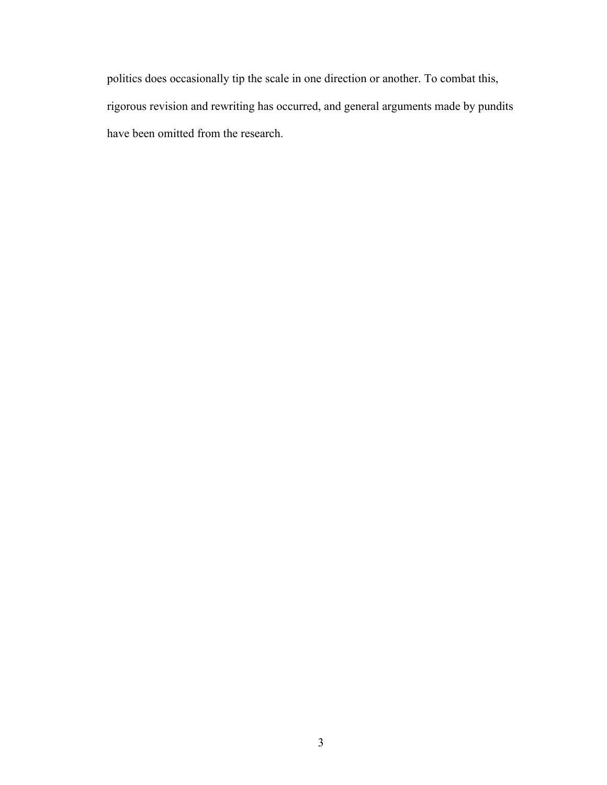politics does occasionally tip the scale in one direction or another. To combat this, rigorous revision and rewriting has occurred, and general arguments made by pundits have been omitted from the research.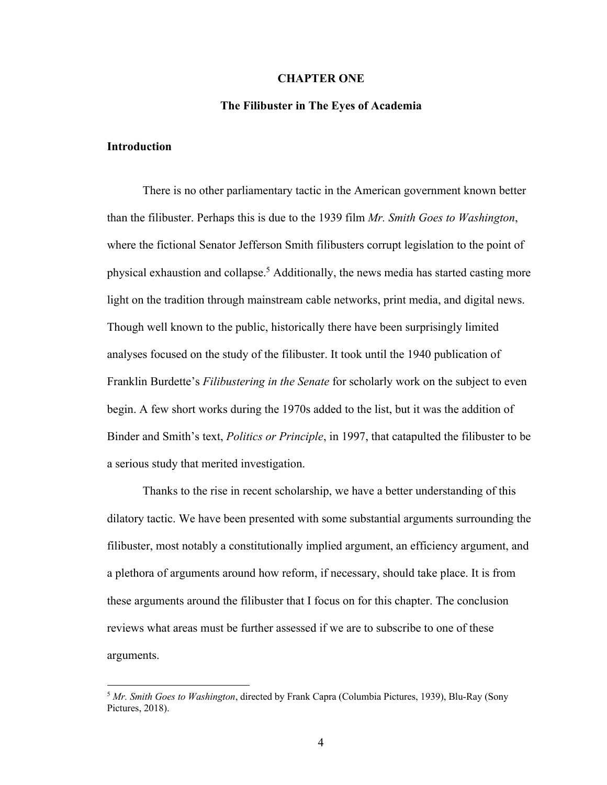#### **CHAPTER ONE**

#### **The Filibuster in The Eyes of Academia**

# **Introduction**

There is no other parliamentary tactic in the American government known better than the filibuster. Perhaps this is due to the 1939 film *Mr. Smith Goes to Washington*, where the fictional Senator Jefferson Smith filibusters corrupt legislation to the point of physical exhaustion and collapse.<sup>5</sup> Additionally, the news media has started casting more light on the tradition through mainstream cable networks, print media, and digital news. Though well known to the public, historically there have been surprisingly limited analyses focused on the study of the filibuster. It took until the 1940 publication of Franklin Burdette's *Filibustering in the Senate* for scholarly work on the subject to even begin. A few short works during the 1970s added to the list, but it was the addition of Binder and Smith's text, *Politics or Principle*, in 1997, that catapulted the filibuster to be a serious study that merited investigation.

Thanks to the rise in recent scholarship, we have a better understanding of this dilatory tactic. We have been presented with some substantial arguments surrounding the filibuster, most notably a constitutionally implied argument, an efficiency argument, and a plethora of arguments around how reform, if necessary, should take place. It is from these arguments around the filibuster that I focus on for this chapter. The conclusion reviews what areas must be further assessed if we are to subscribe to one of these arguments.

<sup>5</sup> *Mr. Smith Goes to Washington*, directed by Frank Capra (Columbia Pictures, 1939), Blu-Ray (Sony Pictures, 2018).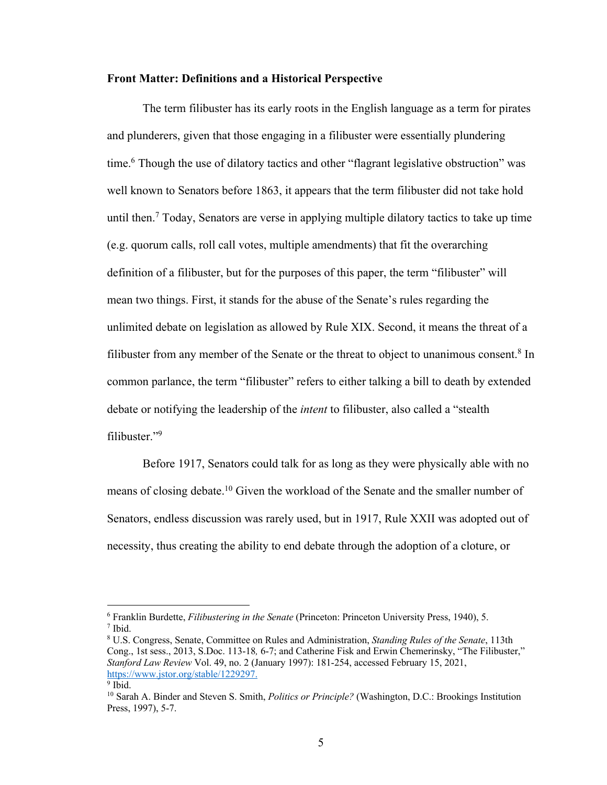#### **Front Matter: Definitions and a Historical Perspective**

The term filibuster has its early roots in the English language as a term for pirates and plunderers, given that those engaging in a filibuster were essentially plundering time.<sup>6</sup> Though the use of dilatory tactics and other "flagrant legislative obstruction" was well known to Senators before 1863, it appears that the term filibuster did not take hold until then.<sup>7</sup> Today, Senators are verse in applying multiple dilatory tactics to take up time (e.g. quorum calls, roll call votes, multiple amendments) that fit the overarching definition of a filibuster, but for the purposes of this paper, the term "filibuster" will mean two things. First, it stands for the abuse of the Senate's rules regarding the unlimited debate on legislation as allowed by Rule XIX. Second, it means the threat of a filibuster from any member of the Senate or the threat to object to unanimous consent.<sup>8</sup> In common parlance, the term "filibuster" refers to either talking a bill to death by extended debate or notifying the leadership of the *intent* to filibuster, also called a "stealth filibuster."<sup>9</sup>

Before 1917, Senators could talk for as long as they were physically able with no means of closing debate.<sup>10</sup> Given the workload of the Senate and the smaller number of Senators, endless discussion was rarely used, but in 1917, Rule XXII was adopted out of necessity, thus creating the ability to end debate through the adoption of a cloture, or

<sup>6</sup> Franklin Burdette, *Filibustering in the Senate* (Princeton: Princeton University Press, 1940), 5. <sup>7</sup> Ibid.

<sup>8</sup> U.S. Congress, Senate, Committee on Rules and Administration, *Standing Rules of the Senate*, 113th Cong., 1st sess., 2013, S.Doc. 113-18*,* 6-7; and Catherine Fisk and Erwin Chemerinsky, "The Filibuster," *Stanford Law Review* Vol. 49, no. 2 (January 1997): 181-254, accessed February 15, 2021, https://www.jstor.org/stable/1229297.

 $9$  Ibid.

<sup>10</sup> Sarah A. Binder and Steven S. Smith, *Politics or Principle?* (Washington, D.C.: Brookings Institution Press, 1997), 5-7.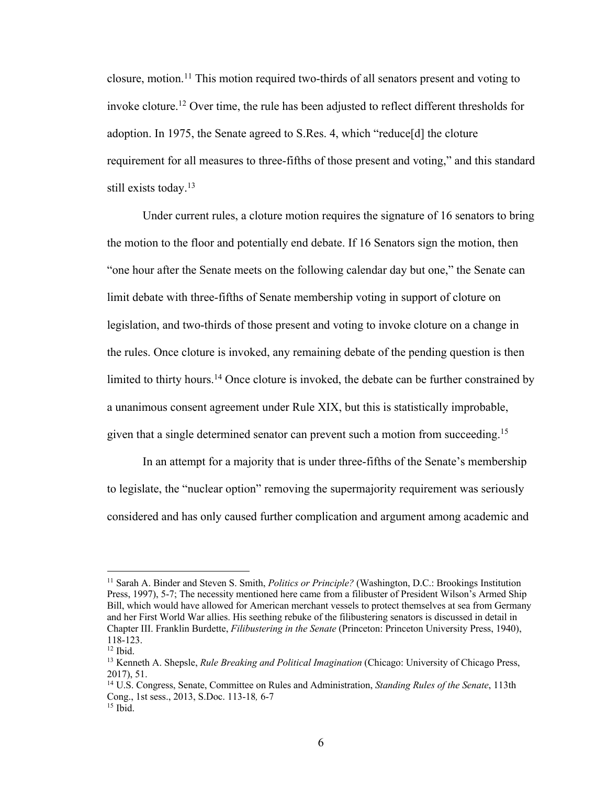closure, motion.<sup>11</sup> This motion required two-thirds of all senators present and voting to invoke cloture.<sup>12</sup> Over time, the rule has been adjusted to reflect different thresholds for adoption. In 1975, the Senate agreed to S.Res. 4, which "reduce [d] the cloture requirement for all measures to three-fifths of those present and voting," and this standard still exists today.<sup>13</sup>

Under current rules, a cloture motion requires the signature of 16 senators to bring the motion to the floor and potentially end debate. If 16 Senators sign the motion, then "one hour after the Senate meets on the following calendar day but one," the Senate can limit debate with three-fifths of Senate membership voting in support of cloture on legislation, and two-thirds of those present and voting to invoke cloture on a change in the rules. Once cloture is invoked, any remaining debate of the pending question is then limited to thirty hours.<sup>14</sup> Once cloture is invoked, the debate can be further constrained by a unanimous consent agreement under Rule XIX, but this is statistically improbable, given that a single determined senator can prevent such a motion from succeeding.<sup>15</sup>

In an attempt for a majority that is under three-fifths of the Senate's membership to legislate, the "nuclear option" removing the supermajority requirement was seriously considered and has only caused further complication and argument among academic and

<sup>11</sup> Sarah A. Binder and Steven S. Smith, *Politics or Principle?* (Washington, D.C.: Brookings Institution Press, 1997), 5-7; The necessity mentioned here came from a filibuster of President Wilson's Armed Ship Bill, which would have allowed for American merchant vessels to protect themselves at sea from Germany and her First World War allies. His seething rebuke of the filibustering senators is discussed in detail in Chapter III. Franklin Burdette, *Filibustering in the Senate* (Princeton: Princeton University Press, 1940), 118-123.

 $12$  Ibid.

<sup>13</sup> Kenneth A. Shepsle, *Rule Breaking and Political Imagination* (Chicago: University of Chicago Press, 2017), 51.

<sup>14</sup> U.S. Congress, Senate, Committee on Rules and Administration, *Standing Rules of the Senate*, 113th Cong., 1st sess., 2013, S.Doc. 113-18*,* 6-7

 $15$  Ibid.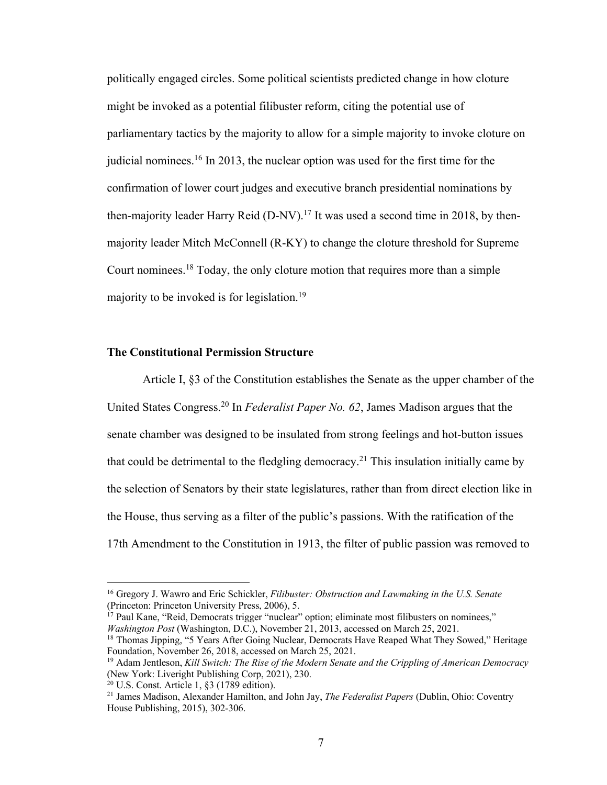politically engaged circles. Some political scientists predicted change in how cloture might be invoked as a potential filibuster reform, citing the potential use of parliamentary tactics by the majority to allow for a simple majority to invoke cloture on judicial nominees.<sup>16</sup> In 2013, the nuclear option was used for the first time for the confirmation of lower court judges and executive branch presidential nominations by then-majority leader Harry Reid (D-NV).<sup>17</sup> It was used a second time in 2018, by thenmajority leader Mitch McConnell (R-KY) to change the cloture threshold for Supreme Court nominees. <sup>18</sup> Today, the only cloture motion that requires more than a simple majority to be invoked is for legislation.<sup>19</sup>

#### **The Constitutional Permission Structure**

Article I, §3 of the Constitution establishes the Senate as the upper chamber of the United States Congress. <sup>20</sup> In *Federalist Paper No. 62*, James Madison argues that the senate chamber was designed to be insulated from strong feelings and hot-button issues that could be detrimental to the fledgling democracy.<sup>21</sup> This insulation initially came by the selection of Senators by their state legislatures, rather than from direct election like in the House, thus serving as a filter of the public's passions. With the ratification of the 17th Amendment to the Constitution in 1913, the filter of public passion was removed to

 $20$  U.S. Const. Article 1,  $83$  (1789 edition).

<sup>16</sup> Gregory J. Wawro and Eric Schickler, *Filibuster: Obstruction and Lawmaking in the U.S. Senate* (Princeton: Princeton University Press, 2006), 5.

<sup>&</sup>lt;sup>17</sup> Paul Kane, "Reid, Democrats trigger "nuclear" option; eliminate most filibusters on nominees," *Washington Post* (Washington, D.C.), November 21, 2013, accessed on March 25, 2021.

<sup>&</sup>lt;sup>18</sup> Thomas Jipping, "5 Years After Going Nuclear, Democrats Have Reaped What They Sowed," Heritage Foundation, November 26, 2018, accessed on March 25, 2021.

<sup>19</sup> Adam Jentleson, *Kill Switch: The Rise of the Modern Senate and the Crippling of American Democracy* (New York: Liveright Publishing Corp, 2021), 230.

<sup>21</sup> James Madison, Alexander Hamilton, and John Jay, *The Federalist Papers* (Dublin, Ohio: Coventry House Publishing, 2015), 302-306.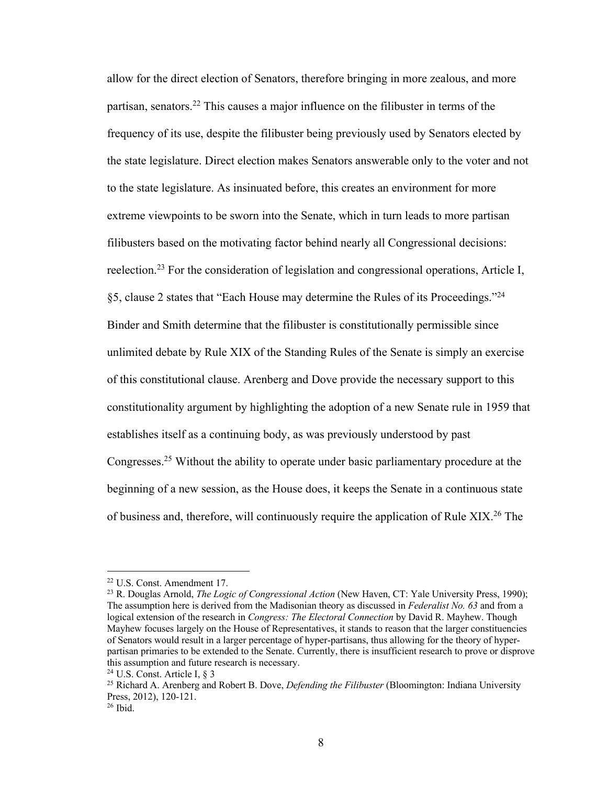allow for the direct election of Senators, therefore bringing in more zealous, and more partisan, senators. <sup>22</sup> This causes a major influence on the filibuster in terms of the frequency of its use, despite the filibuster being previously used by Senators elected by the state legislature. Direct election makes Senators answerable only to the voter and not to the state legislature. As insinuated before, this creates an environment for more extreme viewpoints to be sworn into the Senate, which in turn leads to more partisan filibusters based on the motivating factor behind nearly all Congressional decisions: reelection.<sup>23</sup> For the consideration of legislation and congressional operations, Article I, §5, clause 2 states that "Each House may determine the Rules of its Proceedings."<sup>24</sup> Binder and Smith determine that the filibuster is constitutionally permissible since unlimited debate by Rule XIX of the Standing Rules of the Senate is simply an exercise of this constitutional clause. Arenberg and Dove provide the necessary support to this constitutionality argument by highlighting the adoption of a new Senate rule in 1959 that establishes itself as a continuing body, as was previously understood by past Congresses.<sup>25</sup> Without the ability to operate under basic parliamentary procedure at the beginning of a new session, as the House does, it keeps the Senate in a continuous state of business and, therefore, will continuously require the application of Rule XIX.<sup>26</sup> The

<sup>22</sup> U.S. Const. Amendment 17.

<sup>23</sup> R. Douglas Arnold, *The Logic of Congressional Action* (New Haven, CT: Yale University Press, 1990); The assumption here is derived from the Madisonian theory as discussed in *Federalist No. 63* and from a logical extension of the research in *Congress: The Electoral Connection* by David R. Mayhew. Though Mayhew focuses largely on the House of Representatives, it stands to reason that the larger constituencies of Senators would result in a larger percentage of hyper-partisans, thus allowing for the theory of hyperpartisan primaries to be extended to the Senate. Currently, there is insufficient research to prove or disprove this assumption and future research is necessary.

 $24$  U.S. Const. Article I, § 3

<sup>25</sup> Richard A. Arenberg and Robert B. Dove, *Defending the Filibuster* (Bloomington: Indiana University Press, 2012), 120-121.

 $26$  Ibid.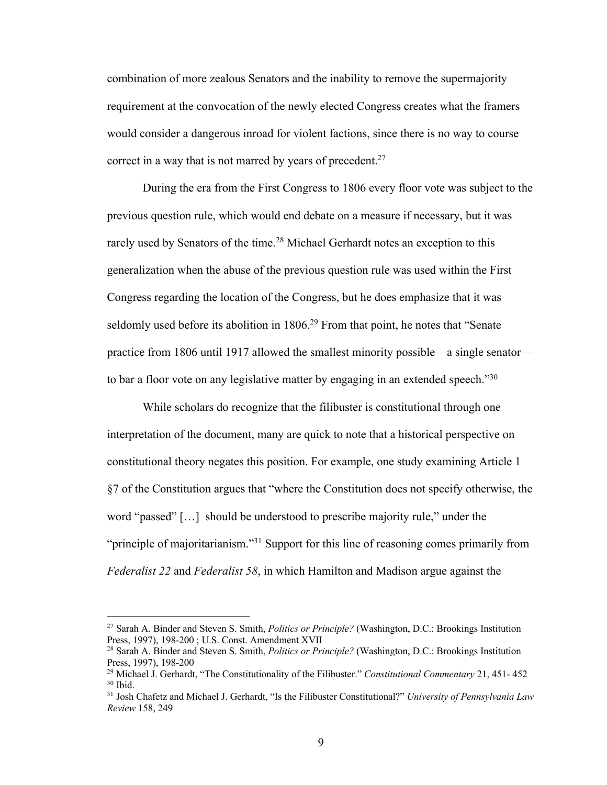combination of more zealous Senators and the inability to remove the supermajority requirement at the convocation of the newly elected Congress creates what the framers would consider a dangerous inroad for violent factions, since there is no way to course correct in a way that is not marred by years of precedent. $27$ 

During the era from the First Congress to 1806 every floor vote was subject to the previous question rule, which would end debate on a measure if necessary, but it was rarely used by Senators of the time. <sup>28</sup> Michael Gerhardt notes an exception to this generalization when the abuse of the previous question rule was used within the First Congress regarding the location of the Congress, but he does emphasize that it was seldomly used before its abolition in 1806.<sup>29</sup> From that point, he notes that "Senate" practice from 1806 until 1917 allowed the smallest minority possible—a single senator to bar a floor vote on any legislative matter by engaging in an extended speech."<sup>30</sup>

While scholars do recognize that the filibuster is constitutional through one interpretation of the document, many are quick to note that a historical perspective on constitutional theory negates this position. For example, one study examining Article 1 §7 of the Constitution argues that "where the Constitution does not specify otherwise, the word "passed" […] should be understood to prescribe majority rule," under the "principle of majoritarianism."<sup>31</sup> Support for this line of reasoning comes primarily from *Federalist 22* and *Federalist 58*, in which Hamilton and Madison argue against the

<sup>27</sup> Sarah A. Binder and Steven S. Smith, *Politics or Principle?* (Washington, D.C.: Brookings Institution Press, 1997), 198-200 ; U.S. Const. Amendment XVII

<sup>28</sup> Sarah A. Binder and Steven S. Smith, *Politics or Principle?* (Washington, D.C.: Brookings Institution Press, 1997), 198-200

<sup>29</sup> Michael J. Gerhardt, "The Constitutionality of the Filibuster." *Constitutional Commentary* 21, 451- 452  $30$  Ibid.

<sup>31</sup> Josh Chafetz and Michael J. Gerhardt, "Is the Filibuster Constitutional?" *University of Pennsylvania Law Review* 158, 249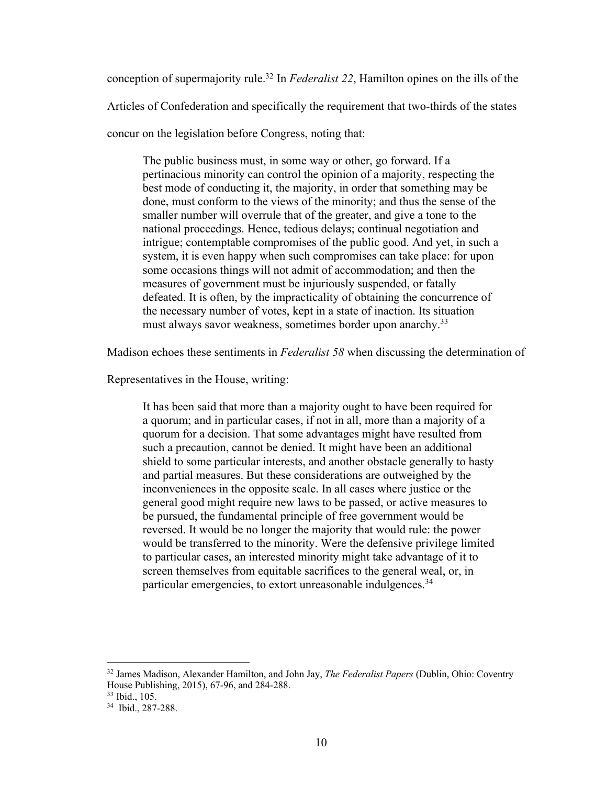conception of supermajority rule.<sup>32</sup> In *Federalist 22*, Hamilton opines on the ills of the

Articles of Confederation and specifically the requirement that two-thirds of the states

concur on the legislation before Congress, noting that:

The public business must, in some way or other, go forward. If a pertinacious minority can control the opinion of a majority, respecting the best mode of conducting it, the majority, in order that something may be done, must conform to the views of the minority; and thus the sense of the smaller number will overrule that of the greater, and give a tone to the national proceedings. Hence, tedious delays; continual negotiation and intrigue; contemptable compromises of the public good. And yet, in such a system, it is even happy when such compromises can take place: for upon some occasions things will not admit of accommodation; and then the measures of government must be injuriously suspended, or fatally defeated. It is often, by the impracticality of obtaining the concurrence of the necessary number of votes, kept in a state of inaction. Its situation must always savor weakness, sometimes border upon anarchy.<sup>33</sup>

Madison echoes these sentiments in *Federalist 58* when discussing the determination of

Representatives in the House, writing:

It has been said that more than a majority ought to have been required for a quorum; and in particular cases, if not in all, more than a majority of a quorum for a decision. That some advantages might have resulted from such a precaution, cannot be denied. It might have been an additional shield to some particular interests, and another obstacle generally to hasty and partial measures. But these considerations are outweighed by the inconveniences in the opposite scale. In all cases where justice or the general good might require new laws to be passed, or active measures to be pursued, the fundamental principle of free government would be reversed. It would be no longer the majority that would rule: the power would be transferred to the minority. Were the defensive privilege limited to particular cases, an interested minority might take advantage of it to screen themselves from equitable sacrifices to the general weal, or, in particular emergencies, to extort unreasonable indulgences.<sup>34</sup>

<sup>32</sup> James Madison, Alexander Hamilton, and John Jay, *The Federalist Papers* (Dublin, Ohio: Coventry House Publishing, 2015), 67-96, and 284-288.

<sup>33</sup> Ibid., 105.

<sup>34</sup> Ibid., 287-288.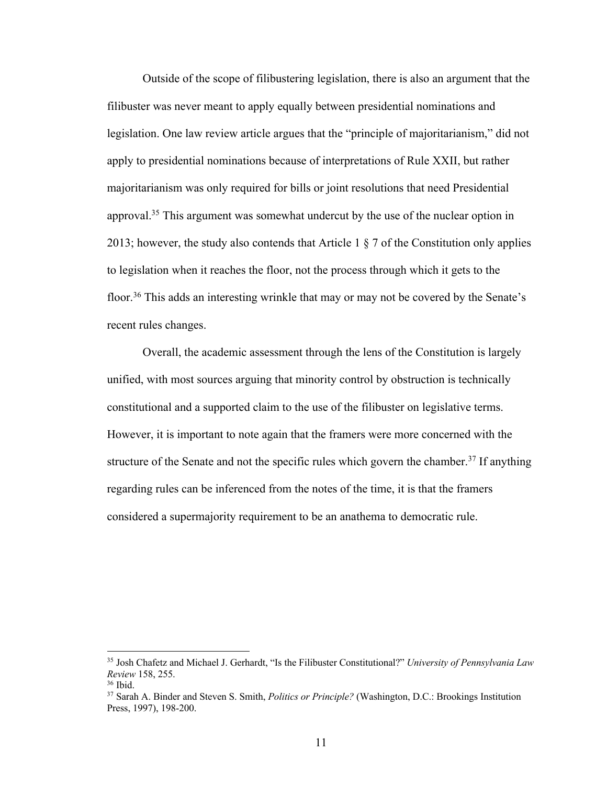Outside of the scope of filibustering legislation, there is also an argument that the filibuster was never meant to apply equally between presidential nominations and legislation. One law review article argues that the "principle of majoritarianism," did not apply to presidential nominations because of interpretations of Rule XXII, but rather majoritarianism was only required for bills or joint resolutions that need Presidential approval.<sup>35</sup> This argument was somewhat undercut by the use of the nuclear option in 2013; however, the study also contends that Article 1 § 7 of the Constitution only applies to legislation when it reaches the floor, not the process through which it gets to the floor.<sup>36</sup> This adds an interesting wrinkle that may or may not be covered by the Senate's recent rules changes.

Overall, the academic assessment through the lens of the Constitution is largely unified, with most sources arguing that minority control by obstruction is technically constitutional and a supported claim to the use of the filibuster on legislative terms. However, it is important to note again that the framers were more concerned with the structure of the Senate and not the specific rules which govern the chamber.<sup>37</sup> If anything regarding rules can be inferenced from the notes of the time, it is that the framers considered a supermajority requirement to be an anathema to democratic rule.

<sup>35</sup> Josh Chafetz and Michael J. Gerhardt, "Is the Filibuster Constitutional?" *University of Pennsylvania Law Review* 158, 255.

 $36$  Ibid.

<sup>37</sup> Sarah A. Binder and Steven S. Smith, *Politics or Principle?* (Washington, D.C.: Brookings Institution Press, 1997), 198-200.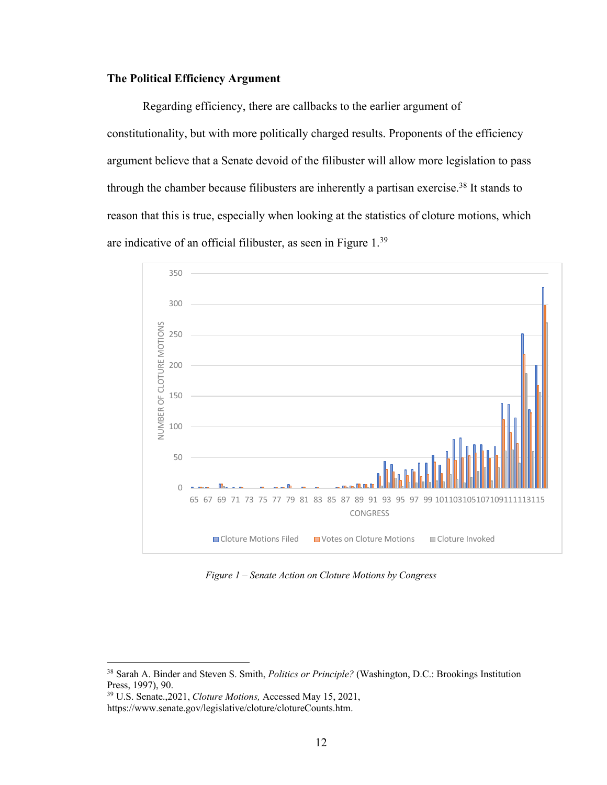# **The Political Efficiency Argument**

Regarding efficiency, there are callbacks to the earlier argument of constitutionality, but with more politically charged results. Proponents of the efficiency argument believe that a Senate devoid of the filibuster will allow more legislation to pass through the chamber because filibusters are inherently a partisan exercise. <sup>38</sup> It stands to reason that this is true, especially when looking at the statistics of cloture motions, which are indicative of an official filibuster, as seen in Figure 1.<sup>39</sup>



*Figure 1 – Senate Action on Cloture Motions by Congress*

<sup>38</sup> Sarah A. Binder and Steven S. Smith, *Politics or Principle?* (Washington, D.C.: Brookings Institution Press, 1997), 90.

<sup>39</sup> U.S. Senate.,2021, *Cloture Motions,* Accessed May 15, 2021,

https://www.senate.gov/legislative/cloture/clotureCounts.htm.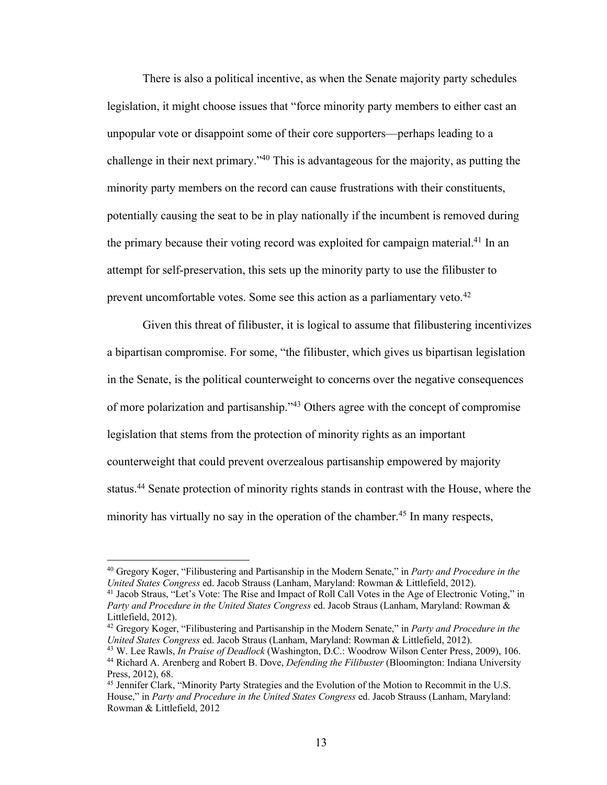There is also a political incentive, as when the Senate majority party schedules legislation, it might choose issues that "force minority party members to either cast an unpopular vote or disappoint some of their core supporters—perhaps leading to a challenge in their next primary."<sup>40</sup> This is advantageous for the majority, as putting the minority party members on the record can cause frustrations with their constituents, potentially causing the seat to be in play nationally if the incumbent is removed during the primary because their voting record was exploited for campaign material.<sup>41</sup> In an attempt for self-preservation, this sets up the minority party to use the filibuster to prevent uncomfortable votes. Some see this action as a parliamentary veto.<sup>42</sup>

Given this threat of filibuster, it is logical to assume that filibustering incentivizes a bipartisan compromise. For some, "the filibuster, which gives us bipartisan legislation in the Senate, is the political counterweight to concerns over the negative consequences of more polarization and partisanship."<sup>43</sup> Others agree with the concept of compromise legislation that stems from the protection of minority rights as an important counterweight that could prevent overzealous partisanship empowered by majority status.<sup>44</sup> Senate protection of minority rights stands in contrast with the House, where the minority has virtually no say in the operation of the chamber.<sup>45</sup> In many respects,

<sup>40</sup> Gregory Koger, "Filibustering and Partisanship in the Modern Senate," in *Party and Procedure in the United States Congress* ed. Jacob Strauss (Lanham, Maryland: Rowman & Littlefield, 2012).

<sup>&</sup>lt;sup>41</sup> Jacob Straus, "Let's Vote: The Rise and Impact of Roll Call Votes in the Age of Electronic Voting," in *Party and Procedure in the United States Congress* ed. Jacob Straus (Lanham, Maryland: Rowman & Littlefield, 2012).

<sup>42</sup> Gregory Koger, "Filibustering and Partisanship in the Modern Senate," in *Party and Procedure in the United States Congress* ed. Jacob Straus (Lanham, Maryland: Rowman & Littlefield, 2012).

<sup>43</sup> W. Lee Rawls, *In Praise of Deadlock* (Washington, D.C.: Woodrow Wilson Center Press, 2009), 106. <sup>44</sup> Richard A. Arenberg and Robert B. Dove, *Defending the Filibuster* (Bloomington: Indiana University Press, 2012), 68.

<sup>45</sup> Jennifer Clark, "Minority Party Strategies and the Evolution of the Motion to Recommit in the U.S. House," in *Party and Procedure in the United States Congress* ed. Jacob Strauss (Lanham, Maryland: Rowman & Littlefield, 2012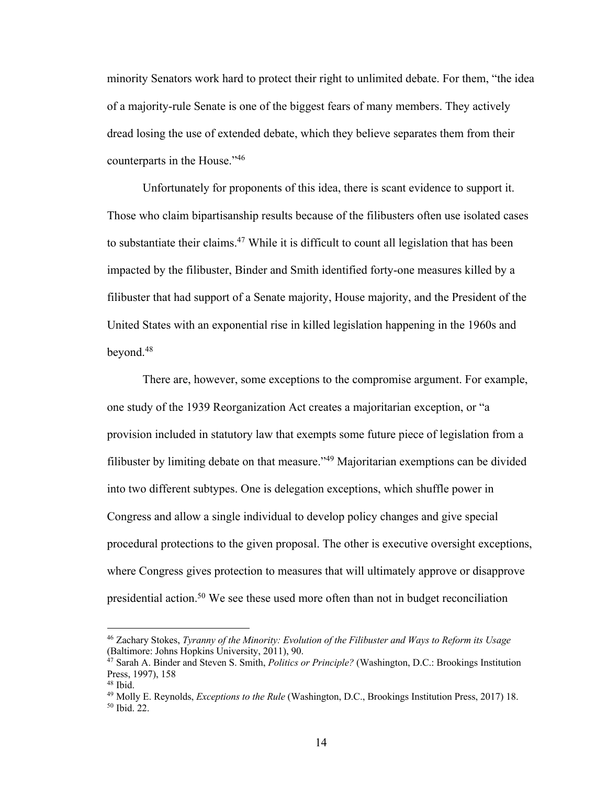minority Senators work hard to protect their right to unlimited debate. For them, "the idea of a majority-rule Senate is one of the biggest fears of many members. They actively dread losing the use of extended debate, which they believe separates them from their counterparts in the House."<sup>46</sup>

Unfortunately for proponents of this idea, there is scant evidence to support it. Those who claim bipartisanship results because of the filibusters often use isolated cases to substantiate their claims.<sup>47</sup> While it is difficult to count all legislation that has been impacted by the filibuster, Binder and Smith identified forty-one measures killed by a filibuster that had support of a Senate majority, House majority, and the President of the United States with an exponential rise in killed legislation happening in the 1960s and beyond.<sup>48</sup>

There are, however, some exceptions to the compromise argument. For example, one study of the 1939 Reorganization Act creates a majoritarian exception, or "a provision included in statutory law that exempts some future piece of legislation from a filibuster by limiting debate on that measure."<sup>49</sup> Majoritarian exemptions can be divided into two different subtypes. One is delegation exceptions, which shuffle power in Congress and allow a single individual to develop policy changes and give special procedural protections to the given proposal. The other is executive oversight exceptions, where Congress gives protection to measures that will ultimately approve or disapprove presidential action.<sup>50</sup> We see these used more often than not in budget reconciliation

<sup>46</sup> Zachary Stokes, *Tyranny of the Minority: Evolution of the Filibuster and Ways to Reform its Usage* (Baltimore: Johns Hopkins University, 2011), 90.

<sup>47</sup> Sarah A. Binder and Steven S. Smith, *Politics or Principle?* (Washington, D.C.: Brookings Institution Press, 1997), 158

 $48$  Ibid.

<sup>49</sup> Molly E. Reynolds, *Exceptions to the Rule* (Washington, D.C., Brookings Institution Press, 2017) 18. <sup>50</sup> Ibid. 22.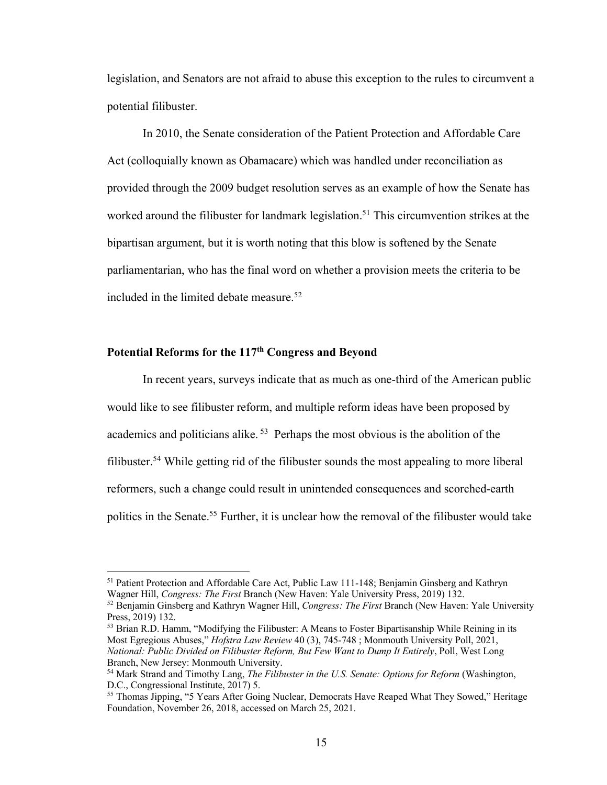legislation, and Senators are not afraid to abuse this exception to the rules to circumvent a potential filibuster.

In 2010, the Senate consideration of the Patient Protection and Affordable Care Act (colloquially known as Obamacare) which was handled under reconciliation as provided through the 2009 budget resolution serves as an example of how the Senate has worked around the filibuster for landmark legislation.<sup>51</sup> This circumvention strikes at the bipartisan argument, but it is worth noting that this blow is softened by the Senate parliamentarian, who has the final word on whether a provision meets the criteria to be included in the limited debate measure.<sup>52</sup>

# **Potential Reforms for the 117th Congress and Beyond**

In recent years, surveys indicate that as much as one-third of the American public would like to see filibuster reform, and multiple reform ideas have been proposed by academics and politicians alike. <sup>53</sup> Perhaps the most obvious is the abolition of the filibuster.<sup>54</sup> While getting rid of the filibuster sounds the most appealing to more liberal reformers, such a change could result in unintended consequences and scorched-earth politics in the Senate.<sup>55</sup> Further, it is unclear how the removal of the filibuster would take

<sup>51</sup> Patient Protection and Affordable Care Act, Public Law 111-148; Benjamin Ginsberg and Kathryn Wagner Hill, *Congress: The First* Branch (New Haven: Yale University Press, 2019) 132.

<sup>52</sup> Benjamin Ginsberg and Kathryn Wagner Hill, *Congress: The First* Branch (New Haven: Yale University Press, 2019) 132.

<sup>&</sup>lt;sup>53</sup> Brian R.D. Hamm, "Modifying the Filibuster: A Means to Foster Bipartisanship While Reining in its Most Egregious Abuses," *Hofstra Law Review* 40 (3), 745-748 ; Monmouth University Poll, 2021, *National: Public Divided on Filibuster Reform, But Few Want to Dump It Entirely*, Poll, West Long Branch, New Jersey: Monmouth University.

<sup>54</sup> Mark Strand and Timothy Lang, *The Filibuster in the U.S. Senate: Options for Reform* (Washington, D.C., Congressional Institute, 2017) 5.

<sup>&</sup>lt;sup>55</sup> Thomas Jipping, "5 Years After Going Nuclear, Democrats Have Reaped What They Sowed," Heritage Foundation, November 26, 2018, accessed on March 25, 2021.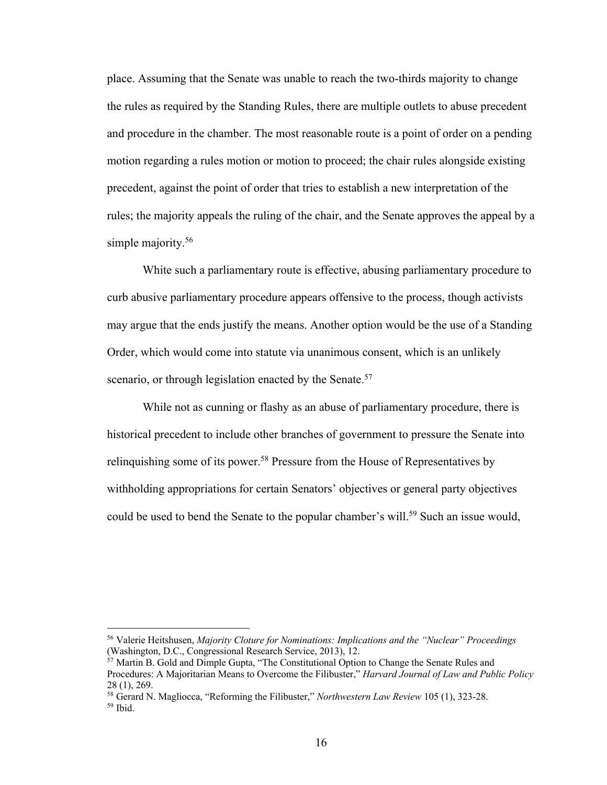place. Assuming that the Senate was unable to reach the two-thirds majority to change the rules as required by the Standing Rules, there are multiple outlets to abuse precedent and procedure in the chamber. The most reasonable route is a point of order on a pending motion regarding a rules motion or motion to proceed; the chair rules alongside existing precedent, against the point of order that tries to establish a new interpretation of the rules; the majority appeals the ruling of the chair, and the Senate approves the appeal by a simple majority.<sup>56</sup>

White such a parliamentary route is effective, abusing parliamentary procedure to curb abusive parliamentary procedure appears offensive to the process, though activists may argue that the ends justify the means. Another option would be the use of a Standing Order, which would come into statute via unanimous consent, which is an unlikely scenario, or through legislation enacted by the Senate.<sup>57</sup>

While not as cunning or flashy as an abuse of parliamentary procedure, there is historical precedent to include other branches of government to pressure the Senate into relinquishing some of its power.<sup>58</sup> Pressure from the House of Representatives by withholding appropriations for certain Senators' objectives or general party objectives could be used to bend the Senate to the popular chamber's will.<sup>59</sup> Such an issue would,

<sup>56</sup> Valerie Heitshusen, *Majority Cloture for Nominations: Implications and the "Nuclear" Proceedings* (Washington, D.C., Congressional Research Service, 2013), 12.

 $57$  Martin B. Gold and Dimple Gupta, "The Constitutional Option to Change the Senate Rules and Procedures: A Majoritarian Means to Overcome the Filibuster," *Harvard Journal of Law and Public Policy*  28 (1), 269.

<sup>58</sup> Gerard N. Magliocca, "Reforming the Filibuster," *Northwestern Law Review* 105 (1), 323-28. <sup>59</sup> Ibid.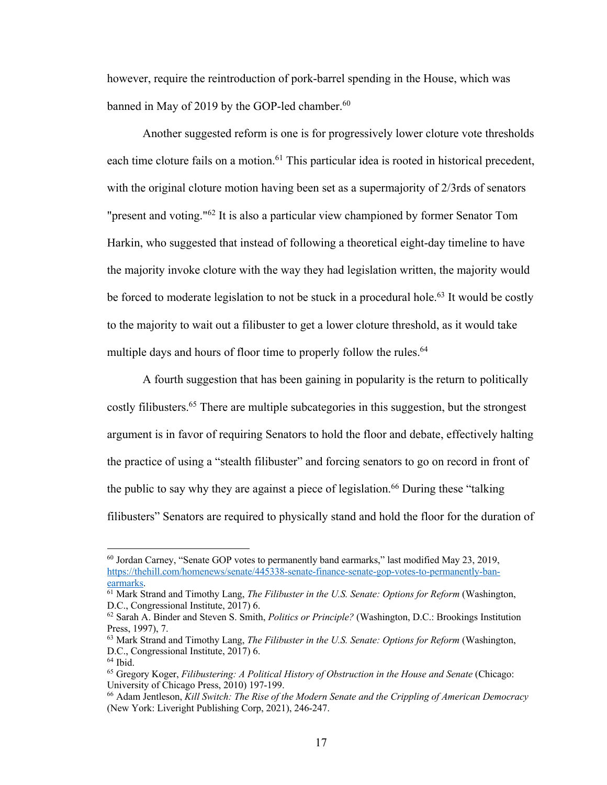however, require the reintroduction of pork-barrel spending in the House, which was banned in May of 2019 by the GOP-led chamber.<sup>60</sup>

Another suggested reform is one is for progressively lower cloture vote thresholds each time cloture fails on a motion.<sup>61</sup> This particular idea is rooted in historical precedent, with the original cloture motion having been set as a supermajority of 2/3rds of senators "present and voting."<sup>62</sup> It is also a particular view championed by former Senator Tom Harkin, who suggested that instead of following a theoretical eight-day timeline to have the majority invoke cloture with the way they had legislation written, the majority would be forced to moderate legislation to not be stuck in a procedural hole.<sup>63</sup> It would be costly to the majority to wait out a filibuster to get a lower cloture threshold, as it would take multiple days and hours of floor time to properly follow the rules.<sup>64</sup>

A fourth suggestion that has been gaining in popularity is the return to politically costly filibusters.<sup>65</sup> There are multiple subcategories in this suggestion, but the strongest argument is in favor of requiring Senators to hold the floor and debate, effectively halting the practice of using a "stealth filibuster" and forcing senators to go on record in front of the public to say why they are against a piece of legislation.<sup>66</sup> During these "talking" filibusters" Senators are required to physically stand and hold the floor for the duration of

 $60$  Jordan Carney, "Senate GOP votes to permanently band earmarks," last modified May 23, 2019, https://thehill.com/homenews/senate/445338-senate-finance-senate-gop-votes-to-permanently-banearmarks.

<sup>61</sup> Mark Strand and Timothy Lang, *The Filibuster in the U.S. Senate: Options for Reform* (Washington, D.C., Congressional Institute, 2017) 6.

<sup>62</sup> Sarah A. Binder and Steven S. Smith, *Politics or Principle?* (Washington, D.C.: Brookings Institution Press, 1997), 7.

<sup>63</sup> Mark Strand and Timothy Lang, *The Filibuster in the U.S. Senate: Options for Reform* (Washington, D.C., Congressional Institute, 2017) 6.

 $64$  Ibid.

<sup>65</sup> Gregory Koger, *Filibustering: A Political History of Obstruction in the House and Senate* (Chicago: University of Chicago Press, 2010) 197-199.

<sup>66</sup> Adam Jentleson, *Kill Switch: The Rise of the Modern Senate and the Crippling of American Democracy* (New York: Liveright Publishing Corp, 2021), 246-247.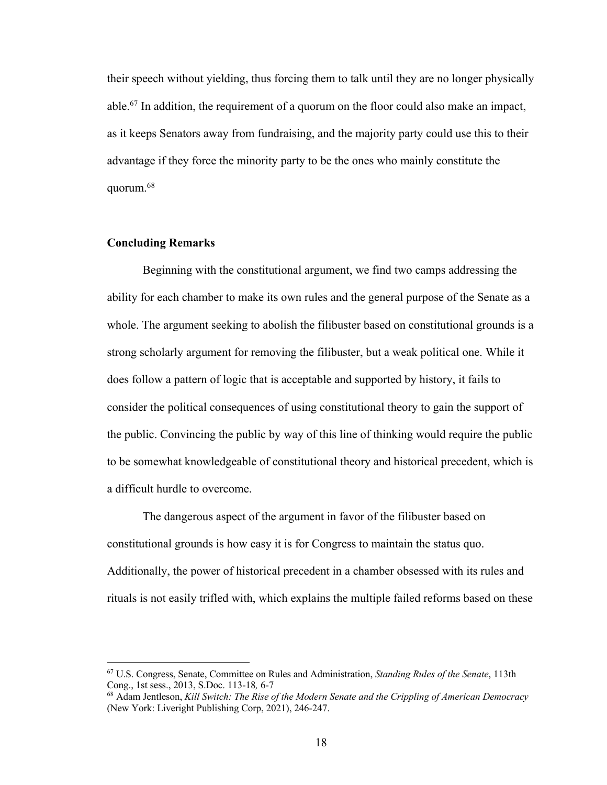their speech without yielding, thus forcing them to talk until they are no longer physically able.<sup>67</sup> In addition, the requirement of a quorum on the floor could also make an impact, as it keeps Senators away from fundraising, and the majority party could use this to their advantage if they force the minority party to be the ones who mainly constitute the quorum.<sup>68</sup>

#### **Concluding Remarks**

Beginning with the constitutional argument, we find two camps addressing the ability for each chamber to make its own rules and the general purpose of the Senate as a whole. The argument seeking to abolish the filibuster based on constitutional grounds is a strong scholarly argument for removing the filibuster, but a weak political one. While it does follow a pattern of logic that is acceptable and supported by history, it fails to consider the political consequences of using constitutional theory to gain the support of the public. Convincing the public by way of this line of thinking would require the public to be somewhat knowledgeable of constitutional theory and historical precedent, which is a difficult hurdle to overcome.

The dangerous aspect of the argument in favor of the filibuster based on constitutional grounds is how easy it is for Congress to maintain the status quo. Additionally, the power of historical precedent in a chamber obsessed with its rules and rituals is not easily trifled with, which explains the multiple failed reforms based on these

<sup>67</sup> U.S. Congress, Senate, Committee on Rules and Administration, *Standing Rules of the Senate*, 113th Cong., 1st sess., 2013, S.Doc. 113-18*,* 6-7

<sup>68</sup> Adam Jentleson, *Kill Switch: The Rise of the Modern Senate and the Crippling of American Democracy* (New York: Liveright Publishing Corp, 2021), 246-247.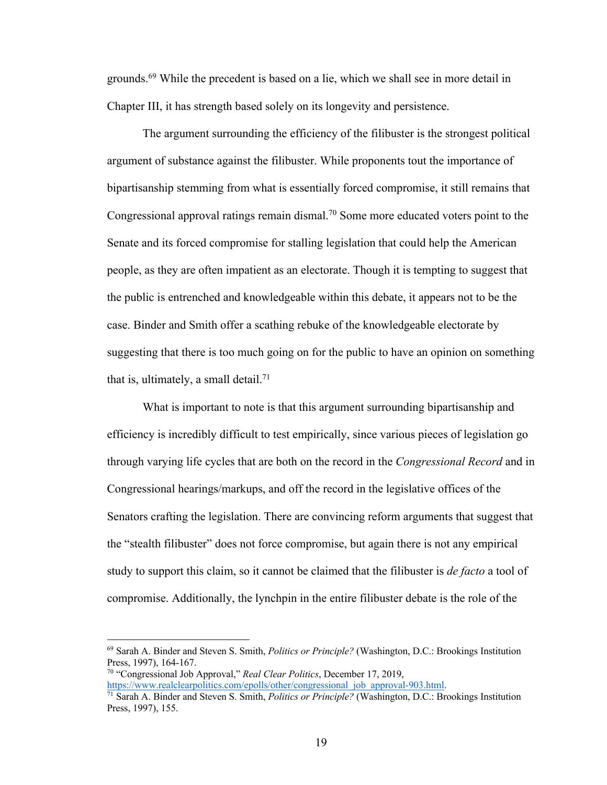grounds.<sup>69</sup> While the precedent is based on a lie, which we shall see in more detail in Chapter III, it has strength based solely on its longevity and persistence.

The argument surrounding the efficiency of the filibuster is the strongest political argument of substance against the filibuster. While proponents tout the importance of bipartisanship stemming from what is essentially forced compromise, it still remains that Congressional approval ratings remain dismal.<sup>70</sup> Some more educated voters point to the Senate and its forced compromise for stalling legislation that could help the American people, as they are often impatient as an electorate. Though it is tempting to suggest that the public is entrenched and knowledgeable within this debate, it appears not to be the case. Binder and Smith offer a scathing rebuke of the knowledgeable electorate by suggesting that there is too much going on for the public to have an opinion on something that is, ultimately, a small detail.<sup>71</sup>

What is important to note is that this argument surrounding bipartisanship and efficiency is incredibly difficult to test empirically, since various pieces of legislation go through varying life cycles that are both on the record in the *Congressional Record* and in Congressional hearings/markups, and off the record in the legislative offices of the Senators crafting the legislation. There are convincing reform arguments that suggest that the "stealth filibuster" does not force compromise, but again there is not any empirical study to support this claim, so it cannot be claimed that the filibuster is *de facto* a tool of compromise. Additionally, the lynchpin in the entire filibuster debate is the role of the

<sup>69</sup> Sarah A. Binder and Steven S. Smith, *Politics or Principle?* (Washington, D.C.: Brookings Institution Press, 1997), 164-167.

<sup>70</sup> "Congressional Job Approval," *Real Clear Politics*, December 17, 2019, https://www.realclearpolitics.com/epolls/other/congressional\_job\_approval-903.html.

<sup>71</sup> Sarah A. Binder and Steven S. Smith, *Politics or Principle?* (Washington, D.C.: Brookings Institution Press, 1997), 155.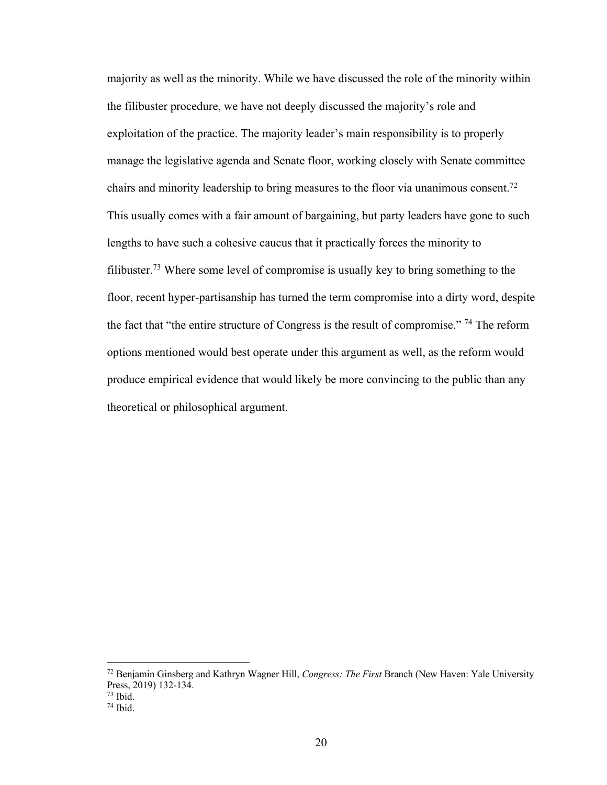majority as well as the minority. While we have discussed the role of the minority within the filibuster procedure, we have not deeply discussed the majority's role and exploitation of the practice. The majority leader's main responsibility is to properly manage the legislative agenda and Senate floor, working closely with Senate committee chairs and minority leadership to bring measures to the floor via unanimous consent.<sup>72</sup> This usually comes with a fair amount of bargaining, but party leaders have gone to such lengths to have such a cohesive caucus that it practically forces the minority to filibuster.<sup>73</sup> Where some level of compromise is usually key to bring something to the floor, recent hyper-partisanship has turned the term compromise into a dirty word, despite the fact that "the entire structure of Congress is the result of compromise." <sup>74</sup> The reform options mentioned would best operate under this argument as well, as the reform would produce empirical evidence that would likely be more convincing to the public than any theoretical or philosophical argument.

<sup>72</sup> Benjamin Ginsberg and Kathryn Wagner Hill, *Congress: The First* Branch (New Haven: Yale University Press, 2019) 132-134.

 $73$  Ibid.

<sup>74</sup> Ibid.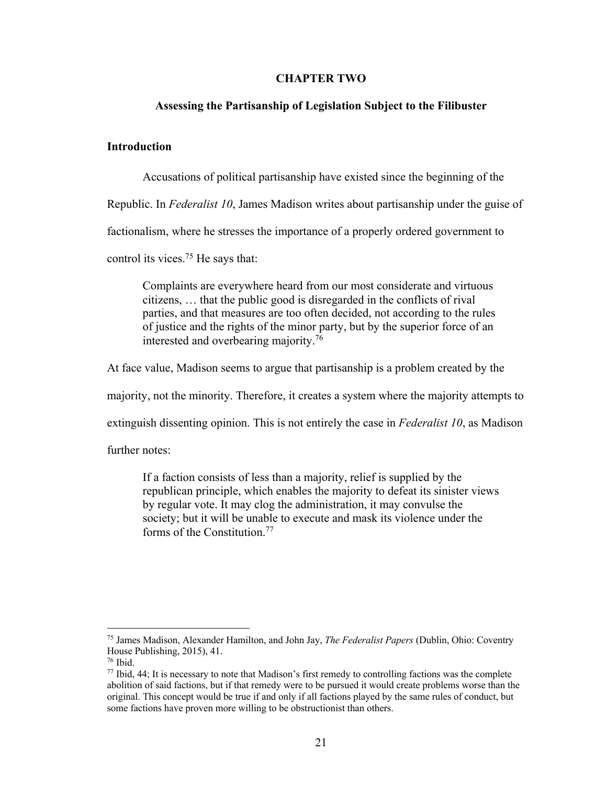#### **CHAPTER TWO**

## **Assessing the Partisanship of Legislation Subject to the Filibuster**

# **Introduction**

Accusations of political partisanship have existed since the beginning of the

Republic. In *Federalist 10*, James Madison writes about partisanship under the guise of

factionalism, where he stresses the importance of a properly ordered government to

control its vices.<sup>75</sup> He says that:

Complaints are everywhere heard from our most considerate and virtuous citizens, … that the public good is disregarded in the conflicts of rival parties, and that measures are too often decided, not according to the rules of justice and the rights of the minor party, but by the superior force of an interested and overbearing majority.<sup>76</sup>

At face value, Madison seems to argue that partisanship is a problem created by the

majority, not the minority. Therefore, it creates a system where the majority attempts to

extinguish dissenting opinion. This is not entirely the case in *Federalist 10*, as Madison

further notes:

If a faction consists of less than a majority, relief is supplied by the republican principle, which enables the majority to defeat its sinister views by regular vote. It may clog the administration, it may convulse the society; but it will be unable to execute and mask its violence under the forms of the Constitution.<sup>77</sup>

<sup>75</sup> James Madison, Alexander Hamilton, and John Jay, *The Federalist Papers* (Dublin, Ohio: Coventry House Publishing, 2015), 41.

<sup>76</sup> Ibid.

 $77$  Ibid, 44; It is necessary to note that Madison's first remedy to controlling factions was the complete abolition of said factions, but if that remedy were to be pursued it would create problems worse than the original. This concept would be true if and only if all factions played by the same rules of conduct, but some factions have proven more willing to be obstructionist than others.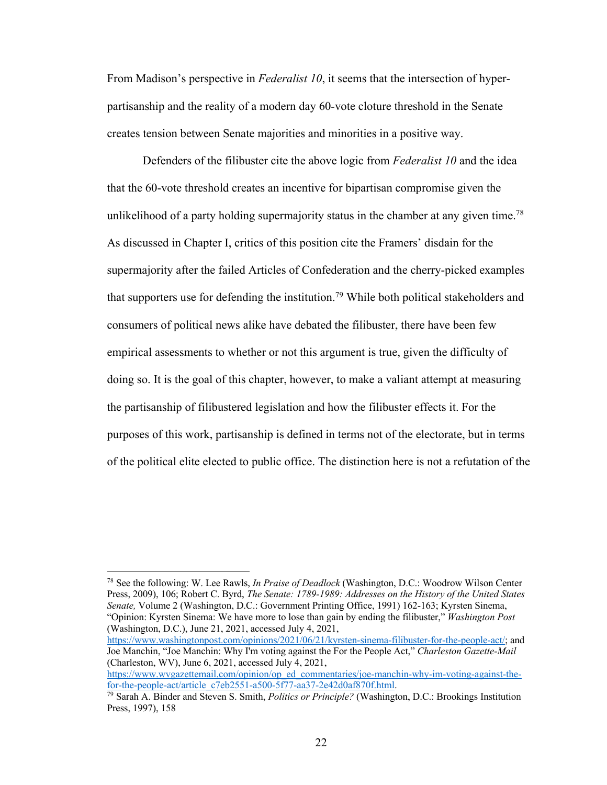From Madison's perspective in *Federalist 10*, it seems that the intersection of hyperpartisanship and the reality of a modern day 60-vote cloture threshold in the Senate creates tension between Senate majorities and minorities in a positive way.

Defenders of the filibuster cite the above logic from *Federalist 10* and the idea that the 60-vote threshold creates an incentive for bipartisan compromise given the unlikelihood of a party holding supermajority status in the chamber at any given time.<sup>78</sup> As discussed in Chapter I, critics of this position cite the Framers' disdain for the supermajority after the failed Articles of Confederation and the cherry-picked examples that supporters use for defending the institution.<sup>79</sup> While both political stakeholders and consumers of political news alike have debated the filibuster, there have been few empirical assessments to whether or not this argument is true, given the difficulty of doing so. It is the goal of this chapter, however, to make a valiant attempt at measuring the partisanship of filibustered legislation and how the filibuster effects it. For the purposes of this work, partisanship is defined in terms not of the electorate, but in terms of the political elite elected to public office. The distinction here is not a refutation of the

<sup>78</sup> See the following: W. Lee Rawls, *In Praise of Deadlock* (Washington, D.C.: Woodrow Wilson Center Press, 2009), 106; Robert C. Byrd, *The Senate: 1789-1989: Addresses on the History of the United States Senate,* Volume 2 (Washington, D.C.: Government Printing Office, 1991) 162-163; Kyrsten Sinema, "Opinion: Kyrsten Sinema: We have more to lose than gain by ending the filibuster," *Washington Post*  (Washington, D.C.), June 21, 2021, accessed July 4, 2021,

https://www.washingtonpost.com/opinions/2021/06/21/kyrsten-sinema-filibuster-for-the-people-act/; and Joe Manchin, "Joe Manchin: Why I'm voting against the For the People Act," *Charleston Gazette-Mail*  (Charleston, WV), June 6, 2021, accessed July 4, 2021,

https://www.wvgazettemail.com/opinion/op\_ed\_commentaries/joe-manchin-why-im-voting-against-thefor-the-people-act/article\_c7eb2551-a500-5f77-aa37-2e42d0af870f.html.

<sup>79</sup> Sarah A. Binder and Steven S. Smith, *Politics or Principle?* (Washington, D.C.: Brookings Institution Press, 1997), 158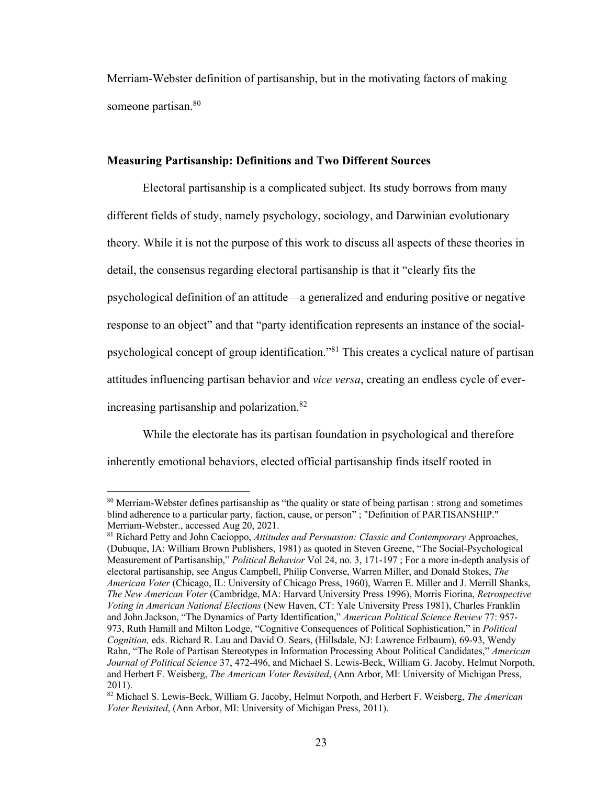Merriam-Webster definition of partisanship, but in the motivating factors of making someone partisan.<sup>80</sup>

#### **Measuring Partisanship: Definitions and Two Different Sources**

Electoral partisanship is a complicated subject. Its study borrows from many different fields of study, namely psychology, sociology, and Darwinian evolutionary theory. While it is not the purpose of this work to discuss all aspects of these theories in detail, the consensus regarding electoral partisanship is that it "clearly fits the psychological definition of an attitude—a generalized and enduring positive or negative response to an object" and that "party identification represents an instance of the socialpsychological concept of group identification."<sup>81</sup> This creates a cyclical nature of partisan attitudes influencing partisan behavior and *vice versa*, creating an endless cycle of everincreasing partisanship and polarization.<sup>82</sup>

While the electorate has its partisan foundation in psychological and therefore inherently emotional behaviors, elected official partisanship finds itself rooted in

<sup>&</sup>lt;sup>80</sup> Merriam-Webster defines partisanship as "the quality or state of being partisan : strong and sometimes blind adherence to a particular party, faction, cause, or person" ; "Definition of PARTISANSHIP." Merriam-Webster., accessed Aug 20, 2021.

<sup>81</sup> Richard Petty and John Cacioppo, *Attitudes and Persuasion: Classic and Contemporary* Approaches, (Dubuque, IA: William Brown Publishers, 1981) as quoted in Steven Greene, "The Social-Psychological Measurement of Partisanship," *Political Behavior* Vol 24, no. 3, 171-197 ; For a more in-depth analysis of electoral partisanship, see Angus Campbell, Philip Converse, Warren Miller, and Donald Stokes, *The American Voter* (Chicago, IL: University of Chicago Press, 1960), Warren E. Miller and J. Merrill Shanks, *The New American Voter* (Cambridge, MA: Harvard University Press 1996), Morris Fiorina, *Retrospective Voting in American National Elections* (New Haven, CT: Yale University Press 1981), Charles Franklin and John Jackson, "The Dynamics of Party Identification," *American Political Science Review* 77: 957- 973, Ruth Hamill and Milton Lodge, "Cognitive Consequences of Political Sophistication," in *Political Cognition,* eds. Richard R. Lau and David O. Sears, (Hillsdale, NJ: Lawrence Erlbaum), 69-93, Wendy Rahn, "The Role of Partisan Stereotypes in Information Processing About Political Candidates," *American Journal of Political Science* 37, 472-496, and Michael S. Lewis-Beck, William G. Jacoby, Helmut Norpoth, and Herbert F. Weisberg, *The American Voter Revisited*, (Ann Arbor, MI: University of Michigan Press, 2011).

<sup>82</sup> Michael S. Lewis-Beck, William G. Jacoby, Helmut Norpoth, and Herbert F. Weisberg, *The American Voter Revisited*, (Ann Arbor, MI: University of Michigan Press, 2011).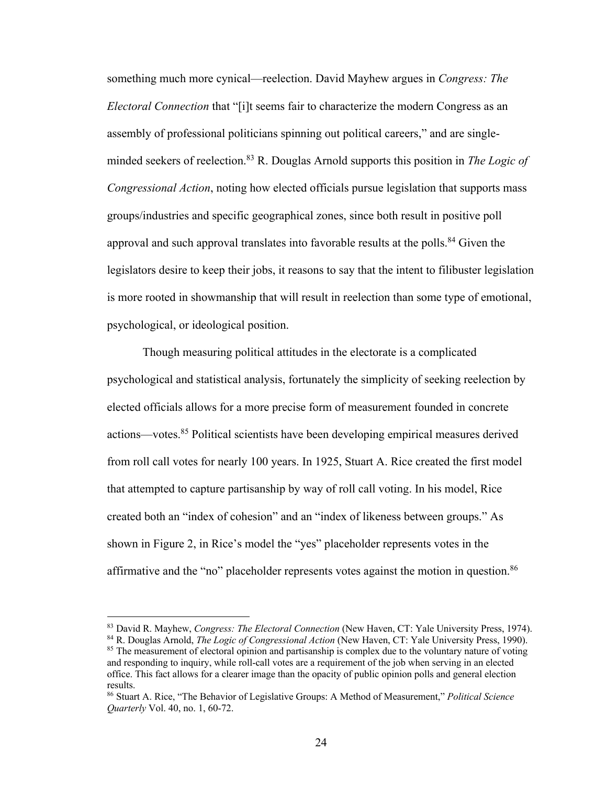something much more cynical—reelection. David Mayhew argues in *Congress: The Electoral Connection* that "[i]t seems fair to characterize the modern Congress as an assembly of professional politicians spinning out political careers," and are singleminded seekers of reelection.<sup>83</sup> R. Douglas Arnold supports this position in *The Logic of Congressional Action*, noting how elected officials pursue legislation that supports mass groups/industries and specific geographical zones, since both result in positive poll approval and such approval translates into favorable results at the polls.<sup>84</sup> Given the legislators desire to keep their jobs, it reasons to say that the intent to filibuster legislation is more rooted in showmanship that will result in reelection than some type of emotional, psychological, or ideological position.

Though measuring political attitudes in the electorate is a complicated psychological and statistical analysis, fortunately the simplicity of seeking reelection by elected officials allows for a more precise form of measurement founded in concrete actions—votes.<sup>85</sup> Political scientists have been developing empirical measures derived from roll call votes for nearly 100 years. In 1925, Stuart A. Rice created the first model that attempted to capture partisanship by way of roll call voting. In his model, Rice created both an "index of cohesion" and an "index of likeness between groups." As shown in Figure 2, in Rice's model the "yes" placeholder represents votes in the affirmative and the "no" placeholder represents votes against the motion in question.<sup>86</sup>

<sup>83</sup> David R. Mayhew, *Congress: The Electoral Connection* (New Haven, CT: Yale University Press, 1974).

<sup>84</sup> R. Douglas Arnold, *The Logic of Congressional Action* (New Haven, CT: Yale University Press, 1990). <sup>85</sup> The measurement of electoral opinion and partisanship is complex due to the voluntary nature of voting and responding to inquiry, while roll-call votes are a requirement of the job when serving in an elected office. This fact allows for a clearer image than the opacity of public opinion polls and general election results.

<sup>86</sup> Stuart A. Rice, "The Behavior of Legislative Groups: A Method of Measurement," *Political Science Quarterly* Vol. 40, no. 1, 60-72.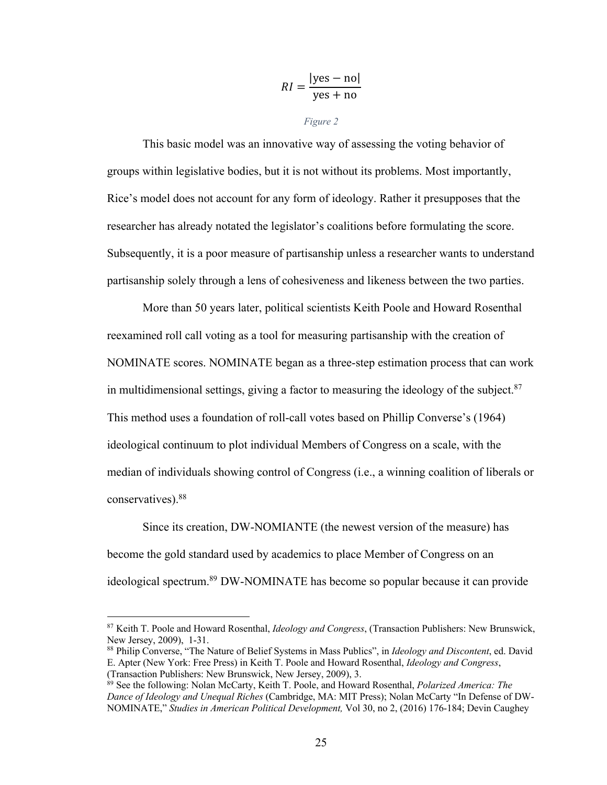$$
RI = \frac{|\text{yes} - \text{no}|}{\text{yes} + \text{no}}
$$

*Figure 2*

This basic model was an innovative way of assessing the voting behavior of groups within legislative bodies, but it is not without its problems. Most importantly, Rice's model does not account for any form of ideology. Rather it presupposes that the researcher has already notated the legislator's coalitions before formulating the score. Subsequently, it is a poor measure of partisanship unless a researcher wants to understand partisanship solely through a lens of cohesiveness and likeness between the two parties.

More than 50 years later, political scientists Keith Poole and Howard Rosenthal reexamined roll call voting as a tool for measuring partisanship with the creation of NOMINATE scores. NOMINATE began as a three-step estimation process that can work in multidimensional settings, giving a factor to measuring the ideology of the subject. $87$ This method uses a foundation of roll-call votes based on Phillip Converse's (1964) ideological continuum to plot individual Members of Congress on a scale, with the median of individuals showing control of Congress (i.e., a winning coalition of liberals or conservatives).<sup>88</sup>

Since its creation, DW-NOMIANTE (the newest version of the measure) has become the gold standard used by academics to place Member of Congress on an ideological spectrum.<sup>89</sup> DW-NOMINATE has become so popular because it can provide

<sup>87</sup> Keith T. Poole and Howard Rosenthal, *Ideology and Congress*, (Transaction Publishers: New Brunswick, New Jersey, 2009), 1-31.

<sup>88</sup> Philip Converse, "The Nature of Belief Systems in Mass Publics", in *Ideology and Discontent*, ed. David E. Apter (New York: Free Press) in Keith T. Poole and Howard Rosenthal, *Ideology and Congress*, (Transaction Publishers: New Brunswick, New Jersey, 2009), 3.

<sup>89</sup> See the following: Nolan McCarty, Keith T. Poole, and Howard Rosenthal, *Polarized America: The Dance of Ideology and Unequal Riches* (Cambridge, MA: MIT Press); Nolan McCarty "In Defense of DW-NOMINATE," *Studies in American Political Development,* Vol 30, no 2, (2016) 176-184; Devin Caughey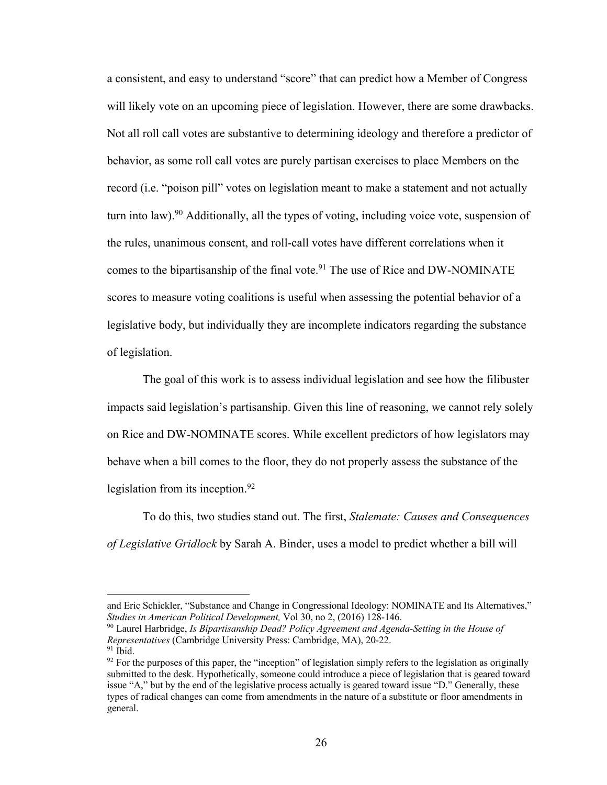a consistent, and easy to understand "score" that can predict how a Member of Congress will likely vote on an upcoming piece of legislation. However, there are some drawbacks. Not all roll call votes are substantive to determining ideology and therefore a predictor of behavior, as some roll call votes are purely partisan exercises to place Members on the record (i.e. "poison pill" votes on legislation meant to make a statement and not actually turn into law).<sup>90</sup> Additionally, all the types of voting, including voice vote, suspension of the rules, unanimous consent, and roll-call votes have different correlations when it comes to the bipartisanship of the final vote.<sup>91</sup> The use of Rice and DW-NOMINATE scores to measure voting coalitions is useful when assessing the potential behavior of a legislative body, but individually they are incomplete indicators regarding the substance of legislation.

The goal of this work is to assess individual legislation and see how the filibuster impacts said legislation's partisanship. Given this line of reasoning, we cannot rely solely on Rice and DW-NOMINATE scores. While excellent predictors of how legislators may behave when a bill comes to the floor, they do not properly assess the substance of the legislation from its inception.<sup>92</sup>

To do this, two studies stand out. The first, *Stalemate: Causes and Consequences of Legislative Gridlock* by Sarah A. Binder, uses a model to predict whether a bill will

<sup>90</sup> Laurel Harbridge, *Is Bipartisanship Dead? Policy Agreement and Agenda-Setting in the House of Representatives* (Cambridge University Press: Cambridge, MA), 20-22.  $91$  Ibid.

and Eric Schickler, "Substance and Change in Congressional Ideology: NOMINATE and Its Alternatives," *Studies in American Political Development,* Vol 30, no 2, (2016) 128-146.

 $92$  For the purposes of this paper, the "inception" of legislation simply refers to the legislation as originally submitted to the desk. Hypothetically, someone could introduce a piece of legislation that is geared toward issue "A," but by the end of the legislative process actually is geared toward issue "D." Generally, these types of radical changes can come from amendments in the nature of a substitute or floor amendments in general.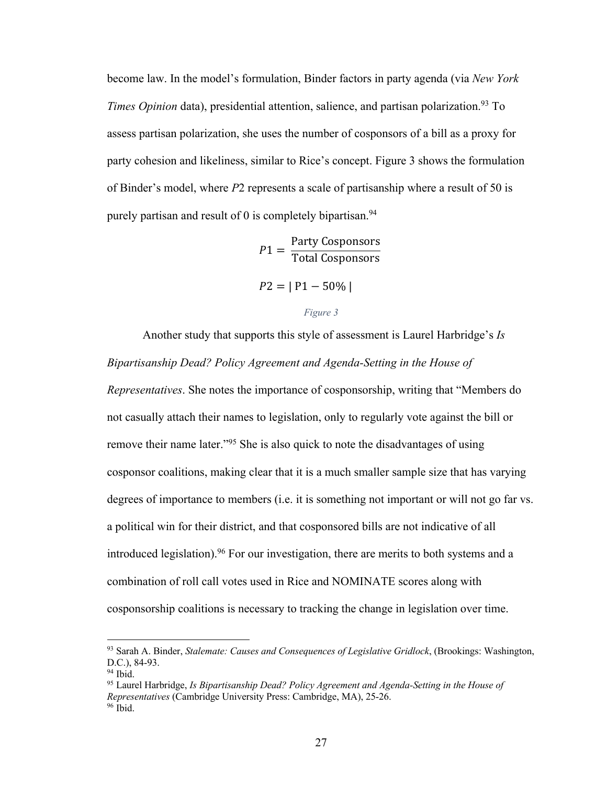become law. In the model's formulation, Binder factors in party agenda (via *New York Times Opinion* data), presidential attention, salience, and partisan polarization.<sup>93</sup> To assess partisan polarization, she uses the number of cosponsors of a bill as a proxy for party cohesion and likeliness, similar to Rice's concept. Figure 3 shows the formulation of Binder's model, where *P*2 represents a scale of partisanship where a result of 50 is purely partisan and result of 0 is completely bipartisan.<sup>94</sup>

> $P1 = \frac{\text{Party Cosponsors}}{\text{Total Cosponsors}}$  $P2 = |P1 - 50\%|$

> > *Figure 3*

Another study that supports this style of assessment is Laurel Harbridge's *Is Bipartisanship Dead? Policy Agreement and Agenda-Setting in the House of* 

*Representatives*. She notes the importance of cosponsorship, writing that "Members do not casually attach their names to legislation, only to regularly vote against the bill or remove their name later."<sup>95</sup> She is also quick to note the disadvantages of using cosponsor coalitions, making clear that it is a much smaller sample size that has varying degrees of importance to members (i.e. it is something not important or will not go far vs. a political win for their district, and that cosponsored bills are not indicative of all introduced legislation).<sup>96</sup> For our investigation, there are merits to both systems and a combination of roll call votes used in Rice and NOMINATE scores along with cosponsorship coalitions is necessary to tracking the change in legislation over time.

<sup>93</sup> Sarah A. Binder, *Stalemate: Causes and Consequences of Legislative Gridlock*, (Brookings: Washington, D.C.), 84-93.

 $94$  Ibid.

<sup>95</sup> Laurel Harbridge, *Is Bipartisanship Dead? Policy Agreement and Agenda-Setting in the House of Representatives* (Cambridge University Press: Cambridge, MA), 25-26.  $96$  Ibid.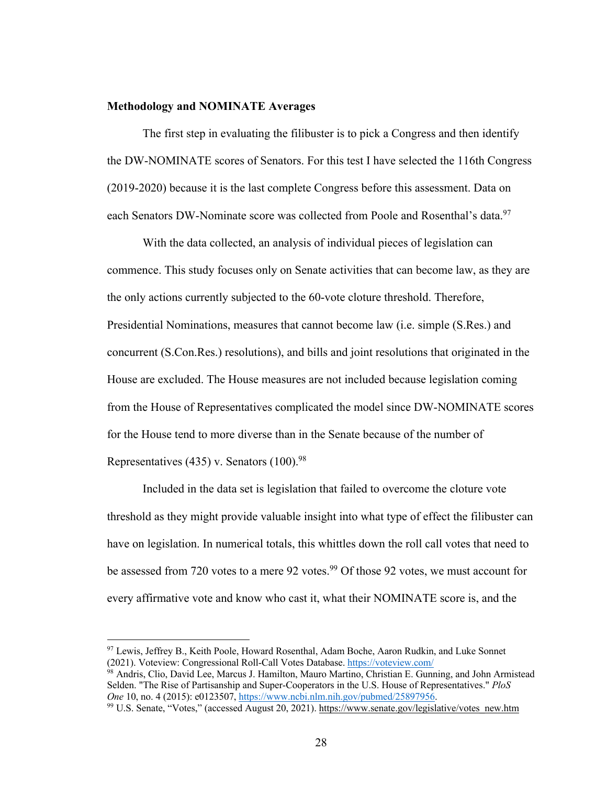## **Methodology and NOMINATE Averages**

The first step in evaluating the filibuster is to pick a Congress and then identify the DW-NOMINATE scores of Senators. For this test I have selected the 116th Congress (2019-2020) because it is the last complete Congress before this assessment. Data on each Senators DW-Nominate score was collected from Poole and Rosenthal's data.<sup>97</sup>

With the data collected, an analysis of individual pieces of legislation can commence. This study focuses only on Senate activities that can become law, as they are the only actions currently subjected to the 60-vote cloture threshold. Therefore, Presidential Nominations, measures that cannot become law (i.e. simple (S.Res.) and concurrent (S.Con.Res.) resolutions), and bills and joint resolutions that originated in the House are excluded. The House measures are not included because legislation coming from the House of Representatives complicated the model since DW-NOMINATE scores for the House tend to more diverse than in the Senate because of the number of Representatives  $(435)$  v. Senators  $(100).$ <sup>98</sup>

Included in the data set is legislation that failed to overcome the cloture vote threshold as they might provide valuable insight into what type of effect the filibuster can have on legislation. In numerical totals, this whittles down the roll call votes that need to be assessed from 720 votes to a mere 92 votes.<sup>99</sup> Of those 92 votes, we must account for every affirmative vote and know who cast it, what their NOMINATE score is, and the

<sup>97</sup> Lewis, Jeffrey B., Keith Poole, Howard Rosenthal, Adam Boche, Aaron Rudkin, and Luke Sonnet (2021). Voteview: Congressional Roll-Call Votes Database. https://voteview.com/

<sup>98</sup> Andris, Clio, David Lee, Marcus J. Hamilton, Mauro Martino, Christian E. Gunning, and John Armistead Selden. "The Rise of Partisanship and Super-Cooperators in the U.S. House of Representatives." *PloS One* 10, no. 4 (2015): e0123507, https://www.ncbi.nlm.nih.gov/pubmed/25897956.

<sup>&</sup>lt;sup>99</sup> U.S. Senate, "Votes," (accessed August 20, 2021). https://www.senate.gov/legislative/votes\_new.htm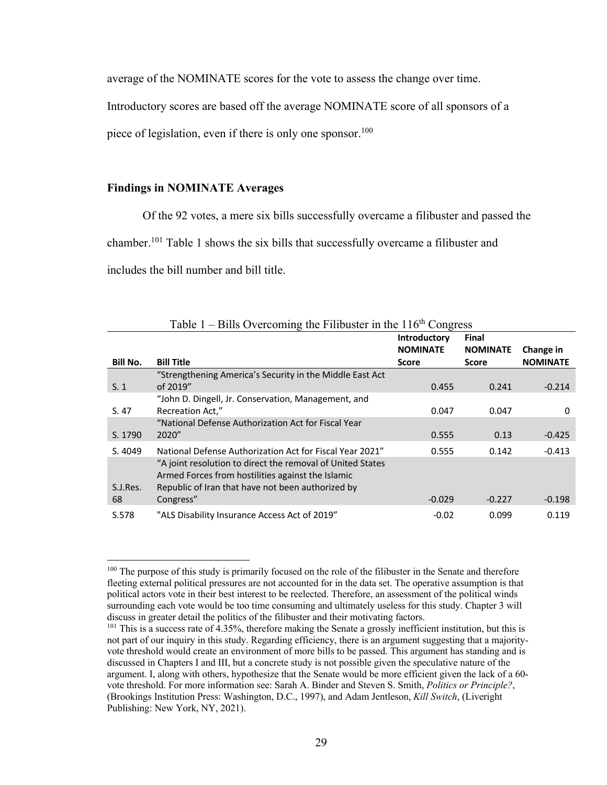average of the NOMINATE scores for the vote to assess the change over time.

Introductory scores are based off the average NOMINATE score of all sponsors of a

piece of legislation, even if there is only one sponsor.<sup>100</sup>

# **Findings in NOMINATE Averages**

Of the 92 votes, a mere six bills successfully overcame a filibuster and passed the

chamber.<sup>101</sup> Table 1 shows the six bills that successfully overcame a filibuster and

includes the bill number and bill title.

| Bill No. | <b>Bill Title</b>                                                                                                                                                    | <b>Introductory</b><br><b>NOMINATE</b><br><b>Score</b> | Final<br><b>NOMINATE</b><br><b>Score</b> | Change in<br><b>NOMINATE</b> |
|----------|----------------------------------------------------------------------------------------------------------------------------------------------------------------------|--------------------------------------------------------|------------------------------------------|------------------------------|
| S.1      | "Strengthening America's Security in the Middle East Act<br>of 2019"                                                                                                 | 0.455                                                  | 0.241                                    | $-0.214$                     |
|          | "John D. Dingell, Jr. Conservation, Management, and                                                                                                                  |                                                        |                                          |                              |
| S. 47    | Recreation Act,"                                                                                                                                                     | 0.047                                                  | 0.047                                    | 0                            |
|          | "National Defense Authorization Act for Fiscal Year                                                                                                                  |                                                        |                                          |                              |
| S. 1790  | 2020"                                                                                                                                                                | 0.555                                                  | 0.13                                     | $-0.425$                     |
| S. 4049  | National Defense Authorization Act for Fiscal Year 2021"                                                                                                             | 0.555                                                  | 0.142                                    | $-0.413$                     |
| S.J.Res. | "A joint resolution to direct the removal of United States<br>Armed Forces from hostilities against the Islamic<br>Republic of Iran that have not been authorized by |                                                        |                                          |                              |
| 68       | Congress"                                                                                                                                                            | $-0.029$                                               | $-0.227$                                 | $-0.198$                     |
| S.578    | "ALS Disability Insurance Access Act of 2019"                                                                                                                        | $-0.02$                                                | 0.099                                    | 0.119                        |

Table  $1 -$ Bills Overcoming the Filibuster in the  $116<sup>th</sup>$  Congress

<sup>&</sup>lt;sup>100</sup> The purpose of this study is primarily focused on the role of the filibuster in the Senate and therefore fleeting external political pressures are not accounted for in the data set. The operative assumption is that political actors vote in their best interest to be reelected. Therefore, an assessment of the political winds surrounding each vote would be too time consuming and ultimately useless for this study. Chapter 3 will discuss in greater detail the politics of the filibuster and their motivating factors.

 $101$  This is a success rate of 4.35%, therefore making the Senate a grossly inefficient institution, but this is not part of our inquiry in this study. Regarding efficiency, there is an argument suggesting that a majorityvote threshold would create an environment of more bills to be passed. This argument has standing and is discussed in Chapters I and III, but a concrete study is not possible given the speculative nature of the argument. I, along with others, hypothesize that the Senate would be more efficient given the lack of a 60 vote threshold. For more information see: Sarah A. Binder and Steven S. Smith, *Politics or Principle?*, (Brookings Institution Press: Washington, D.C., 1997), and Adam Jentleson, *Kill Switch*, (Liveright Publishing: New York, NY, 2021).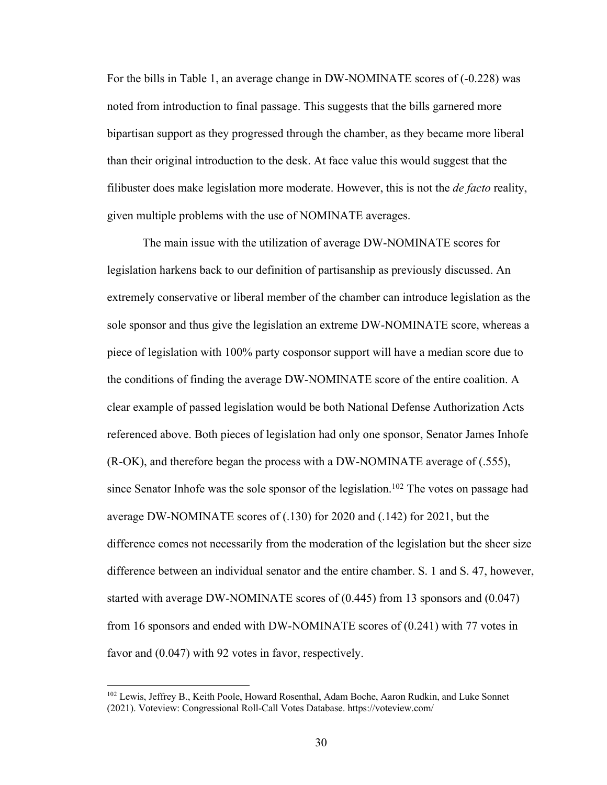For the bills in Table 1, an average change in DW-NOMINATE scores of  $(-0.228)$  was noted from introduction to final passage. This suggests that the bills garnered more bipartisan support as they progressed through the chamber, as they became more liberal than their original introduction to the desk. At face value this would suggest that the filibuster does make legislation more moderate. However, this is not the *de facto* reality, given multiple problems with the use of NOMINATE averages.

The main issue with the utilization of average DW-NOMINATE scores for legislation harkens back to our definition of partisanship as previously discussed. An extremely conservative or liberal member of the chamber can introduce legislation as the sole sponsor and thus give the legislation an extreme DW-NOMINATE score, whereas a piece of legislation with 100% party cosponsor support will have a median score due to the conditions of finding the average DW-NOMINATE score of the entire coalition. A clear example of passed legislation would be both National Defense Authorization Acts referenced above. Both pieces of legislation had only one sponsor, Senator James Inhofe (R-OK), and therefore began the process with a DW-NOMINATE average of (.555), since Senator Inhofe was the sole sponsor of the legislation.<sup>102</sup> The votes on passage had average DW-NOMINATE scores of (.130) for 2020 and (.142) for 2021, but the difference comes not necessarily from the moderation of the legislation but the sheer size difference between an individual senator and the entire chamber. S. 1 and S. 47, however, started with average DW-NOMINATE scores of (0.445) from 13 sponsors and (0.047) from 16 sponsors and ended with DW-NOMINATE scores of (0.241) with 77 votes in favor and (0.047) with 92 votes in favor, respectively.

<sup>&</sup>lt;sup>102</sup> Lewis, Jeffrey B., Keith Poole, Howard Rosenthal, Adam Boche, Aaron Rudkin, and Luke Sonnet (2021). Voteview: Congressional Roll-Call Votes Database. https://voteview.com/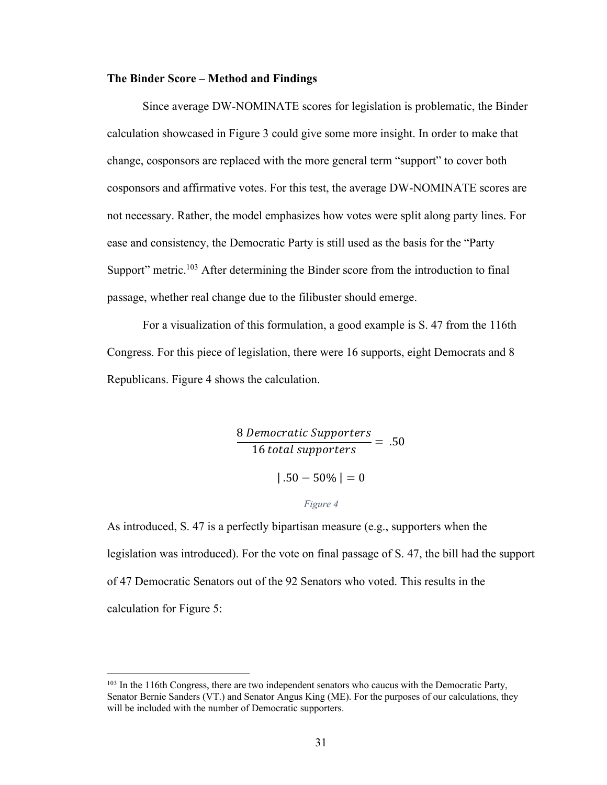## **The Binder Score – Method and Findings**

Since average DW-NOMINATE scores for legislation is problematic, the Binder calculation showcased in Figure 3 could give some more insight. In order to make that change, cosponsors are replaced with the more general term "support" to cover both cosponsors and affirmative votes. For this test, the average DW-NOMINATE scores are not necessary. Rather, the model emphasizes how votes were split along party lines. For ease and consistency, the Democratic Party is still used as the basis for the "Party Support" metric.<sup>103</sup> After determining the Binder score from the introduction to final passage, whether real change due to the filibuster should emerge.

For a visualization of this formulation, a good example is S. 47 from the 116th Congress. For this piece of legislation, there were 16 supports, eight Democrats and 8 Republicans. Figure 4 shows the calculation.

> 8 Democratic Supporters  $\frac{36888446284p^{33} \cdot 1000}{16 total supports} = .50$  $| .50 - 50\% | = 0$ *Figure 4*

As introduced, S. 47 is a perfectly bipartisan measure (e.g., supporters when the legislation was introduced). For the vote on final passage of S. 47, the bill had the support of 47 Democratic Senators out of the 92 Senators who voted. This results in the calculation for Figure 5:

<sup>&</sup>lt;sup>103</sup> In the 116th Congress, there are two independent senators who caucus with the Democratic Party, Senator Bernie Sanders (VT.) and Senator Angus King (ME). For the purposes of our calculations, they will be included with the number of Democratic supporters.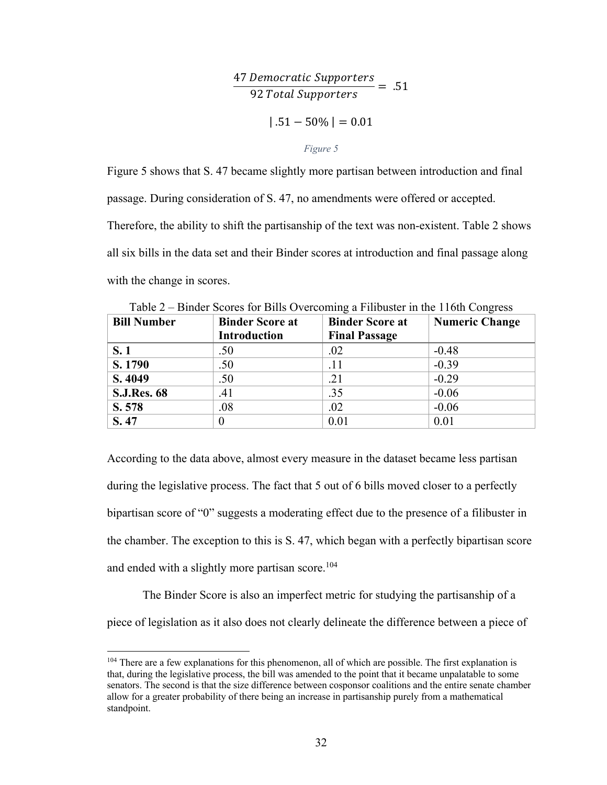47 Democratic Supporters  $\frac{1}{92}$  Total Supporters = .51  $| .51 - 50\% | = 0.01$ *Figure 5*

Figure 5 shows that S. 47 became slightly more partisan between introduction and final passage. During consideration of S. 47, no amendments were offered or accepted. Therefore, the ability to shift the partisanship of the text was non-existent. Table 2 shows all six bills in the data set and their Binder scores at introduction and final passage along with the change in scores.

| <b>Bill Number</b> | <b>Binder Score at</b> | <b>Numeric Change</b><br><b>Binder Score at</b> |         |
|--------------------|------------------------|-------------------------------------------------|---------|
|                    | <b>Introduction</b>    | <b>Final Passage</b>                            |         |
| S. 1               | .50                    | .02                                             | $-0.48$ |
| S. 1790            | .50                    | .11                                             | $-0.39$ |
| S. 4049            | .50                    | .21                                             | $-0.29$ |
| <b>S.J.Res. 68</b> | .41                    | .35                                             | $-0.06$ |
| S. 578             | .08                    | .02                                             | $-0.06$ |
| S. 47              |                        | 0.01                                            | 0.01    |

Table 2 – Binder Scores for Bills Overcoming a Filibuster in the 116th Congress

According to the data above, almost every measure in the dataset became less partisan during the legislative process. The fact that 5 out of 6 bills moved closer to a perfectly bipartisan score of "0" suggests a moderating effect due to the presence of a filibuster in the chamber. The exception to this is S. 47, which began with a perfectly bipartisan score and ended with a slightly more partisan score.<sup>104</sup>

The Binder Score is also an imperfect metric for studying the partisanship of a piece of legislation as it also does not clearly delineate the difference between a piece of

<sup>&</sup>lt;sup>104</sup> There are a few explanations for this phenomenon, all of which are possible. The first explanation is that, during the legislative process, the bill was amended to the point that it became unpalatable to some senators. The second is that the size difference between cosponsor coalitions and the entire senate chamber allow for a greater probability of there being an increase in partisanship purely from a mathematical standpoint.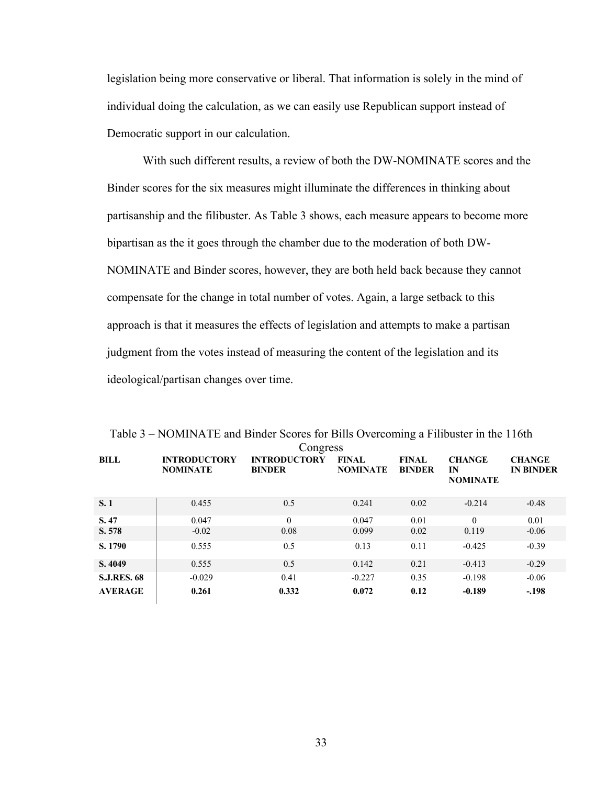legislation being more conservative or liberal. That information is solely in the mind of individual doing the calculation, as we can easily use Republican support instead of Democratic support in our calculation.

With such different results, a review of both the DW-NOMINATE scores and the Binder scores for the six measures might illuminate the differences in thinking about partisanship and the filibuster. As Table 3 shows, each measure appears to become more bipartisan as the it goes through the chamber due to the moderation of both DW-NOMINATE and Binder scores, however, they are both held back because they cannot compensate for the change in total number of votes. Again, a large setback to this approach is that it measures the effects of legislation and attempts to make a partisan judgment from the votes instead of measuring the content of the legislation and its ideological/partisan changes over time.

| Congress           |                                        |                                      |                                 |                               |                                        |                                   |
|--------------------|----------------------------------------|--------------------------------------|---------------------------------|-------------------------------|----------------------------------------|-----------------------------------|
| <b>BILL</b>        | <b>INTRODUCTORY</b><br><b>NOMINATE</b> | <b>INTRODUCTORY</b><br><b>BINDER</b> | <b>FINAL</b><br><b>NOMINATE</b> | <b>FINAL</b><br><b>BINDER</b> | <b>CHANGE</b><br>IN<br><b>NOMINATE</b> | <b>CHANGE</b><br><b>IN BINDER</b> |
| S.1                | 0.455                                  | 0.5                                  | 0.241                           | 0.02                          | $-0.214$                               | $-0.48$                           |
| S. 47              | 0.047                                  | $\Omega$                             | 0.047                           | 0.01                          | $\Omega$                               | 0.01                              |
| S. 578             | $-0.02$                                | 0.08                                 | 0.099                           | 0.02                          | 0.119                                  | $-0.06$                           |
| S. 1790            | 0.555                                  | 0.5                                  | 0.13                            | 0.11                          | $-0.425$                               | $-0.39$                           |
| S. 4049            | 0.555                                  | 0.5                                  | 0.142                           | 0.21                          | $-0.413$                               | $-0.29$                           |
| <b>S.J.RES. 68</b> | $-0.029$                               | 0.41                                 | $-0.227$                        | 0.35                          | $-0.198$                               | $-0.06$                           |
| <b>AVERAGE</b>     | 0.261                                  | 0.332                                | 0.072                           | 0.12                          | $-0.189$                               | $-.198$                           |

Table 3 – NOMINATE and Binder Scores for Bills Overcoming a Filibuster in the 116th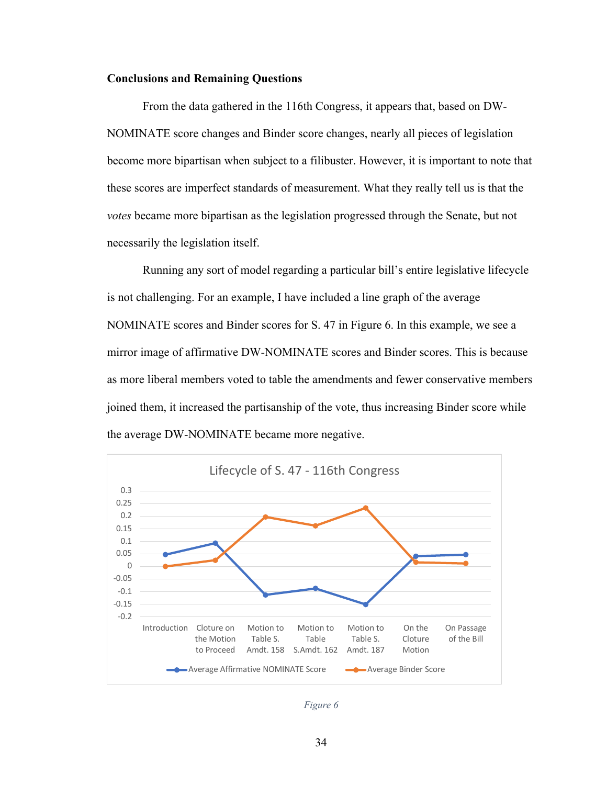## **Conclusions and Remaining Questions**

From the data gathered in the 116th Congress, it appears that, based on DW-NOMINATE score changes and Binder score changes, nearly all pieces of legislation become more bipartisan when subject to a filibuster. However, it is important to note that these scores are imperfect standards of measurement. What they really tell us is that the *votes* became more bipartisan as the legislation progressed through the Senate, but not necessarily the legislation itself.

Running any sort of model regarding a particular bill's entire legislative lifecycle is not challenging. For an example, I have included a line graph of the average NOMINATE scores and Binder scores for S. 47 in Figure 6. In this example, we see a mirror image of affirmative DW-NOMINATE scores and Binder scores. This is because as more liberal members voted to table the amendments and fewer conservative members joined them, it increased the partisanship of the vote, thus increasing Binder score while the average DW-NOMINATE became more negative.



*Figure 6*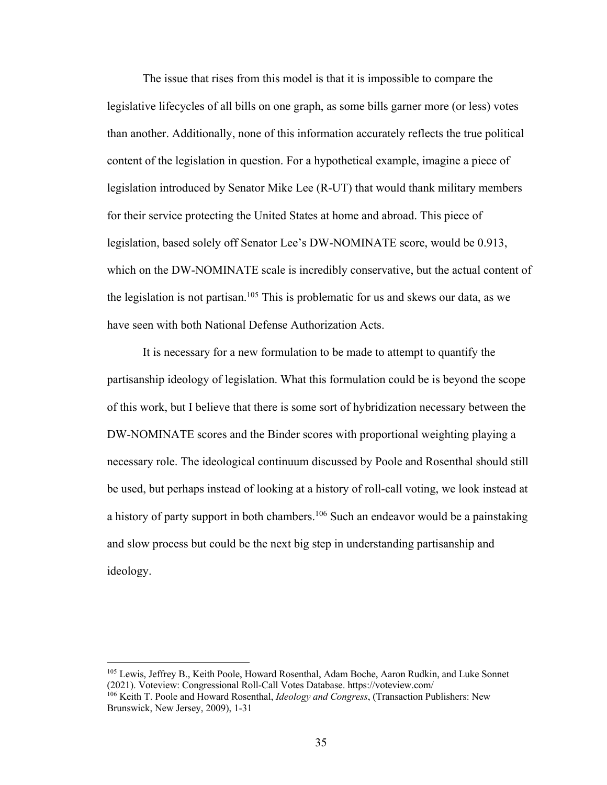The issue that rises from this model is that it is impossible to compare the legislative lifecycles of all bills on one graph, as some bills garner more (or less) votes than another. Additionally, none of this information accurately reflects the true political content of the legislation in question. For a hypothetical example, imagine a piece of legislation introduced by Senator Mike Lee (R-UT) that would thank military members for their service protecting the United States at home and abroad. This piece of legislation, based solely off Senator Lee's DW-NOMINATE score, would be 0.913, which on the DW-NOMINATE scale is incredibly conservative, but the actual content of the legislation is not partisan.<sup>105</sup> This is problematic for us and skews our data, as we have seen with both National Defense Authorization Acts.

It is necessary for a new formulation to be made to attempt to quantify the partisanship ideology of legislation. What this formulation could be is beyond the scope of this work, but I believe that there is some sort of hybridization necessary between the DW-NOMINATE scores and the Binder scores with proportional weighting playing a necessary role. The ideological continuum discussed by Poole and Rosenthal should still be used, but perhaps instead of looking at a history of roll-call voting, we look instead at a history of party support in both chambers.<sup>106</sup> Such an endeavor would be a painstaking and slow process but could be the next big step in understanding partisanship and ideology.

<sup>105</sup> Lewis, Jeffrey B., Keith Poole, Howard Rosenthal, Adam Boche, Aaron Rudkin, and Luke Sonnet (2021). Voteview: Congressional Roll-Call Votes Database. https://voteview.com/

<sup>106</sup> Keith T. Poole and Howard Rosenthal, *Ideology and Congress*, (Transaction Publishers: New Brunswick, New Jersey, 2009), 1-31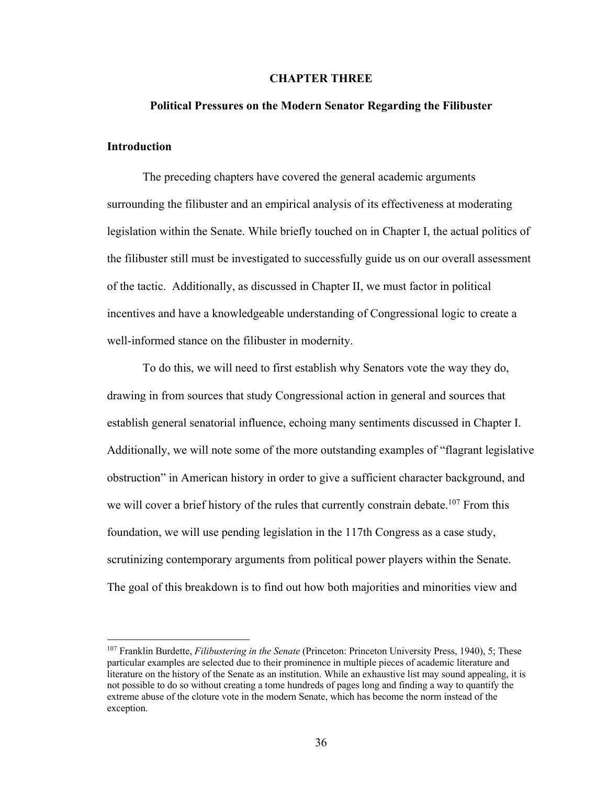## **CHAPTER THREE**

### **Political Pressures on the Modern Senator Regarding the Filibuster**

## **Introduction**

The preceding chapters have covered the general academic arguments surrounding the filibuster and an empirical analysis of its effectiveness at moderating legislation within the Senate. While briefly touched on in Chapter I, the actual politics of the filibuster still must be investigated to successfully guide us on our overall assessment of the tactic. Additionally, as discussed in Chapter II, we must factor in political incentives and have a knowledgeable understanding of Congressional logic to create a well-informed stance on the filibuster in modernity.

To do this, we will need to first establish why Senators vote the way they do, drawing in from sources that study Congressional action in general and sources that establish general senatorial influence, echoing many sentiments discussed in Chapter I. Additionally, we will note some of the more outstanding examples of "flagrant legislative obstruction" in American history in order to give a sufficient character background, and we will cover a brief history of the rules that currently constrain debate.<sup>107</sup> From this foundation, we will use pending legislation in the 117th Congress as a case study, scrutinizing contemporary arguments from political power players within the Senate. The goal of this breakdown is to find out how both majorities and minorities view and

<sup>107</sup> Franklin Burdette, *Filibustering in the Senate* (Princeton: Princeton University Press, 1940), 5; These particular examples are selected due to their prominence in multiple pieces of academic literature and literature on the history of the Senate as an institution. While an exhaustive list may sound appealing, it is not possible to do so without creating a tome hundreds of pages long and finding a way to quantify the extreme abuse of the cloture vote in the modern Senate, which has become the norm instead of the exception.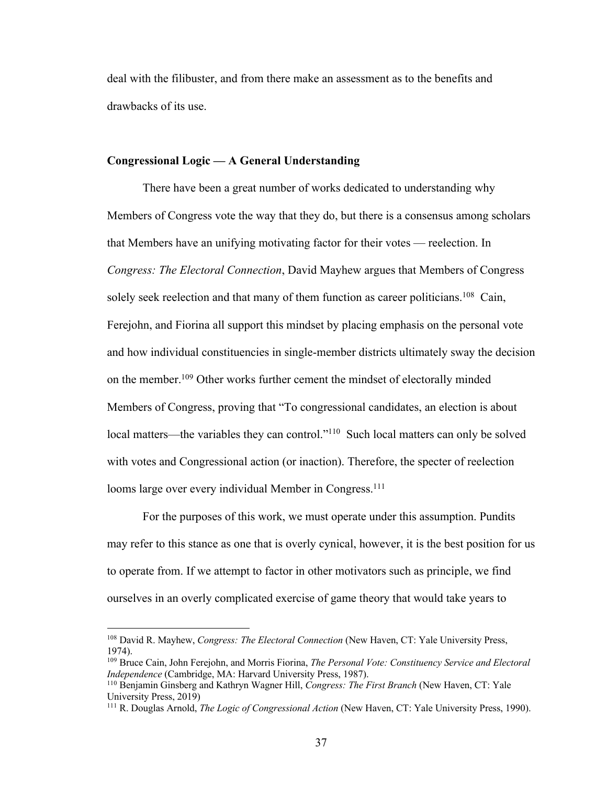deal with the filibuster, and from there make an assessment as to the benefits and drawbacks of its use.

## **Congressional Logic — A General Understanding**

There have been a great number of works dedicated to understanding why Members of Congress vote the way that they do, but there is a consensus among scholars that Members have an unifying motivating factor for their votes — reelection. In *Congress: The Electoral Connection*, David Mayhew argues that Members of Congress solely seek reelection and that many of them function as career politicians.<sup>108</sup> Cain, Ferejohn, and Fiorina all support this mindset by placing emphasis on the personal vote and how individual constituencies in single-member districts ultimately sway the decision on the member.<sup>109</sup> Other works further cement the mindset of electorally minded Members of Congress, proving that "To congressional candidates, an election is about local matters—the variables they can control."<sup>110</sup> Such local matters can only be solved with votes and Congressional action (or inaction). Therefore, the specter of reelection looms large over every individual Member in Congress.<sup>111</sup>

For the purposes of this work, we must operate under this assumption. Pundits may refer to this stance as one that is overly cynical, however, it is the best position for us to operate from. If we attempt to factor in other motivators such as principle, we find ourselves in an overly complicated exercise of game theory that would take years to

<sup>108</sup> David R. Mayhew, *Congress: The Electoral Connection* (New Haven, CT: Yale University Press, 1974).

<sup>109</sup> Bruce Cain, John Ferejohn, and Morris Fiorina, *The Personal Vote: Constituency Service and Electoral Independence* (Cambridge, MA: Harvard University Press, 1987).

<sup>110</sup> Benjamin Ginsberg and Kathryn Wagner Hill, *Congress: The First Branch* (New Haven, CT: Yale University Press, 2019)

<sup>111</sup> R. Douglas Arnold, *The Logic of Congressional Action* (New Haven, CT: Yale University Press, 1990).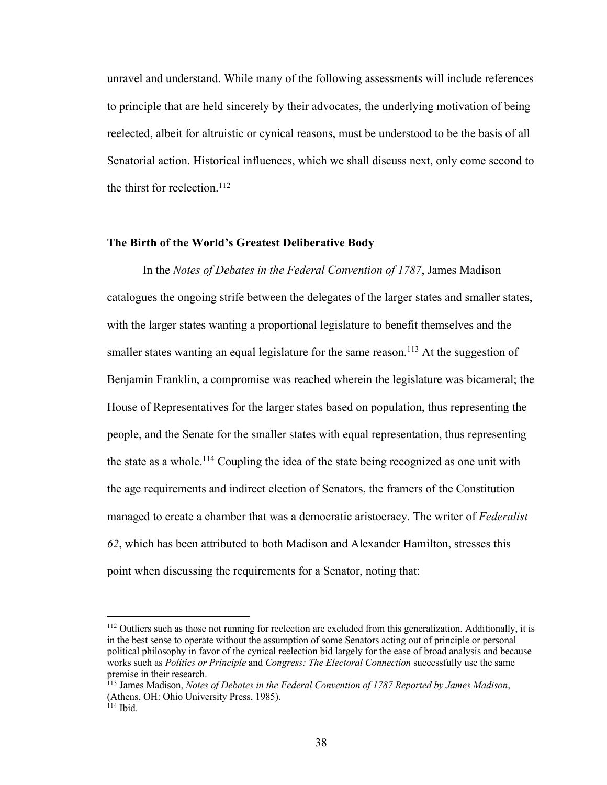unravel and understand. While many of the following assessments will include references to principle that are held sincerely by their advocates, the underlying motivation of being reelected, albeit for altruistic or cynical reasons, must be understood to be the basis of all Senatorial action. Historical influences, which we shall discuss next, only come second to the thirst for reelection.<sup>112</sup>

### **The Birth of the World's Greatest Deliberative Body**

In the *Notes of Debates in the Federal Convention of 1787*, James Madison catalogues the ongoing strife between the delegates of the larger states and smaller states, with the larger states wanting a proportional legislature to benefit themselves and the smaller states wanting an equal legislature for the same reason.<sup>113</sup> At the suggestion of Benjamin Franklin, a compromise was reached wherein the legislature was bicameral; the House of Representatives for the larger states based on population, thus representing the people, and the Senate for the smaller states with equal representation, thus representing the state as a whole. <sup>114</sup> Coupling the idea of the state being recognized as one unit with the age requirements and indirect election of Senators, the framers of the Constitution managed to create a chamber that was a democratic aristocracy. The writer of *Federalist 62*, which has been attributed to both Madison and Alexander Hamilton, stresses this point when discussing the requirements for a Senator, noting that:

<sup>&</sup>lt;sup>112</sup> Outliers such as those not running for reelection are excluded from this generalization. Additionally, it is in the best sense to operate without the assumption of some Senators acting out of principle or personal political philosophy in favor of the cynical reelection bid largely for the ease of broad analysis and because works such as *Politics or Principle* and *Congress: The Electoral Connection* successfully use the same premise in their research.

<sup>113</sup> James Madison, *Notes of Debates in the Federal Convention of 1787 Reported by James Madison*, (Athens, OH: Ohio University Press, 1985).

 $114$  Ibid.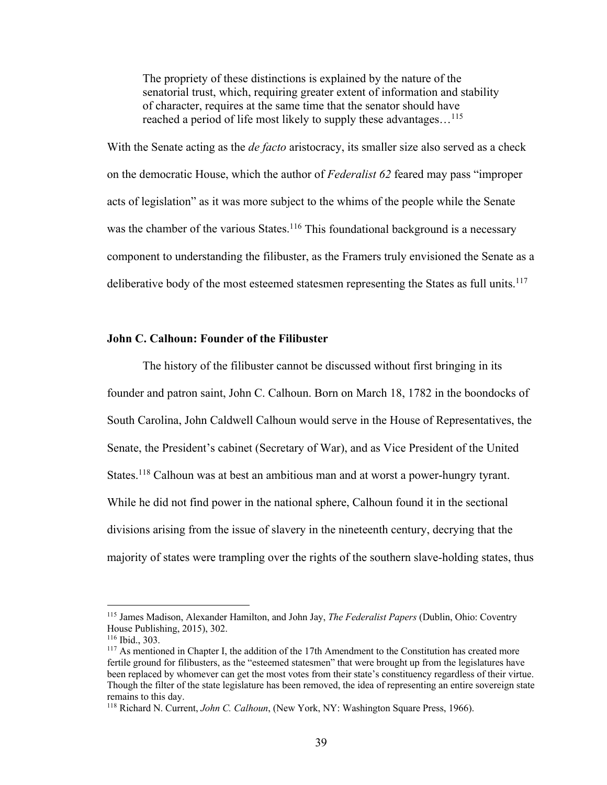The propriety of these distinctions is explained by the nature of the senatorial trust, which, requiring greater extent of information and stability of character, requires at the same time that the senator should have reached a period of life most likely to supply these advantages...<sup>115</sup>

With the Senate acting as the *de facto* aristocracy, its smaller size also served as a check on the democratic House, which the author of *Federalist 62* feared may pass "improper acts of legislation" as it was more subject to the whims of the people while the Senate was the chamber of the various States.<sup>116</sup> This foundational background is a necessary component to understanding the filibuster, as the Framers truly envisioned the Senate as a deliberative body of the most esteemed statesmen representing the States as full units.<sup>117</sup>

# **John C. Calhoun: Founder of the Filibuster**

The history of the filibuster cannot be discussed without first bringing in its founder and patron saint, John C. Calhoun. Born on March 18, 1782 in the boondocks of South Carolina, John Caldwell Calhoun would serve in the House of Representatives, the Senate, the President's cabinet (Secretary of War), and as Vice President of the United States.<sup>118</sup> Calhoun was at best an ambitious man and at worst a power-hungry tyrant. While he did not find power in the national sphere, Calhoun found it in the sectional divisions arising from the issue of slavery in the nineteenth century, decrying that the majority of states were trampling over the rights of the southern slave-holding states, thus

<sup>115</sup> James Madison, Alexander Hamilton, and John Jay, *The Federalist Papers* (Dublin, Ohio: Coventry House Publishing, 2015), 302.

<sup>116</sup> Ibid., 303.

<sup>&</sup>lt;sup>117</sup> As mentioned in Chapter I, the addition of the 17th Amendment to the Constitution has created more fertile ground for filibusters, as the "esteemed statesmen" that were brought up from the legislatures have been replaced by whomever can get the most votes from their state's constituency regardless of their virtue. Though the filter of the state legislature has been removed, the idea of representing an entire sovereign state remains to this day.

<sup>118</sup> Richard N. Current, *John C. Calhoun*, (New York, NY: Washington Square Press, 1966).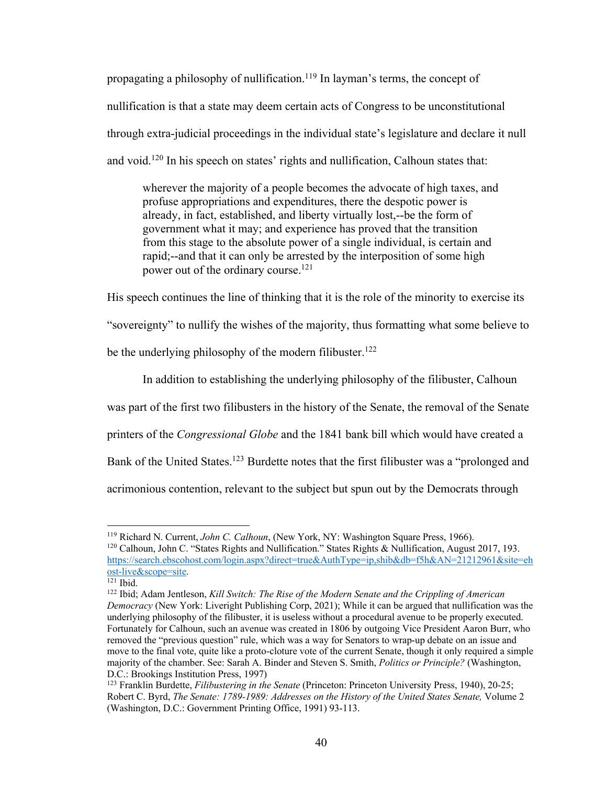propagating a philosophy of nullification. <sup>119</sup> In layman's terms, the concept of nullification is that a state may deem certain acts of Congress to be unconstitutional through extra-judicial proceedings in the individual state's legislature and declare it null and void.<sup>120</sup> In his speech on states' rights and nullification, Calhoun states that:

wherever the majority of a people becomes the advocate of high taxes, and profuse appropriations and expenditures, there the despotic power is already, in fact, established, and liberty virtually lost,--be the form of government what it may; and experience has proved that the transition from this stage to the absolute power of a single individual, is certain and rapid;--and that it can only be arrested by the interposition of some high power out of the ordinary course.<sup>121</sup>

His speech continues the line of thinking that it is the role of the minority to exercise its

"sovereignty" to nullify the wishes of the majority, thus formatting what some believe to

be the underlying philosophy of the modern filibuster.<sup>122</sup>

In addition to establishing the underlying philosophy of the filibuster, Calhoun

was part of the first two filibusters in the history of the Senate, the removal of the Senate

printers of the *Congressional Globe* and the 1841 bank bill which would have created a

Bank of the United States.<sup>123</sup> Burdette notes that the first filibuster was a "prolonged and

acrimonious contention, relevant to the subject but spun out by the Democrats through

<sup>120</sup> Calhoun, John C. "States Rights and Nullification." States Rights & Nullification, August 2017, 193. https://search.ebscohost.com/login.aspx?direct=true&AuthType=ip,shib&db=f5h&AN=21212961&site=eh ost-live&scope=site.

<sup>119</sup> Richard N. Current, *John C. Calhoun*, (New York, NY: Washington Square Press, 1966).

 $\overline{^{121}}$  Ibid.

<sup>122</sup> Ibid; Adam Jentleson, *Kill Switch: The Rise of the Modern Senate and the Crippling of American Democracy* (New York: Liveright Publishing Corp, 2021); While it can be argued that nullification was the underlying philosophy of the filibuster, it is useless without a procedural avenue to be properly executed. Fortunately for Calhoun, such an avenue was created in 1806 by outgoing Vice President Aaron Burr, who removed the "previous question" rule, which was a way for Senators to wrap-up debate on an issue and move to the final vote, quite like a proto-cloture vote of the current Senate, though it only required a simple majority of the chamber. See: Sarah A. Binder and Steven S. Smith, *Politics or Principle?* (Washington, D.C.: Brookings Institution Press, 1997)

<sup>123</sup> Franklin Burdette, *Filibustering in the Senate* (Princeton: Princeton University Press, 1940), 20-25; Robert C. Byrd, *The Senate: 1789-1989: Addresses on the History of the United States Senate*, Volume 2 (Washington, D.C.: Government Printing Office, 1991) 93-113.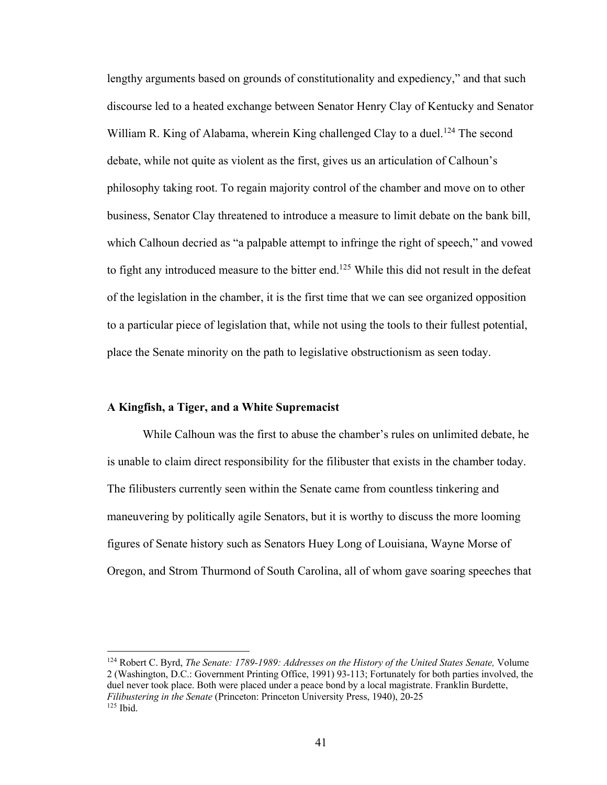lengthy arguments based on grounds of constitutionality and expediency," and that such discourse led to a heated exchange between Senator Henry Clay of Kentucky and Senator William R. King of Alabama, wherein King challenged Clay to a duel.<sup>124</sup> The second debate, while not quite as violent as the first, gives us an articulation of Calhoun's philosophy taking root. To regain majority control of the chamber and move on to other business, Senator Clay threatened to introduce a measure to limit debate on the bank bill, which Calhoun decried as "a palpable attempt to infringe the right of speech," and vowed to fight any introduced measure to the bitter end.<sup>125</sup> While this did not result in the defeat of the legislation in the chamber, it is the first time that we can see organized opposition to a particular piece of legislation that, while not using the tools to their fullest potential, place the Senate minority on the path to legislative obstructionism as seen today.

## **A Kingfish, a Tiger, and a White Supremacist**

While Calhoun was the first to abuse the chamber's rules on unlimited debate, he is unable to claim direct responsibility for the filibuster that exists in the chamber today. The filibusters currently seen within the Senate came from countless tinkering and maneuvering by politically agile Senators, but it is worthy to discuss the more looming figures of Senate history such as Senators Huey Long of Louisiana, Wayne Morse of Oregon, and Strom Thurmond of South Carolina, all of whom gave soaring speeches that

<sup>124</sup> Robert C. Byrd, *The Senate: 1789-1989: Addresses on the History of the United States Senate,* Volume 2 (Washington, D.C.: Government Printing Office, 1991) 93-113; Fortunately for both parties involved, the duel never took place. Both were placed under a peace bond by a local magistrate. Franklin Burdette, *Filibustering in the Senate* (Princeton: Princeton University Press, 1940), 20-25 <sup>125</sup> Ibid.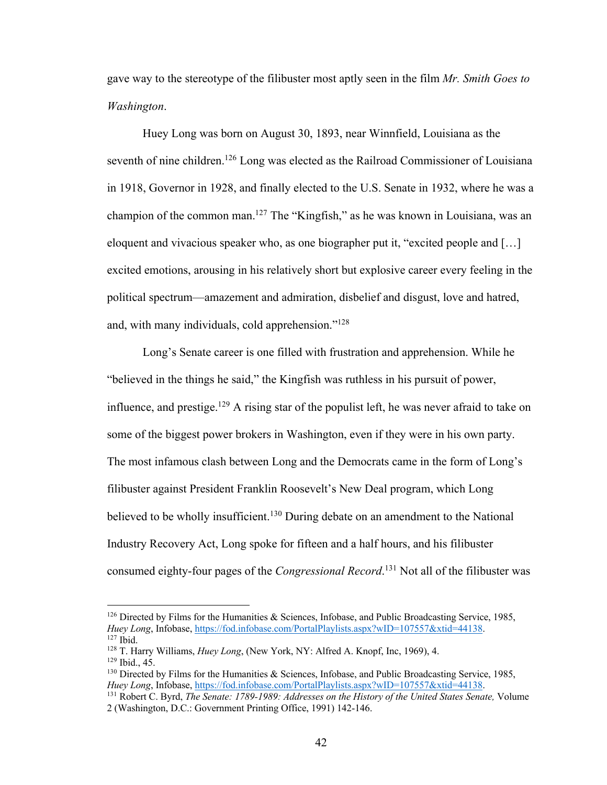gave way to the stereotype of the filibuster most aptly seen in the film *Mr. Smith Goes to Washington*.

Huey Long was born on August 30, 1893, near Winnfield, Louisiana as the seventh of nine children.<sup>126</sup> Long was elected as the Railroad Commissioner of Louisiana in 1918, Governor in 1928, and finally elected to the U.S. Senate in 1932, where he was a champion of the common man. <sup>127</sup> The "Kingfish," as he was known in Louisiana, was an eloquent and vivacious speaker who, as one biographer put it, "excited people and […] excited emotions, arousing in his relatively short but explosive career every feeling in the political spectrum—amazement and admiration, disbelief and disgust, love and hatred, and, with many individuals, cold apprehension."<sup>128</sup>

Long's Senate career is one filled with frustration and apprehension. While he "believed in the things he said," the Kingfish was ruthless in his pursuit of power, influence, and prestige.<sup>129</sup> A rising star of the populist left, he was never afraid to take on some of the biggest power brokers in Washington, even if they were in his own party. The most infamous clash between Long and the Democrats came in the form of Long's filibuster against President Franklin Roosevelt's New Deal program, which Long believed to be wholly insufficient.<sup>130</sup> During debate on an amendment to the National Industry Recovery Act, Long spoke for fifteen and a half hours, and his filibuster consumed eighty-four pages of the *Congressional Record*. <sup>131</sup> Not all of the filibuster was

<sup>&</sup>lt;sup>126</sup> Directed by Films for the Humanities & Sciences, Infobase, and Public Broadcasting Service, 1985, *Huey Long*, Infobase, https://fod.infobase.com/PortalPlaylists.aspx?wID=107557&xtid=44138.  $127$  Ibid.

<sup>128</sup> T. Harry Williams, *Huey Long*, (New York, NY: Alfred A. Knopf, Inc, 1969), 4.  $129$  Ibid., 45.

<sup>&</sup>lt;sup>130</sup> Directed by Films for the Humanities & Sciences, Infobase, and Public Broadcasting Service, 1985, *Huey Long*, Infobase, https://fod.infobase.com/PortalPlaylists.aspx?wID=107557&xtid=44138.

<sup>131</sup> Robert C. Byrd, *The Senate: 1789-1989: Addresses on the History of the United States Senate,* Volume 2 (Washington, D.C.: Government Printing Office, 1991) 142-146.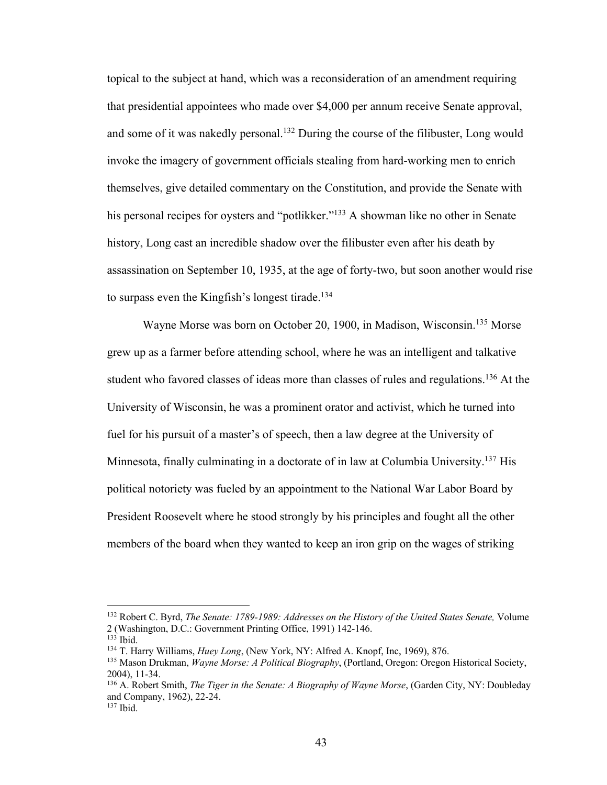topical to the subject at hand, which was a reconsideration of an amendment requiring that presidential appointees who made over \$4,000 per annum receive Senate approval, and some of it was nakedly personal.<sup>132</sup> During the course of the filibuster, Long would invoke the imagery of government officials stealing from hard-working men to enrich themselves, give detailed commentary on the Constitution, and provide the Senate with his personal recipes for oysters and "potlikker."<sup>133</sup> A showman like no other in Senate history, Long cast an incredible shadow over the filibuster even after his death by assassination on September 10, 1935, at the age of forty-two, but soon another would rise to surpass even the Kingfish's longest tirade. 134

Wayne Morse was born on October 20, 1900, in Madison, Wisconsin.<sup>135</sup> Morse grew up as a farmer before attending school, where he was an intelligent and talkative student who favored classes of ideas more than classes of rules and regulations.<sup>136</sup> At the University of Wisconsin, he was a prominent orator and activist, which he turned into fuel for his pursuit of a master's of speech, then a law degree at the University of Minnesota, finally culminating in a doctorate of in law at Columbia University.<sup>137</sup> His political notoriety was fueled by an appointment to the National War Labor Board by President Roosevelt where he stood strongly by his principles and fought all the other members of the board when they wanted to keep an iron grip on the wages of striking

<sup>132</sup> Robert C. Byrd, *The Senate: 1789-1989: Addresses on the History of the United States Senate,* Volume 2 (Washington, D.C.: Government Printing Office, 1991) 142-146.

 $133$  Ibid.

<sup>134</sup> T. Harry Williams, *Huey Long*, (New York, NY: Alfred A. Knopf, Inc, 1969), 876.

<sup>135</sup> Mason Drukman, *Wayne Morse: A Political Biography*, (Portland, Oregon: Oregon Historical Society, 2004), 11-34.

<sup>136</sup> A. Robert Smith, *The Tiger in the Senate: A Biography of Wayne Morse*, (Garden City, NY: Doubleday and Company, 1962), 22-24.

<sup>137</sup> Ibid.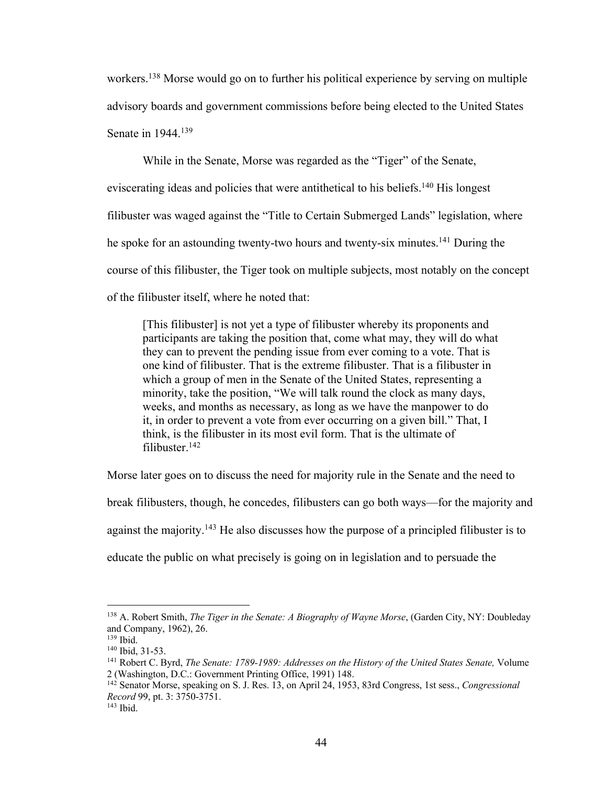workers.<sup>138</sup> Morse would go on to further his political experience by serving on multiple advisory boards and government commissions before being elected to the United States Senate in 1944.<sup>139</sup>

While in the Senate, Morse was regarded as the "Tiger" of the Senate, eviscerating ideas and policies that were antithetical to his beliefs.<sup>140</sup> His longest filibuster was waged against the "Title to Certain Submerged Lands" legislation, where he spoke for an astounding twenty-two hours and twenty-six minutes.<sup>141</sup> During the course of this filibuster, the Tiger took on multiple subjects, most notably on the concept of the filibuster itself, where he noted that:

[This filibuster] is not yet a type of filibuster whereby its proponents and participants are taking the position that, come what may, they will do what they can to prevent the pending issue from ever coming to a vote. That is one kind of filibuster. That is the extreme filibuster. That is a filibuster in which a group of men in the Senate of the United States, representing a minority, take the position, "We will talk round the clock as many days, weeks, and months as necessary, as long as we have the manpower to do it, in order to prevent a vote from ever occurring on a given bill." That, I think, is the filibuster in its most evil form. That is the ultimate of filibuster.<sup>142</sup>

Morse later goes on to discuss the need for majority rule in the Senate and the need to

break filibusters, though, he concedes, filibusters can go both ways—for the majority and

against the majority.<sup>143</sup> He also discusses how the purpose of a principled filibuster is to

educate the public on what precisely is going on in legislation and to persuade the

<sup>138</sup> A. Robert Smith, *The Tiger in the Senate: A Biography of Wayne Morse*, (Garden City, NY: Doubleday and Company, 1962), 26.

<sup>139</sup> Ibid.

<sup>140</sup> Ibid, 31-53.

<sup>141</sup> Robert C. Byrd, *The Senate: 1789-1989: Addresses on the History of the United States Senate,* Volume 2 (Washington, D.C.: Government Printing Office, 1991) 148.

<sup>142</sup> Senator Morse, speaking on S. J. Res. 13, on April 24, 1953, 83rd Congress, 1st sess., *Congressional Record* 99, pt. 3: 3750-3751.

<sup>143</sup> Ibid.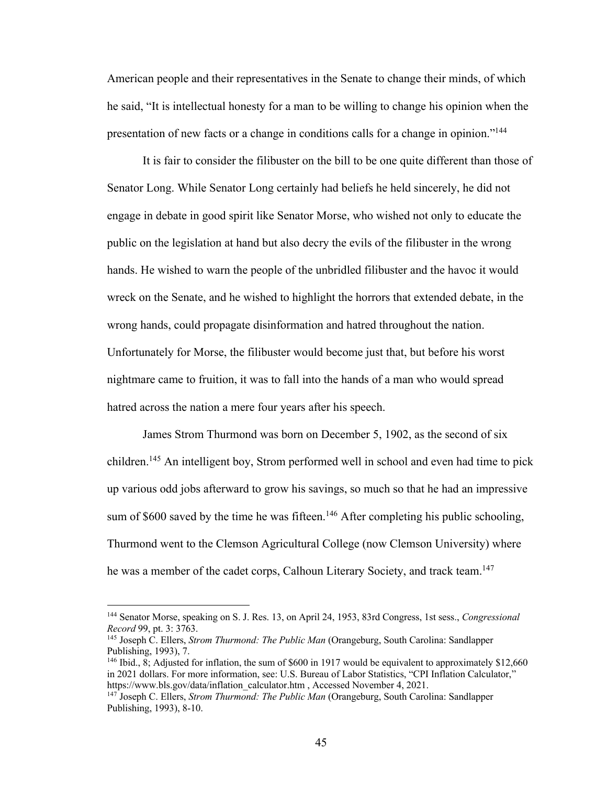American people and their representatives in the Senate to change their minds, of which he said, "It is intellectual honesty for a man to be willing to change his opinion when the presentation of new facts or a change in conditions calls for a change in opinion."<sup>144</sup>

It is fair to consider the filibuster on the bill to be one quite different than those of Senator Long. While Senator Long certainly had beliefs he held sincerely, he did not engage in debate in good spirit like Senator Morse, who wished not only to educate the public on the legislation at hand but also decry the evils of the filibuster in the wrong hands. He wished to warn the people of the unbridled filibuster and the havoc it would wreck on the Senate, and he wished to highlight the horrors that extended debate, in the wrong hands, could propagate disinformation and hatred throughout the nation. Unfortunately for Morse, the filibuster would become just that, but before his worst nightmare came to fruition, it was to fall into the hands of a man who would spread hatred across the nation a mere four years after his speech.

James Strom Thurmond was born on December 5, 1902, as the second of six children.<sup>145</sup> An intelligent boy, Strom performed well in school and even had time to pick up various odd jobs afterward to grow his savings, so much so that he had an impressive sum of  $$600$  saved by the time he was fifteen.<sup>146</sup> After completing his public schooling, Thurmond went to the Clemson Agricultural College (now Clemson University) where he was a member of the cadet corps, Calhoun Literary Society, and track team.<sup>147</sup>

<sup>144</sup> Senator Morse, speaking on S. J. Res. 13, on April 24, 1953, 83rd Congress, 1st sess., *Congressional Record* 99, pt. 3: 3763.

<sup>145</sup> Joseph C. Ellers, *Strom Thurmond: The Public Man* (Orangeburg, South Carolina: Sandlapper Publishing, 1993), 7.

<sup>146</sup> Ibid., 8; Adjusted for inflation, the sum of \$600 in 1917 would be equivalent to approximately \$12,660 in 2021 dollars. For more information, see: U.S. Bureau of Labor Statistics, "CPI Inflation Calculator," https://www.bls.gov/data/inflation\_calculator.htm , Accessed November 4, 2021.

<sup>147</sup> Joseph C. Ellers, *Strom Thurmond: The Public Man* (Orangeburg, South Carolina: Sandlapper Publishing, 1993), 8-10.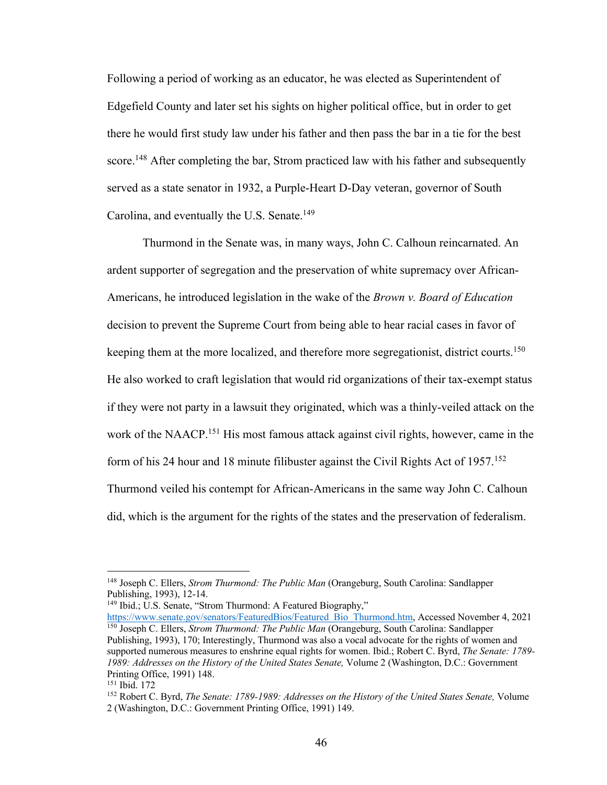Following a period of working as an educator, he was elected as Superintendent of Edgefield County and later set his sights on higher political office, but in order to get there he would first study law under his father and then pass the bar in a tie for the best score.<sup>148</sup> After completing the bar, Strom practiced law with his father and subsequently served as a state senator in 1932, a Purple-Heart D-Day veteran, governor of South Carolina, and eventually the U.S. Senate.<sup>149</sup>

Thurmond in the Senate was, in many ways, John C. Calhoun reincarnated. An ardent supporter of segregation and the preservation of white supremacy over African-Americans, he introduced legislation in the wake of the *Brown v. Board of Education* decision to prevent the Supreme Court from being able to hear racial cases in favor of keeping them at the more localized, and therefore more segregationist, district courts.<sup>150</sup> He also worked to craft legislation that would rid organizations of their tax-exempt status if they were not party in a lawsuit they originated, which was a thinly-veiled attack on the work of the NAACP.<sup>151</sup> His most famous attack against civil rights, however, came in the form of his 24 hour and 18 minute filibuster against the Civil Rights Act of 1957.<sup>152</sup> Thurmond veiled his contempt for African-Americans in the same way John C. Calhoun did, which is the argument for the rights of the states and the preservation of federalism.

<sup>149</sup> Ibid.; U.S. Senate, "Strom Thurmond: A Featured Biography,"

<sup>148</sup> Joseph C. Ellers, *Strom Thurmond: The Public Man* (Orangeburg, South Carolina: Sandlapper Publishing, 1993), 12-14.

https://www.senate.gov/senators/FeaturedBios/Featured\_Bio\_Thurmond.htm, Accessed November 4, 2021 <sup>150</sup> Joseph C. Ellers, *Strom Thurmond: The Public Man* (Orangeburg, South Carolina: Sandlapper Publishing, 1993), 170; Interestingly, Thurmond was also a vocal advocate for the rights of women and supported numerous measures to enshrine equal rights for women. Ibid.; Robert C. Byrd, *The Senate: 1789- 1989: Addresses on the History of the United States Senate,* Volume 2 (Washington, D.C.: Government Printing Office, 1991) 148.

<sup>151</sup> Ibid. 172

<sup>152</sup> Robert C. Byrd, *The Senate: 1789-1989: Addresses on the History of the United States Senate,* Volume 2 (Washington, D.C.: Government Printing Office, 1991) 149.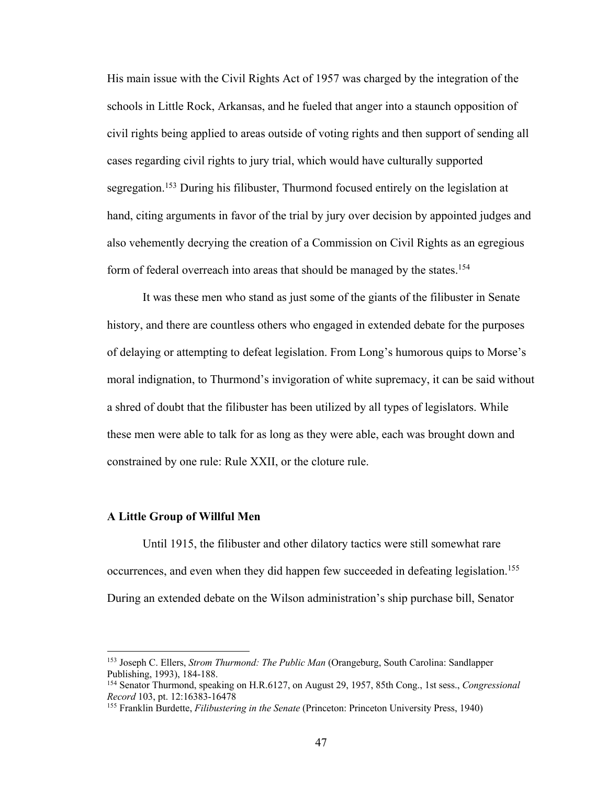His main issue with the Civil Rights Act of 1957 was charged by the integration of the schools in Little Rock, Arkansas, and he fueled that anger into a staunch opposition of civil rights being applied to areas outside of voting rights and then support of sending all cases regarding civil rights to jury trial, which would have culturally supported segregation.<sup>153</sup> During his filibuster, Thurmond focused entirely on the legislation at hand, citing arguments in favor of the trial by jury over decision by appointed judges and also vehemently decrying the creation of a Commission on Civil Rights as an egregious form of federal overreach into areas that should be managed by the states.<sup>154</sup>

It was these men who stand as just some of the giants of the filibuster in Senate history, and there are countless others who engaged in extended debate for the purposes of delaying or attempting to defeat legislation. From Long's humorous quips to Morse's moral indignation, to Thurmond's invigoration of white supremacy, it can be said without a shred of doubt that the filibuster has been utilized by all types of legislators. While these men were able to talk for as long as they were able, each was brought down and constrained by one rule: Rule XXII, or the cloture rule.

## **A Little Group of Willful Men**

Until 1915, the filibuster and other dilatory tactics were still somewhat rare occurrences, and even when they did happen few succeeded in defeating legislation.<sup>155</sup> During an extended debate on the Wilson administration's ship purchase bill, Senator

<sup>153</sup> Joseph C. Ellers, *Strom Thurmond: The Public Man* (Orangeburg, South Carolina: Sandlapper Publishing, 1993), 184-188.

<sup>154</sup> Senator Thurmond, speaking on H.R.6127, on August 29, 1957, 85th Cong., 1st sess., *Congressional Record* 103, pt. 12:16383-16478

<sup>155</sup> Franklin Burdette, *Filibustering in the Senate* (Princeton: Princeton University Press, 1940)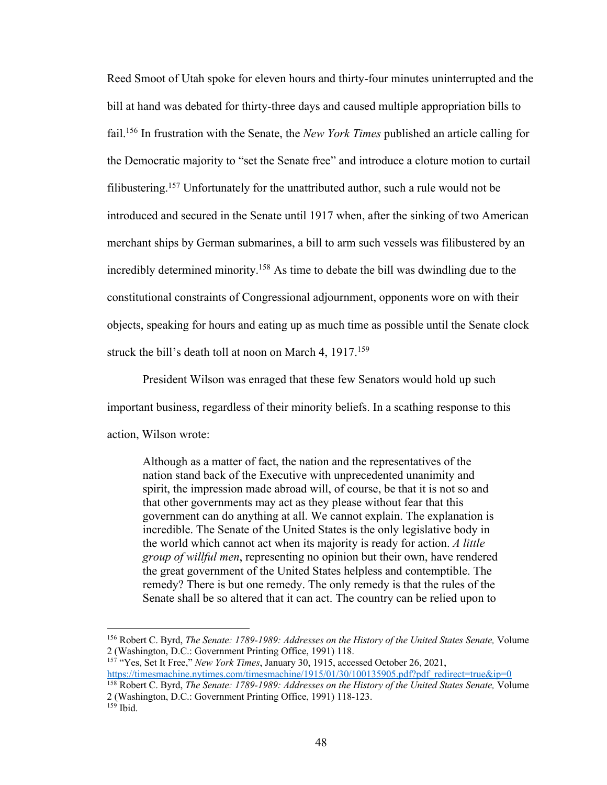Reed Smoot of Utah spoke for eleven hours and thirty-four minutes uninterrupted and the bill at hand was debated for thirty-three days and caused multiple appropriation bills to fail.<sup>156</sup> In frustration with the Senate, the *New York Times* published an article calling for the Democratic majority to "set the Senate free" and introduce a cloture motion to curtail filibustering.<sup>157</sup> Unfortunately for the unattributed author, such a rule would not be introduced and secured in the Senate until 1917 when, after the sinking of two American merchant ships by German submarines, a bill to arm such vessels was filibustered by an incredibly determined minority.<sup>158</sup> As time to debate the bill was dwindling due to the constitutional constraints of Congressional adjournment, opponents wore on with their objects, speaking for hours and eating up as much time as possible until the Senate clock struck the bill's death toll at noon on March 4, 1917.<sup>159</sup>

President Wilson was enraged that these few Senators would hold up such important business, regardless of their minority beliefs. In a scathing response to this action, Wilson wrote:

Although as a matter of fact, the nation and the representatives of the nation stand back of the Executive with unprecedented unanimity and spirit, the impression made abroad will, of course, be that it is not so and that other governments may act as they please without fear that this government can do anything at all. We cannot explain. The explanation is incredible. The Senate of the United States is the only legislative body in the world which cannot act when its majority is ready for action. *A little group of willful men*, representing no opinion but their own, have rendered the great government of the United States helpless and contemptible. The remedy? There is but one remedy. The only remedy is that the rules of the Senate shall be so altered that it can act. The country can be relied upon to

<sup>156</sup> Robert C. Byrd, *The Senate: 1789-1989: Addresses on the History of the United States Senate,* Volume 2 (Washington, D.C.: Government Printing Office, 1991) 118.

<sup>157</sup> "Yes, Set It Free," *New York Times*, January 30, 1915, accessed October 26, 2021, https://timesmachine.nytimes.com/timesmachine/1915/01/30/100135905.pdf?pdf\_redirect=true&ip=0 <sup>158</sup> Robert C. Byrd, *The Senate: 1789-1989: Addresses on the History of the United States Senate,* Volume

<sup>2</sup> (Washington, D.C.: Government Printing Office, 1991) 118-123.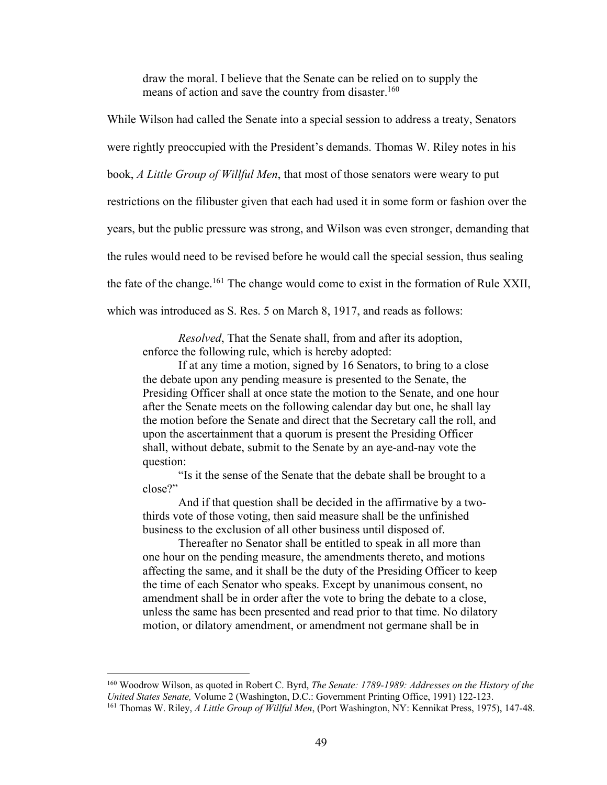draw the moral. I believe that the Senate can be relied on to supply the means of action and save the country from disaster.<sup>160</sup>

While Wilson had called the Senate into a special session to address a treaty, Senators were rightly preoccupied with the President's demands. Thomas W. Riley notes in his book, *A Little Group of Willful Men*, that most of those senators were weary to put restrictions on the filibuster given that each had used it in some form or fashion over the years, but the public pressure was strong, and Wilson was even stronger, demanding that the rules would need to be revised before he would call the special session, thus sealing the fate of the change. <sup>161</sup> The change would come to exist in the formation of Rule XXII, which was introduced as S. Res. 5 on March 8, 1917, and reads as follows:

*Resolved*, That the Senate shall, from and after its adoption, enforce the following rule, which is hereby adopted:

If at any time a motion, signed by 16 Senators, to bring to a close the debate upon any pending measure is presented to the Senate, the Presiding Officer shall at once state the motion to the Senate, and one hour after the Senate meets on the following calendar day but one, he shall lay the motion before the Senate and direct that the Secretary call the roll, and upon the ascertainment that a quorum is present the Presiding Officer shall, without debate, submit to the Senate by an aye-and-nay vote the question:

"Is it the sense of the Senate that the debate shall be brought to a close?"

And if that question shall be decided in the affirmative by a twothirds vote of those voting, then said measure shall be the unfinished business to the exclusion of all other business until disposed of.

Thereafter no Senator shall be entitled to speak in all more than one hour on the pending measure, the amendments thereto, and motions affecting the same, and it shall be the duty of the Presiding Officer to keep the time of each Senator who speaks. Except by unanimous consent, no amendment shall be in order after the vote to bring the debate to a close, unless the same has been presented and read prior to that time. No dilatory motion, or dilatory amendment, or amendment not germane shall be in

<sup>160</sup> Woodrow Wilson, as quoted in Robert C. Byrd, *The Senate: 1789-1989: Addresses on the History of the United States Senate,* Volume 2 (Washington, D.C.: Government Printing Office, 1991) 122-123.

<sup>161</sup> Thomas W. Riley, *A Little Group of Willful Men*, (Port Washington, NY: Kennikat Press, 1975), 147-48.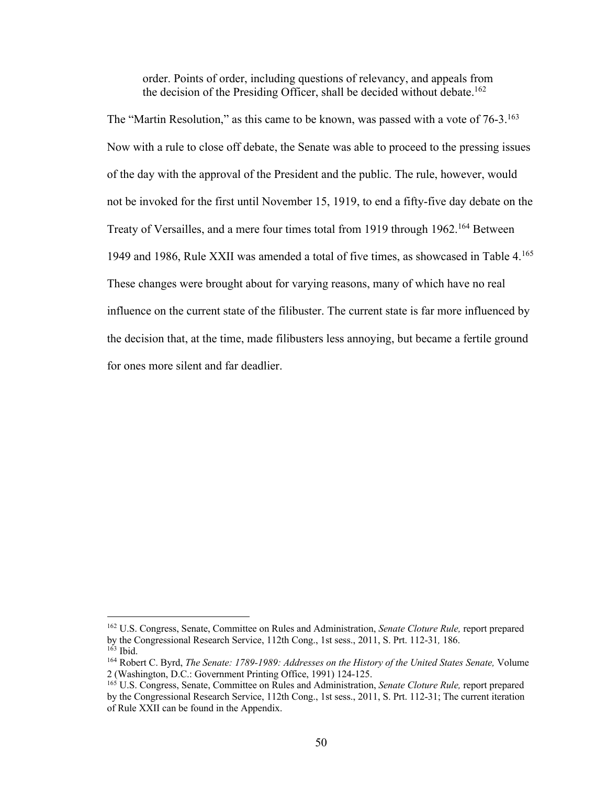order. Points of order, including questions of relevancy, and appeals from the decision of the Presiding Officer, shall be decided without debate.<sup>162</sup>

The "Martin Resolution," as this came to be known, was passed with a vote of 76-3.<sup>163</sup> Now with a rule to close off debate, the Senate was able to proceed to the pressing issues of the day with the approval of the President and the public. The rule, however, would not be invoked for the first until November 15, 1919, to end a fifty-five day debate on the Treaty of Versailles, and a mere four times total from 1919 through 1962.<sup>164</sup> Between 1949 and 1986, Rule XXII was amended a total of five times, as showcased in Table 4. 165 These changes were brought about for varying reasons, many of which have no real influence on the current state of the filibuster. The current state is far more influenced by the decision that, at the time, made filibusters less annoying, but became a fertile ground for ones more silent and far deadlier.

<sup>162</sup> U.S. Congress, Senate, Committee on Rules and Administration, *Senate Cloture Rule,* report prepared by the Congressional Research Service, 112th Cong., 1st sess., 2011, S. Prt. 112-31*,* 186. <sup>163</sup> Ibid.

<sup>164</sup> Robert C. Byrd, *The Senate: 1789-1989: Addresses on the History of the United States Senate,* Volume 2 (Washington, D.C.: Government Printing Office, 1991) 124-125.

<sup>165</sup> U.S. Congress, Senate, Committee on Rules and Administration, *Senate Cloture Rule,* report prepared by the Congressional Research Service, 112th Cong., 1st sess., 2011, S. Prt. 112-31; The current iteration of Rule XXII can be found in the Appendix.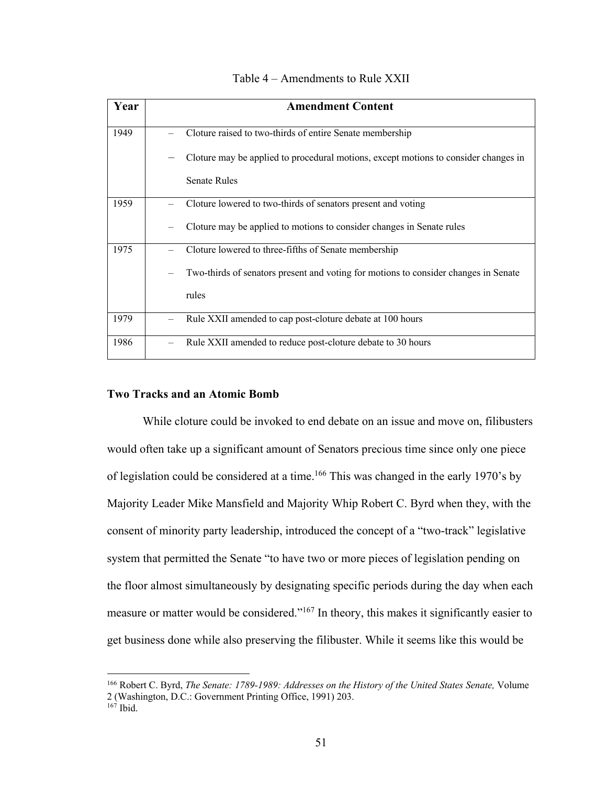| Year | <b>Amendment Content</b>                                                            |
|------|-------------------------------------------------------------------------------------|
| 1949 | Cloture raised to two-thirds of entire Senate membership                            |
|      | Cloture may be applied to procedural motions, except motions to consider changes in |
|      | <b>Senate Rules</b>                                                                 |
| 1959 | Cloture lowered to two-thirds of senators present and voting                        |
|      | Cloture may be applied to motions to consider changes in Senate rules               |
| 1975 | Cloture lowered to three-fifths of Senate membership                                |
|      | Two-thirds of senators present and voting for motions to consider changes in Senate |
|      | rules                                                                               |
| 1979 | Rule XXII amended to cap post-cloture debate at 100 hours                           |
| 1986 | Rule XXII amended to reduce post-cloture debate to 30 hours                         |

### Table 4 – Amendments to Rule XXII

# **Two Tracks and an Atomic Bomb**

While cloture could be invoked to end debate on an issue and move on, filibusters would often take up a significant amount of Senators precious time since only one piece of legislation could be considered at a time.<sup>166</sup> This was changed in the early 1970's by Majority Leader Mike Mansfield and Majority Whip Robert C. Byrd when they, with the consent of minority party leadership, introduced the concept of a "two-track" legislative system that permitted the Senate "to have two or more pieces of legislation pending on the floor almost simultaneously by designating specific periods during the day when each measure or matter would be considered."<sup>167</sup> In theory, this makes it significantly easier to get business done while also preserving the filibuster. While it seems like this would be

<sup>166</sup> Robert C. Byrd, *The Senate: 1789-1989: Addresses on the History of the United States Senate,* Volume 2 (Washington, D.C.: Government Printing Office, 1991) 203.

<sup>167</sup> Ibid.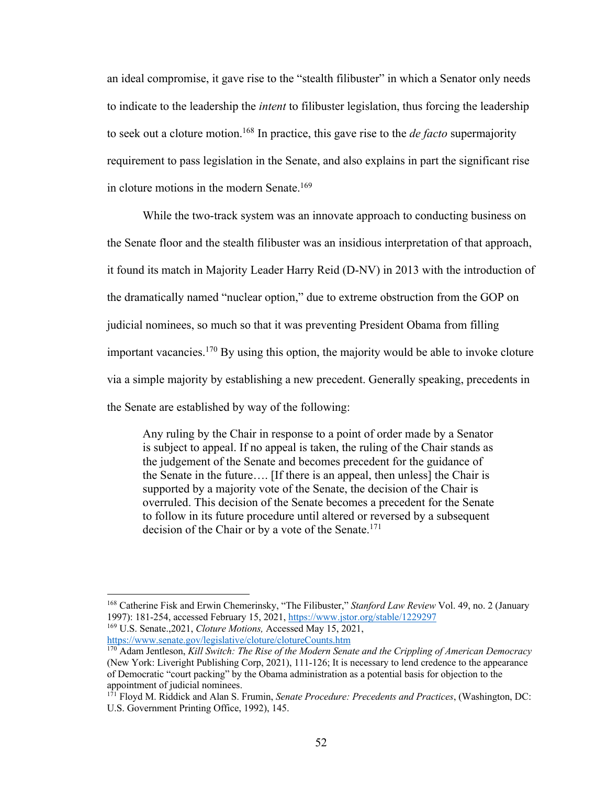an ideal compromise, it gave rise to the "stealth filibuster" in which a Senator only needs to indicate to the leadership the *intent* to filibuster legislation, thus forcing the leadership to seek out a cloture motion.<sup>168</sup> In practice, this gave rise to the *de facto* supermajority requirement to pass legislation in the Senate, and also explains in part the significant rise in cloture motions in the modern Senate.<sup>169</sup>

While the two-track system was an innovate approach to conducting business on the Senate floor and the stealth filibuster was an insidious interpretation of that approach, it found its match in Majority Leader Harry Reid (D-NV) in 2013 with the introduction of the dramatically named "nuclear option," due to extreme obstruction from the GOP on judicial nominees, so much so that it was preventing President Obama from filling important vacancies.<sup>170</sup> By using this option, the majority would be able to invoke cloture via a simple majority by establishing a new precedent. Generally speaking, precedents in the Senate are established by way of the following:

Any ruling by the Chair in response to a point of order made by a Senator is subject to appeal. If no appeal is taken, the ruling of the Chair stands as the judgement of the Senate and becomes precedent for the guidance of the Senate in the future…. [If there is an appeal, then unless] the Chair is supported by a majority vote of the Senate, the decision of the Chair is overruled. This decision of the Senate becomes a precedent for the Senate to follow in its future procedure until altered or reversed by a subsequent decision of the Chair or by a vote of the Senate.<sup>171</sup>

<sup>169</sup> U.S. Senate.,2021, *Cloture Motions,* Accessed May 15, 2021, https://www.senate.gov/legislative/cloture/clotureCounts.htm

<sup>168</sup> Catherine Fisk and Erwin Chemerinsky, "The Filibuster," *Stanford Law Review* Vol. 49, no. 2 (January 1997): 181-254, accessed February 15, 2021, https://www.jstor.org/stable/1229297

<sup>170</sup> Adam Jentleson, *Kill Switch: The Rise of the Modern Senate and the Crippling of American Democracy* (New York: Liveright Publishing Corp, 2021), 111-126; It is necessary to lend credence to the appearance of Democratic "court packing" by the Obama administration as a potential basis for objection to the appointment of judicial nominees.

<sup>171</sup> Floyd M. Riddick and Alan S. Frumin, *Senate Procedure: Precedents and Practices*, (Washington, DC: U.S. Government Printing Office, 1992), 145.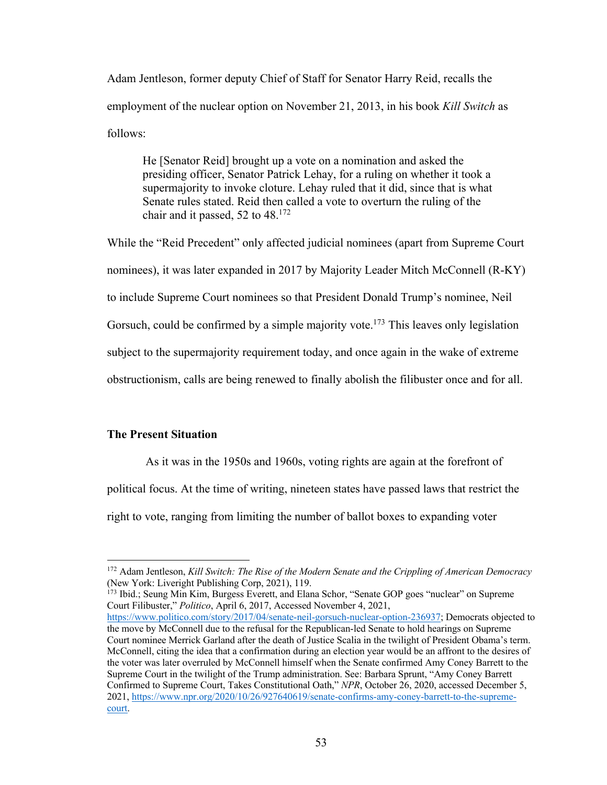Adam Jentleson, former deputy Chief of Staff for Senator Harry Reid, recalls the employment of the nuclear option on November 21, 2013, in his book *Kill Switch* as follows:

He [Senator Reid] brought up a vote on a nomination and asked the presiding officer, Senator Patrick Lehay, for a ruling on whether it took a supermajority to invoke cloture. Lehay ruled that it did, since that is what Senate rules stated. Reid then called a vote to overturn the ruling of the chair and it passed, 52 to 48. 172

While the "Reid Precedent" only affected judicial nominees (apart from Supreme Court nominees), it was later expanded in 2017 by Majority Leader Mitch McConnell (R-KY) to include Supreme Court nominees so that President Donald Trump's nominee, Neil Gorsuch, could be confirmed by a simple majority vote.<sup>173</sup> This leaves only legislation subject to the supermajority requirement today, and once again in the wake of extreme obstructionism, calls are being renewed to finally abolish the filibuster once and for all.

# **The Present Situation**

As it was in the 1950s and 1960s, voting rights are again at the forefront of political focus. At the time of writing, nineteen states have passed laws that restrict the right to vote, ranging from limiting the number of ballot boxes to expanding voter

<sup>173</sup> Ibid.; Seung Min Kim, Burgess Everett, and Elana Schor, "Senate GOP goes "nuclear" on Supreme Court Filibuster," *Politico*, April 6, 2017, Accessed November 4, 2021, https://www.politico.com/story/2017/04/senate-neil-gorsuch-nuclear-option-236937; Democrats objected to the move by McConnell due to the refusal for the Republican-led Senate to hold hearings on Supreme Court nominee Merrick Garland after the death of Justice Scalia in the twilight of President Obama's term. McConnell, citing the idea that a confirmation during an election year would be an affront to the desires of the voter was later overruled by McConnell himself when the Senate confirmed Amy Coney Barrett to the Supreme Court in the twilight of the Trump administration. See: Barbara Sprunt, "Amy Coney Barrett Confirmed to Supreme Court, Takes Constitutional Oath," *NPR*, October 26, 2020, accessed December 5, 2021, https://www.npr.org/2020/10/26/927640619/senate-confirms-amy-coney-barrett-to-the-supremecourt.

<sup>172</sup> Adam Jentleson, *Kill Switch: The Rise of the Modern Senate and the Crippling of American Democracy* (New York: Liveright Publishing Corp, 2021), 119.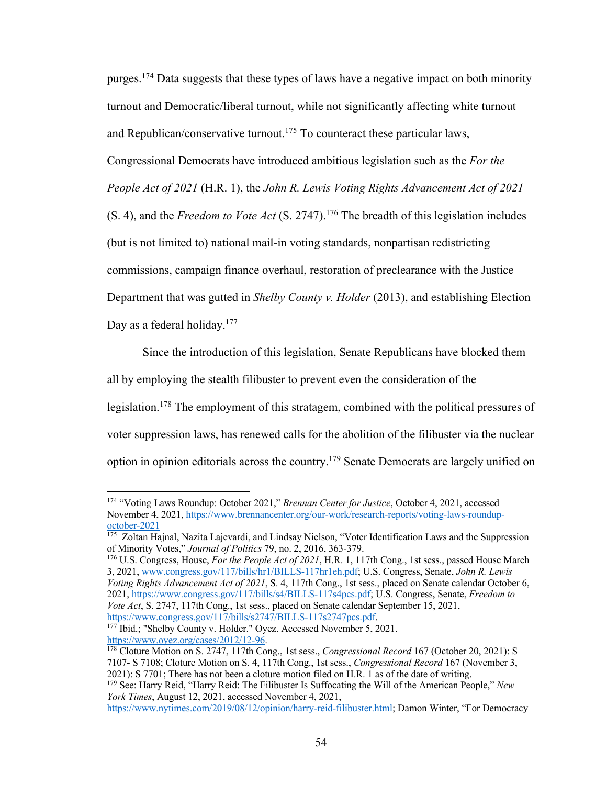purges.<sup>174</sup> Data suggests that these types of laws have a negative impact on both minority turnout and Democratic/liberal turnout, while not significantly affecting white turnout and Republican/conservative turnout.<sup>175</sup> To counteract these particular laws, Congressional Democrats have introduced ambitious legislation such as the *For the People Act of 2021* (H.R. 1), the *John R. Lewis Voting Rights Advancement Act of 2021* (S. 4), and the *Freedom to Vote Act* (S. 2747).<sup>176</sup> The breadth of this legislation includes (but is not limited to) national mail-in voting standards, nonpartisan redistricting commissions, campaign finance overhaul, restoration of preclearance with the Justice Department that was gutted in *Shelby County v. Holder* (2013), and establishing Election Day as a federal holiday.<sup>177</sup>

Since the introduction of this legislation, Senate Republicans have blocked them all by employing the stealth filibuster to prevent even the consideration of the legislation.<sup>178</sup> The employment of this stratagem, combined with the political pressures of voter suppression laws, has renewed calls for the abolition of the filibuster via the nuclear option in opinion editorials across the country. <sup>179</sup> Senate Democrats are largely unified on

<sup>174</sup> "Voting Laws Roundup: October 2021," *Brennan Center for Justice*, October 4, 2021, accessed November 4, 2021, https://www.brennancenter.org/our-work/research-reports/voting-laws-roundupoctober-2021

<sup>&</sup>lt;sup>175</sup> Zoltan Hajnal, Nazita Lajevardi, and Lindsay Nielson, "Voter Identification Laws and the Suppression of Minority Votes," *Journal of Politics* 79, no. 2, 2016, 363-379.

<sup>176</sup> U.S. Congress, House, *For the People Act of 2021*, H.R. 1, 117th Cong., 1st sess., passed House March 3, 2021, www.congress.gov/117/bills/hr1/BILLS-117hr1eh.pdf; U.S. Congress, Senate, *John R. Lewis Voting Rights Advancement Act of 2021*, S. 4, 117th Cong., 1st sess., placed on Senate calendar October 6, 2021, https://www.congress.gov/117/bills/s4/BILLS-117s4pcs.pdf; U.S. Congress, Senate, *Freedom to Vote Act*, S. 2747, 117th Cong., 1st sess., placed on Senate calendar September 15, 2021, https://www.congress.gov/117/bills/s2747/BILLS-117s2747pcs.pdf.

<sup>&</sup>lt;sup>177</sup> Ibid.; "Shelby County v. Holder." Oyez. Accessed November 5, 2021. https://www.oyez.org/cases/2012/12-96.

<sup>178</sup> Cloture Motion on S. 2747, 117th Cong., 1st sess., *Congressional Record* 167 (October 20, 2021): S 7107- S 7108; Cloture Motion on S. 4, 117th Cong., 1st sess., *Congressional Record* 167 (November 3, 2021): S 7701; There has not been a cloture motion filed on H.R. 1 as of the date of writing.

<sup>179</sup> See: Harry Reid, "Harry Reid: The Filibuster Is Suffocating the Will of the American People," *New York Times*, August 12, 2021, accessed November 4, 2021,

https://www.nytimes.com/2019/08/12/opinion/harry-reid-filibuster.html; Damon Winter, "For Democracy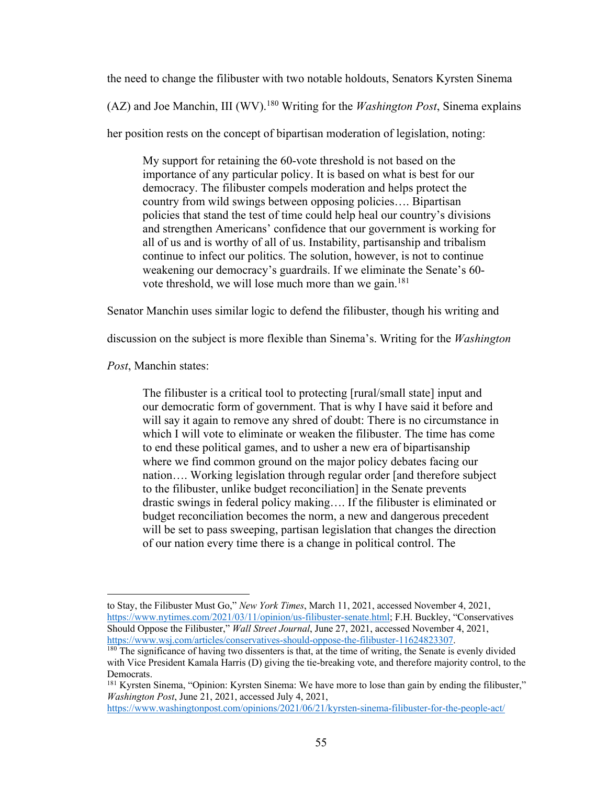the need to change the filibuster with two notable holdouts, Senators Kyrsten Sinema

(AZ) and Joe Manchin, III (WV).<sup>180</sup> Writing for the *Washington Post*, Sinema explains

her position rests on the concept of bipartisan moderation of legislation, noting:

My support for retaining the 60-vote threshold is not based on the importance of any particular policy. It is based on what is best for our democracy. The filibuster compels moderation and helps protect the country from wild swings between opposing policies…. Bipartisan policies that stand the test of time could help heal our country's divisions and strengthen Americans' confidence that our government is working for all of us and is worthy of all of us. Instability, partisanship and tribalism continue to infect our politics. The solution, however, is not to continue weakening our democracy's guardrails. If we eliminate the Senate's 60 vote threshold, we will lose much more than we gain.<sup>181</sup>

Senator Manchin uses similar logic to defend the filibuster, though his writing and

discussion on the subject is more flexible than Sinema's. Writing for the *Washington* 

*Post*, Manchin states:

The filibuster is a critical tool to protecting [rural/small state] input and our democratic form of government. That is why I have said it before and will say it again to remove any shred of doubt: There is no circumstance in which I will vote to eliminate or weaken the filibuster. The time has come to end these political games, and to usher a new era of bipartisanship where we find common ground on the major policy debates facing our nation…. Working legislation through regular order [and therefore subject to the filibuster, unlike budget reconciliation] in the Senate prevents drastic swings in federal policy making…. If the filibuster is eliminated or budget reconciliation becomes the norm, a new and dangerous precedent will be set to pass sweeping, partisan legislation that changes the direction of our nation every time there is a change in political control. The

to Stay, the Filibuster Must Go," *New York Times*, March 11, 2021, accessed November 4, 2021, https://www.nytimes.com/2021/03/11/opinion/us-filibuster-senate.html; F.H. Buckley, "Conservatives Should Oppose the Filibuster," *Wall Street Journal*, June 27, 2021, accessed November 4, 2021, https://www.wsj.com/articles/conservatives-should-oppose-the-filibuster-11624823307.

<sup>&</sup>lt;sup>180</sup> The significance of having two dissenters is that, at the time of writing, the Senate is evenly divided with Vice President Kamala Harris (D) giving the tie-breaking vote, and therefore majority control, to the Democrats.

<sup>&</sup>lt;sup>181</sup> Kyrsten Sinema, "Opinion: Kyrsten Sinema: We have more to lose than gain by ending the filibuster," *Washington Post*, June 21, 2021, accessed July 4, 2021,

https://www.washingtonpost.com/opinions/2021/06/21/kyrsten-sinema-filibuster-for-the-people-act/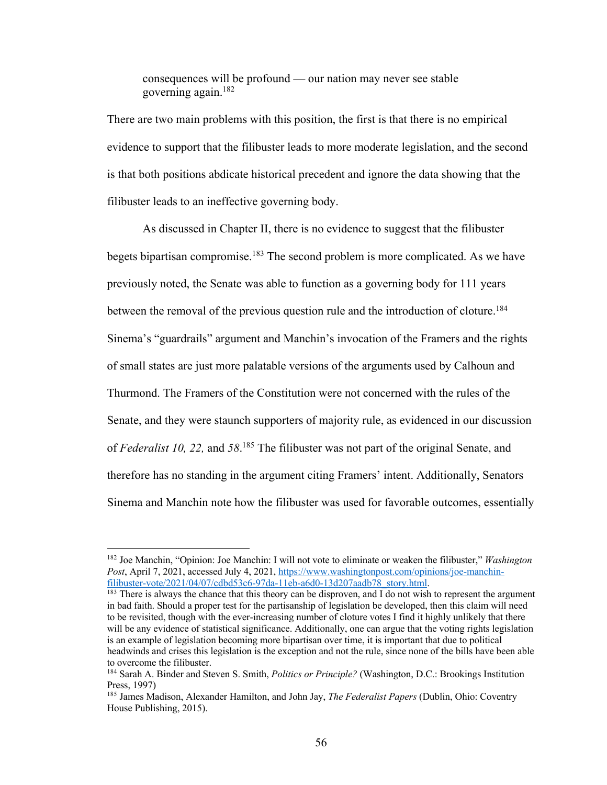consequences will be profound — our nation may never see stable governing again. $182$ 

There are two main problems with this position, the first is that there is no empirical evidence to support that the filibuster leads to more moderate legislation, and the second is that both positions abdicate historical precedent and ignore the data showing that the filibuster leads to an ineffective governing body.

As discussed in Chapter II, there is no evidence to suggest that the filibuster begets bipartisan compromise.<sup>183</sup> The second problem is more complicated. As we have previously noted, the Senate was able to function as a governing body for 111 years between the removal of the previous question rule and the introduction of cloture.<sup>184</sup> Sinema's "guardrails" argument and Manchin's invocation of the Framers and the rights of small states are just more palatable versions of the arguments used by Calhoun and Thurmond. The Framers of the Constitution were not concerned with the rules of the Senate, and they were staunch supporters of majority rule, as evidenced in our discussion of *Federalist 10, 22*, and 58.<sup>185</sup> The filibuster was not part of the original Senate, and therefore has no standing in the argument citing Framers' intent. Additionally, Senators Sinema and Manchin note how the filibuster was used for favorable outcomes, essentially

<sup>182</sup> Joe Manchin, "Opinion: Joe Manchin: I will not vote to eliminate or weaken the filibuster," *Washington Post*, April 7, 2021, accessed July 4, 2021, https://www.washingtonpost.com/opinions/joe-manchinfilibuster-vote/2021/04/07/cdbd53c6-97da-11eb-a6d0-13d207aadb78\_story.html.

<sup>&</sup>lt;sup>183</sup> There is always the chance that this theory can be disproven, and I do not wish to represent the argument in bad faith. Should a proper test for the partisanship of legislation be developed, then this claim will need to be revisited, though with the ever-increasing number of cloture votes I find it highly unlikely that there will be any evidence of statistical significance. Additionally, one can argue that the voting rights legislation is an example of legislation becoming more bipartisan over time, it is important that due to political headwinds and crises this legislation is the exception and not the rule, since none of the bills have been able to overcome the filibuster.

<sup>184</sup> Sarah A. Binder and Steven S. Smith, *Politics or Principle?* (Washington, D.C.: Brookings Institution Press, 1997)

<sup>185</sup> James Madison, Alexander Hamilton, and John Jay, *The Federalist Papers* (Dublin, Ohio: Coventry House Publishing, 2015).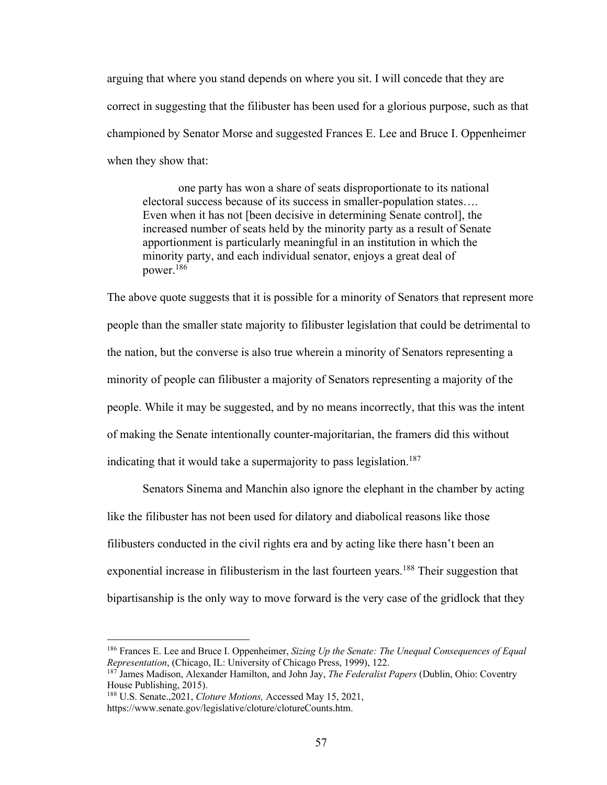arguing that where you stand depends on where you sit. I will concede that they are correct in suggesting that the filibuster has been used for a glorious purpose, such as that championed by Senator Morse and suggested Frances E. Lee and Bruce I. Oppenheimer when they show that:

one party has won a share of seats disproportionate to its national electoral success because of its success in smaller-population states…. Even when it has not [been decisive in determining Senate control], the increased number of seats held by the minority party as a result of Senate apportionment is particularly meaningful in an institution in which the minority party, and each individual senator, enjoys a great deal of power.<sup>186</sup>

The above quote suggests that it is possible for a minority of Senators that represent more people than the smaller state majority to filibuster legislation that could be detrimental to the nation, but the converse is also true wherein a minority of Senators representing a minority of people can filibuster a majority of Senators representing a majority of the people. While it may be suggested, and by no means incorrectly, that this was the intent of making the Senate intentionally counter-majoritarian, the framers did this without indicating that it would take a supermajority to pass legislation.<sup>187</sup>

Senators Sinema and Manchin also ignore the elephant in the chamber by acting like the filibuster has not been used for dilatory and diabolical reasons like those filibusters conducted in the civil rights era and by acting like there hasn't been an exponential increase in filibusterism in the last fourteen years.<sup>188</sup> Their suggestion that bipartisanship is the only way to move forward is the very case of the gridlock that they

<sup>186</sup> Frances E. Lee and Bruce I. Oppenheimer, *Sizing Up the Senate: The Unequal Consequences of Equal Representation*, (Chicago, IL: University of Chicago Press, 1999), 122.

<sup>187</sup> James Madison, Alexander Hamilton, and John Jay, *The Federalist Papers* (Dublin, Ohio: Coventry House Publishing, 2015).

<sup>188</sup> U.S. Senate.,2021, *Cloture Motions,* Accessed May 15, 2021, https://www.senate.gov/legislative/cloture/clotureCounts.htm.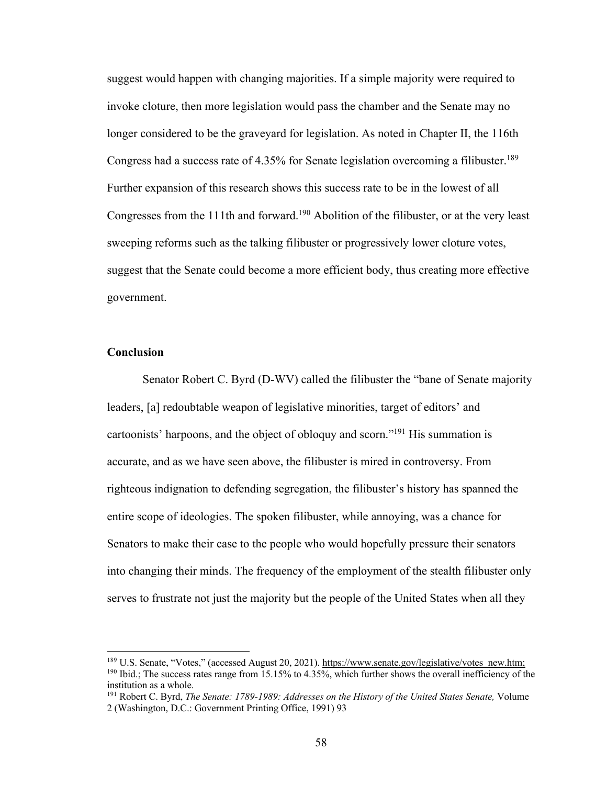suggest would happen with changing majorities. If a simple majority were required to invoke cloture, then more legislation would pass the chamber and the Senate may no longer considered to be the graveyard for legislation. As noted in Chapter II, the 116th Congress had a success rate of 4.35% for Senate legislation overcoming a filibuster.<sup>189</sup> Further expansion of this research shows this success rate to be in the lowest of all Congresses from the 111th and forward.<sup>190</sup> Abolition of the filibuster, or at the very least sweeping reforms such as the talking filibuster or progressively lower cloture votes, suggest that the Senate could become a more efficient body, thus creating more effective government.

### **Conclusion**

Senator Robert C. Byrd (D-WV) called the filibuster the "bane of Senate majority leaders, [a] redoubtable weapon of legislative minorities, target of editors' and cartoonists' harpoons, and the object of obloquy and scorn."<sup>191</sup> His summation is accurate, and as we have seen above, the filibuster is mired in controversy. From righteous indignation to defending segregation, the filibuster's history has spanned the entire scope of ideologies. The spoken filibuster, while annoying, was a chance for Senators to make their case to the people who would hopefully pressure their senators into changing their minds. The frequency of the employment of the stealth filibuster only serves to frustrate not just the majority but the people of the United States when all they

<sup>&</sup>lt;sup>189</sup> U.S. Senate, "Votes," (accessed August 20, 2021). https://www.senate.gov/legislative/votes\_new.htm; <sup>190</sup> Ibid.; The success rates range from 15.15% to 4.35%, which further shows the overall inefficiency of the institution as a whole.

<sup>191</sup> Robert C. Byrd, *The Senate: 1789-1989: Addresses on the History of the United States Senate,* Volume 2 (Washington, D.C.: Government Printing Office, 1991) 93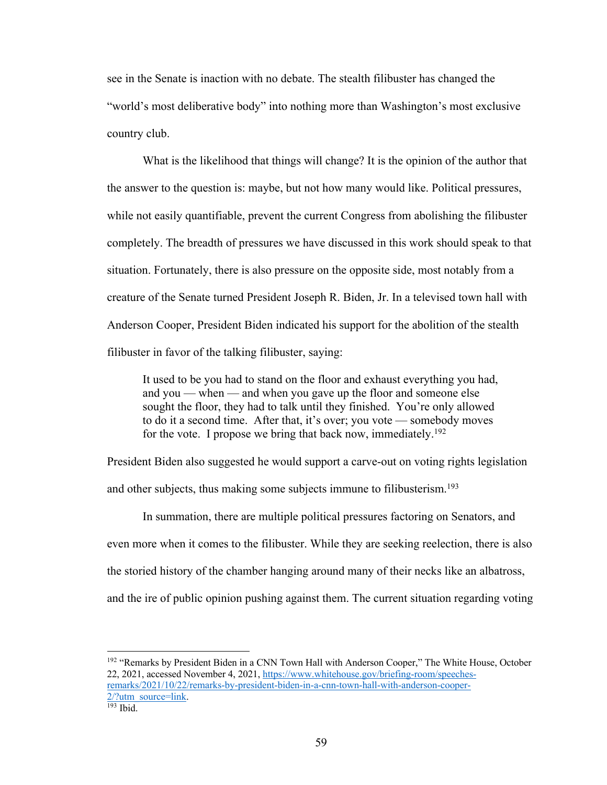see in the Senate is inaction with no debate. The stealth filibuster has changed the "world's most deliberative body" into nothing more than Washington's most exclusive country club.

What is the likelihood that things will change? It is the opinion of the author that the answer to the question is: maybe, but not how many would like. Political pressures, while not easily quantifiable, prevent the current Congress from abolishing the filibuster completely. The breadth of pressures we have discussed in this work should speak to that situation. Fortunately, there is also pressure on the opposite side, most notably from a creature of the Senate turned President Joseph R. Biden, Jr. In a televised town hall with Anderson Cooper, President Biden indicated his support for the abolition of the stealth filibuster in favor of the talking filibuster, saying:

It used to be you had to stand on the floor and exhaust everything you had, and you — when — and when you gave up the floor and someone else sought the floor, they had to talk until they finished. You're only allowed to do it a second time. After that, it's over; you vote — somebody moves for the vote. I propose we bring that back now, immediately.<sup>192</sup>

President Biden also suggested he would support a carve-out on voting rights legislation and other subjects, thus making some subjects immune to filibusterism.<sup>193</sup>

In summation, there are multiple political pressures factoring on Senators, and even more when it comes to the filibuster. While they are seeking reelection, there is also the storied history of the chamber hanging around many of their necks like an albatross, and the ire of public opinion pushing against them. The current situation regarding voting

<sup>&</sup>lt;sup>192</sup> "Remarks by President Biden in a CNN Town Hall with Anderson Cooper," The White House, October 22, 2021, accessed November 4, 2021, https://www.whitehouse.gov/briefing-room/speechesremarks/2021/10/22/remarks-by-president-biden-in-a-cnn-town-hall-with-anderson-cooper-2/?utm\_source=link. <sup>193</sup> Ibid.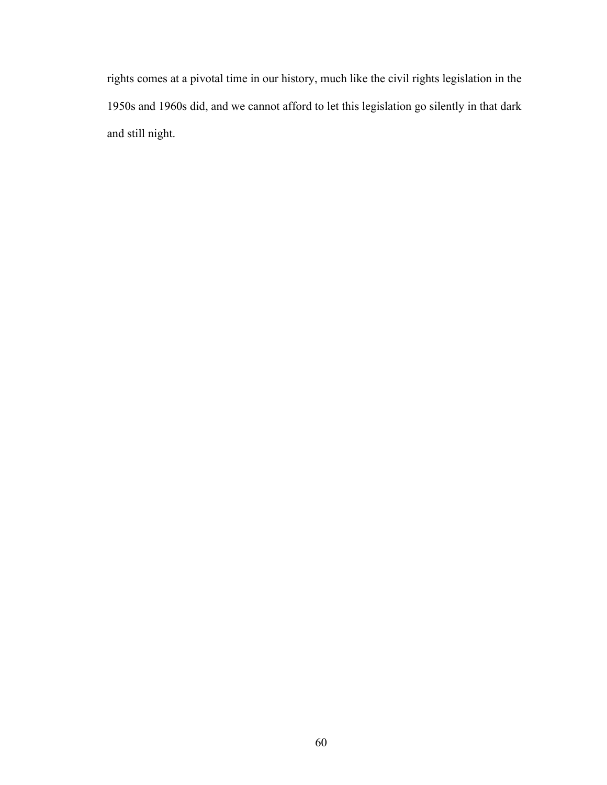rights comes at a pivotal time in our history, much like the civil rights legislation in the 1950s and 1960s did, and we cannot afford to let this legislation go silently in that dark and still night.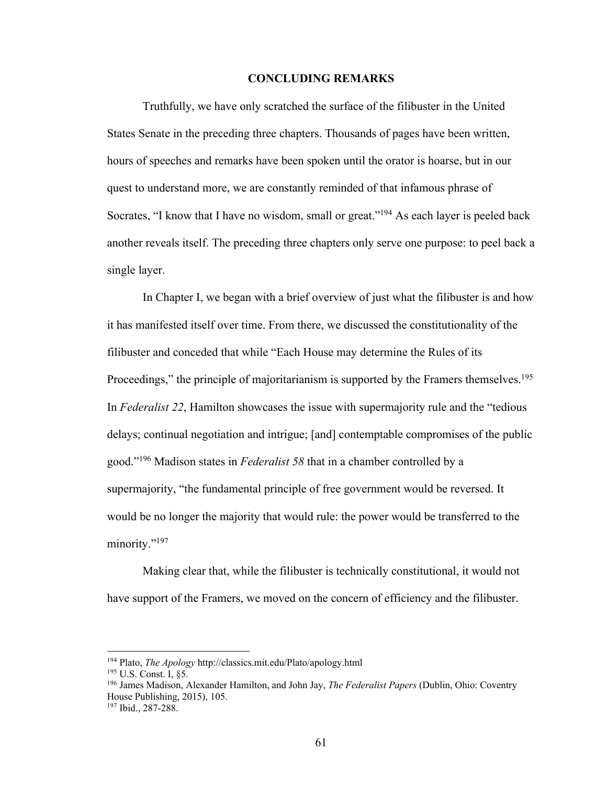## **CONCLUDING REMARKS**

Truthfully, we have only scratched the surface of the filibuster in the United States Senate in the preceding three chapters. Thousands of pages have been written, hours of speeches and remarks have been spoken until the orator is hoarse, but in our quest to understand more, we are constantly reminded of that infamous phrase of Socrates, "I know that I have no wisdom, small or great."<sup>194</sup> As each layer is peeled back another reveals itself. The preceding three chapters only serve one purpose: to peel back a single layer.

In Chapter I, we began with a brief overview of just what the filibuster is and how it has manifested itself over time. From there, we discussed the constitutionality of the filibuster and conceded that while "Each House may determine the Rules of its Proceedings," the principle of majoritarianism is supported by the Framers themselves.<sup>195</sup> In *Federalist 22*, Hamilton showcases the issue with supermajority rule and the "tedious delays; continual negotiation and intrigue; [and] contemptable compromises of the public good."<sup>196</sup> Madison states in *Federalist 58* that in a chamber controlled by a supermajority, "the fundamental principle of free government would be reversed. It would be no longer the majority that would rule: the power would be transferred to the minority."<sup>197</sup>

Making clear that, while the filibuster is technically constitutional, it would not have support of the Framers, we moved on the concern of efficiency and the filibuster.

<sup>194</sup> Plato, *The Apology* http://classics.mit.edu/Plato/apology.html

<sup>195</sup> U.S. Const. I, §5.

<sup>196</sup> James Madison, Alexander Hamilton, and John Jay, *The Federalist Papers* (Dublin, Ohio: Coventry House Publishing, 2015), 105.

<sup>&</sup>lt;sup>197</sup> Ibid., 287-288.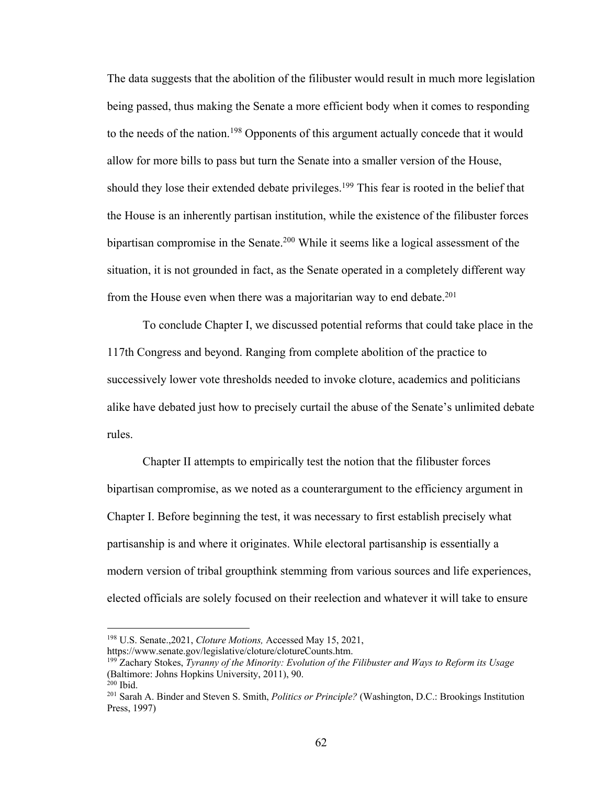The data suggests that the abolition of the filibuster would result in much more legislation being passed, thus making the Senate a more efficient body when it comes to responding to the needs of the nation.<sup>198</sup> Opponents of this argument actually concede that it would allow for more bills to pass but turn the Senate into a smaller version of the House, should they lose their extended debate privileges.<sup>199</sup> This fear is rooted in the belief that the House is an inherently partisan institution, while the existence of the filibuster forces bipartisan compromise in the Senate.<sup>200</sup> While it seems like a logical assessment of the situation, it is not grounded in fact, as the Senate operated in a completely different way from the House even when there was a majoritarian way to end debate.<sup>201</sup>

To conclude Chapter I, we discussed potential reforms that could take place in the 117th Congress and beyond. Ranging from complete abolition of the practice to successively lower vote thresholds needed to invoke cloture, academics and politicians alike have debated just how to precisely curtail the abuse of the Senate's unlimited debate rules.

Chapter II attempts to empirically test the notion that the filibuster forces bipartisan compromise, as we noted as a counterargument to the efficiency argument in Chapter I. Before beginning the test, it was necessary to first establish precisely what partisanship is and where it originates. While electoral partisanship is essentially a modern version of tribal groupthink stemming from various sources and life experiences, elected officials are solely focused on their reelection and whatever it will take to ensure

<sup>198</sup> U.S. Senate.,2021, *Cloture Motions,* Accessed May 15, 2021,

https://www.senate.gov/legislative/cloture/clotureCounts.htm.

<sup>199</sup> Zachary Stokes, *Tyranny of the Minority: Evolution of the Filibuster and Ways to Reform its Usage* (Baltimore: Johns Hopkins University, 2011), 90.  $200$  Ibid.

<sup>201</sup> Sarah A. Binder and Steven S. Smith, *Politics or Principle?* (Washington, D.C.: Brookings Institution Press, 1997)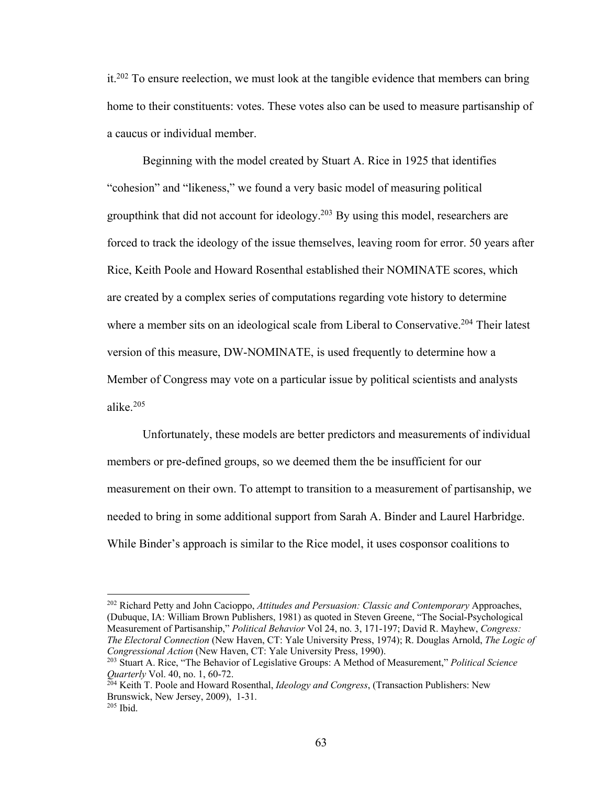it.<sup>202</sup> To ensure reelection, we must look at the tangible evidence that members can bring home to their constituents: votes. These votes also can be used to measure partisanship of a caucus or individual member.

Beginning with the model created by Stuart A. Rice in 1925 that identifies "cohesion" and "likeness," we found a very basic model of measuring political groupthink that did not account for ideology.<sup>203</sup> By using this model, researchers are forced to track the ideology of the issue themselves, leaving room for error. 50 years after Rice, Keith Poole and Howard Rosenthal established their NOMINATE scores, which are created by a complex series of computations regarding vote history to determine where a member sits on an ideological scale from Liberal to Conservative.<sup>204</sup> Their latest version of this measure, DW-NOMINATE, is used frequently to determine how a Member of Congress may vote on a particular issue by political scientists and analysts alike.<sup>205</sup>

Unfortunately, these models are better predictors and measurements of individual members or pre-defined groups, so we deemed them the be insufficient for our measurement on their own. To attempt to transition to a measurement of partisanship, we needed to bring in some additional support from Sarah A. Binder and Laurel Harbridge. While Binder's approach is similar to the Rice model, it uses cosponsor coalitions to

<sup>202</sup> Richard Petty and John Cacioppo, *Attitudes and Persuasion: Classic and Contemporary* Approaches, (Dubuque, IA: William Brown Publishers, 1981) as quoted in Steven Greene, "The Social-Psychological Measurement of Partisanship," *Political Behavior* Vol 24, no. 3, 171-197; David R. Mayhew, *Congress: The Electoral Connection* (New Haven, CT: Yale University Press, 1974); R. Douglas Arnold, *The Logic of Congressional Action* (New Haven, CT: Yale University Press, 1990).

<sup>203</sup> Stuart A. Rice, "The Behavior of Legislative Groups: A Method of Measurement," *Political Science Quarterly* Vol. 40, no. 1, 60-72.

<sup>204</sup> Keith T. Poole and Howard Rosenthal, *Ideology and Congress*, (Transaction Publishers: New Brunswick, New Jersey, 2009), 1-31. <sup>205</sup> Ibid.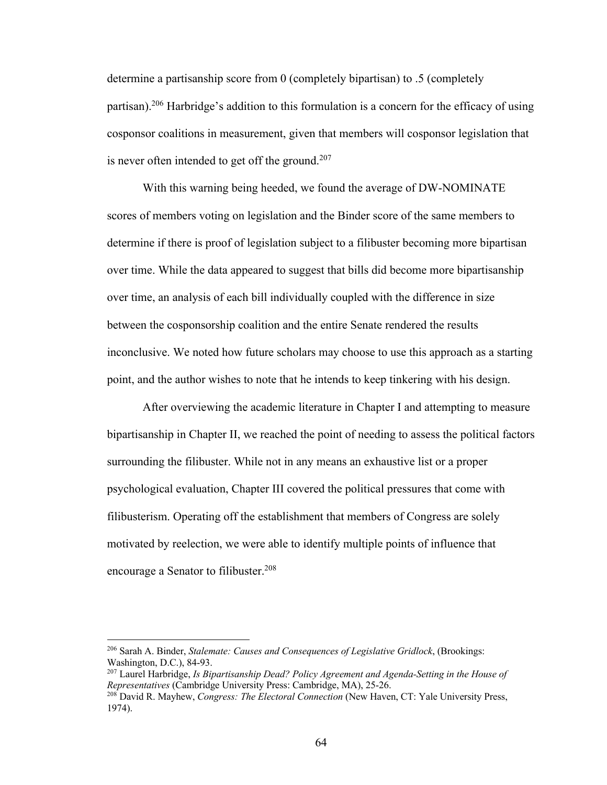determine a partisanship score from 0 (completely bipartisan) to .5 (completely partisan).<sup>206</sup> Harbridge's addition to this formulation is a concern for the efficacy of using cosponsor coalitions in measurement, given that members will cosponsor legislation that is never often intended to get off the ground. $207$ 

With this warning being heeded, we found the average of DW-NOMINATE scores of members voting on legislation and the Binder score of the same members to determine if there is proof of legislation subject to a filibuster becoming more bipartisan over time. While the data appeared to suggest that bills did become more bipartisanship over time, an analysis of each bill individually coupled with the difference in size between the cosponsorship coalition and the entire Senate rendered the results inconclusive. We noted how future scholars may choose to use this approach as a starting point, and the author wishes to note that he intends to keep tinkering with his design.

After overviewing the academic literature in Chapter I and attempting to measure bipartisanship in Chapter II, we reached the point of needing to assess the political factors surrounding the filibuster. While not in any means an exhaustive list or a proper psychological evaluation, Chapter III covered the political pressures that come with filibusterism. Operating off the establishment that members of Congress are solely motivated by reelection, we were able to identify multiple points of influence that encourage a Senator to filibuster.<sup>208</sup>

<sup>206</sup> Sarah A. Binder, *Stalemate: Causes and Consequences of Legislative Gridlock*, (Brookings: Washington, D.C.), 84-93.

<sup>207</sup> Laurel Harbridge, *Is Bipartisanship Dead? Policy Agreement and Agenda-Setting in the House of Representatives* (Cambridge University Press: Cambridge, MA), 25-26.

<sup>208</sup> David R. Mayhew, *Congress: The Electoral Connection* (New Haven, CT: Yale University Press, 1974).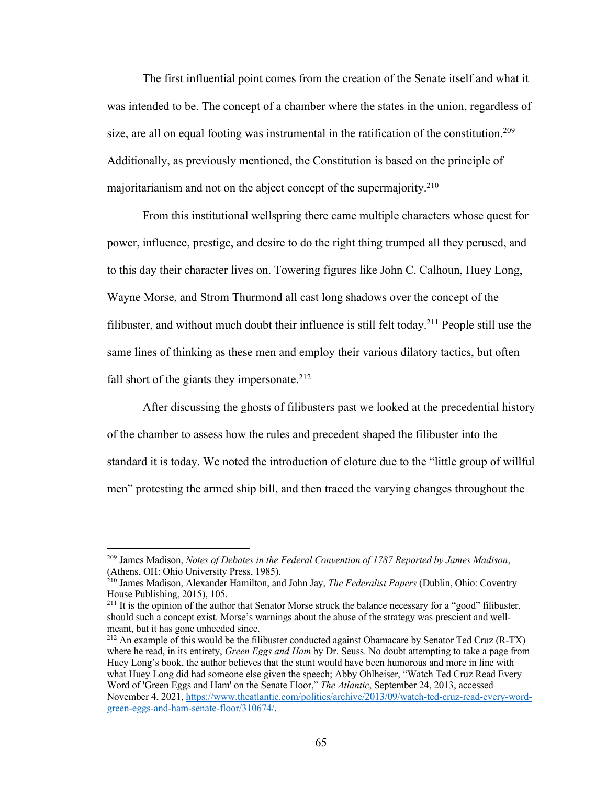The first influential point comes from the creation of the Senate itself and what it was intended to be. The concept of a chamber where the states in the union, regardless of size, are all on equal footing was instrumental in the ratification of the constitution.<sup>209</sup> Additionally, as previously mentioned, the Constitution is based on the principle of majoritarianism and not on the abject concept of the supermajority.<sup>210</sup>

From this institutional wellspring there came multiple characters whose quest for power, influence, prestige, and desire to do the right thing trumped all they perused, and to this day their character lives on. Towering figures like John C. Calhoun, Huey Long, Wayne Morse, and Strom Thurmond all cast long shadows over the concept of the filibuster, and without much doubt their influence is still felt today.<sup>211</sup> People still use the same lines of thinking as these men and employ their various dilatory tactics, but often fall short of the giants they impersonate. $212$ 

After discussing the ghosts of filibusters past we looked at the precedential history of the chamber to assess how the rules and precedent shaped the filibuster into the standard it is today. We noted the introduction of cloture due to the "little group of willful men" protesting the armed ship bill, and then traced the varying changes throughout the

<sup>209</sup> James Madison, *Notes of Debates in the Federal Convention of 1787 Reported by James Madison*, (Athens, OH: Ohio University Press, 1985).

<sup>210</sup> James Madison, Alexander Hamilton, and John Jay, *The Federalist Papers* (Dublin, Ohio: Coventry House Publishing, 2015), 105.

<sup>&</sup>lt;sup>211</sup> It is the opinion of the author that Senator Morse struck the balance necessary for a "good" filibuster, should such a concept exist. Morse's warnings about the abuse of the strategy was prescient and wellmeant, but it has gone unheeded since.

<sup>&</sup>lt;sup>212</sup> An example of this would be the filibuster conducted against Obamacare by Senator Ted Cruz (R-TX) where he read, in its entirety, *Green Eggs and Ham* by Dr. Seuss. No doubt attempting to take a page from Huey Long's book, the author believes that the stunt would have been humorous and more in line with what Huey Long did had someone else given the speech; Abby Ohlheiser, "Watch Ted Cruz Read Every Word of 'Green Eggs and Ham' on the Senate Floor," *The Atlantic*, September 24, 2013, accessed November 4, 2021, https://www.theatlantic.com/politics/archive/2013/09/watch-ted-cruz-read-every-wordgreen-eggs-and-ham-senate-floor/310674/.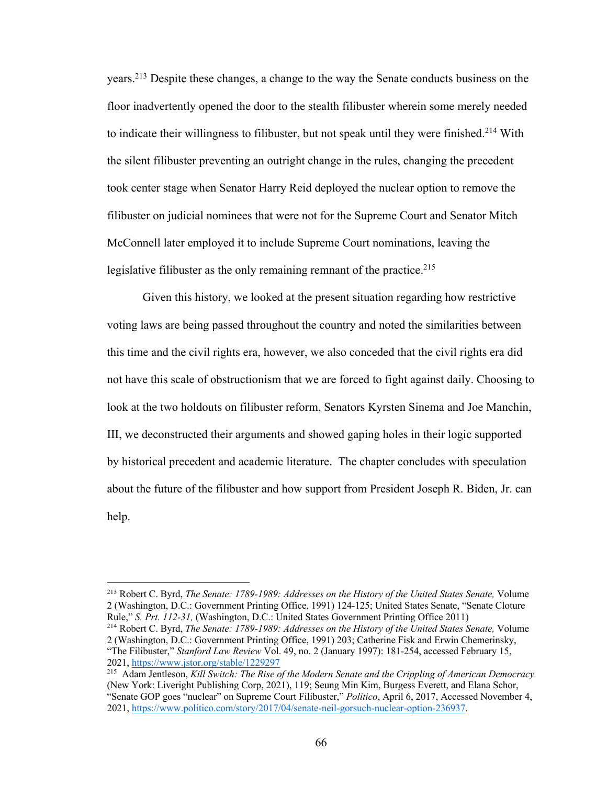years.<sup>213</sup> Despite these changes, a change to the way the Senate conducts business on the floor inadvertently opened the door to the stealth filibuster wherein some merely needed to indicate their willingness to filibuster, but not speak until they were finished.<sup>214</sup> With the silent filibuster preventing an outright change in the rules, changing the precedent took center stage when Senator Harry Reid deployed the nuclear option to remove the filibuster on judicial nominees that were not for the Supreme Court and Senator Mitch McConnell later employed it to include Supreme Court nominations, leaving the legislative filibuster as the only remaining remnant of the practice.<sup>215</sup>

Given this history, we looked at the present situation regarding how restrictive voting laws are being passed throughout the country and noted the similarities between this time and the civil rights era, however, we also conceded that the civil rights era did not have this scale of obstructionism that we are forced to fight against daily. Choosing to look at the two holdouts on filibuster reform, Senators Kyrsten Sinema and Joe Manchin, III, we deconstructed their arguments and showed gaping holes in their logic supported by historical precedent and academic literature. The chapter concludes with speculation about the future of the filibuster and how support from President Joseph R. Biden, Jr. can help.

<sup>213</sup> Robert C. Byrd, *The Senate: 1789-1989: Addresses on the History of the United States Senate,* Volume 2 (Washington, D.C.: Government Printing Office, 1991) 124-125; United States Senate, "Senate Cloture Rule," *S. Prt. 112-31,* (Washington, D.C.: United States Government Printing Office 2011)

<sup>214</sup> Robert C. Byrd, *The Senate: 1789-1989: Addresses on the History of the United States Senate,* Volume 2 (Washington, D.C.: Government Printing Office, 1991) 203; Catherine Fisk and Erwin Chemerinsky, "The Filibuster," *Stanford Law Review* Vol. 49, no. 2 (January 1997): 181-254, accessed February 15, 2021, https://www.jstor.org/stable/1229297

<sup>215</sup> Adam Jentleson, *Kill Switch: The Rise of the Modern Senate and the Crippling of American Democracy* (New York: Liveright Publishing Corp, 2021), 119; Seung Min Kim, Burgess Everett, and Elana Schor, "Senate GOP goes "nuclear" on Supreme Court Filibuster," *Politico*, April 6, 2017, Accessed November 4, 2021, https://www.politico.com/story/2017/04/senate-neil-gorsuch-nuclear-option-236937.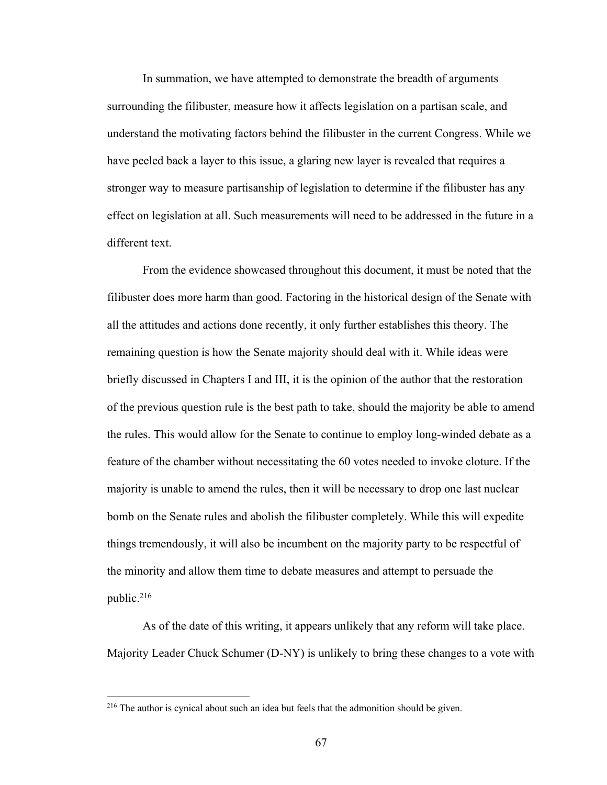In summation, we have attempted to demonstrate the breadth of arguments surrounding the filibuster, measure how it affects legislation on a partisan scale, and understand the motivating factors behind the filibuster in the current Congress. While we have peeled back a layer to this issue, a glaring new layer is revealed that requires a stronger way to measure partisanship of legislation to determine if the filibuster has any effect on legislation at all. Such measurements will need to be addressed in the future in a different text.

From the evidence showcased throughout this document, it must be noted that the filibuster does more harm than good. Factoring in the historical design of the Senate with all the attitudes and actions done recently, it only further establishes this theory. The remaining question is how the Senate majority should deal with it. While ideas were briefly discussed in Chapters I and III, it is the opinion of the author that the restoration of the previous question rule is the best path to take, should the majority be able to amend the rules. This would allow for the Senate to continue to employ long-winded debate as a feature of the chamber without necessitating the 60 votes needed to invoke cloture. If the majority is unable to amend the rules, then it will be necessary to drop one last nuclear bomb on the Senate rules and abolish the filibuster completely. While this will expedite things tremendously, it will also be incumbent on the majority party to be respectful of the minority and allow them time to debate measures and attempt to persuade the public.<sup>216</sup>

As of the date of this writing, it appears unlikely that any reform will take place. Majority Leader Chuck Schumer (D-NY) is unlikely to bring these changes to a vote with

<sup>216</sup> The author is cynical about such an idea but feels that the admonition should be given.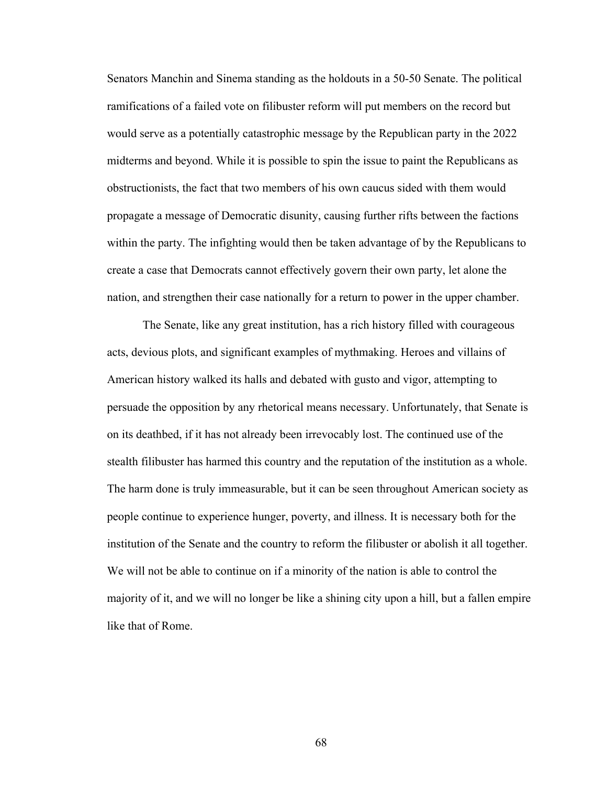Senators Manchin and Sinema standing as the holdouts in a 50-50 Senate. The political ramifications of a failed vote on filibuster reform will put members on the record but would serve as a potentially catastrophic message by the Republican party in the 2022 midterms and beyond. While it is possible to spin the issue to paint the Republicans as obstructionists, the fact that two members of his own caucus sided with them would propagate a message of Democratic disunity, causing further rifts between the factions within the party. The infighting would then be taken advantage of by the Republicans to create a case that Democrats cannot effectively govern their own party, let alone the nation, and strengthen their case nationally for a return to power in the upper chamber.

The Senate, like any great institution, has a rich history filled with courageous acts, devious plots, and significant examples of mythmaking. Heroes and villains of American history walked its halls and debated with gusto and vigor, attempting to persuade the opposition by any rhetorical means necessary. Unfortunately, that Senate is on its deathbed, if it has not already been irrevocably lost. The continued use of the stealth filibuster has harmed this country and the reputation of the institution as a whole. The harm done is truly immeasurable, but it can be seen throughout American society as people continue to experience hunger, poverty, and illness. It is necessary both for the institution of the Senate and the country to reform the filibuster or abolish it all together. We will not be able to continue on if a minority of the nation is able to control the majority of it, and we will no longer be like a shining city upon a hill, but a fallen empire like that of Rome.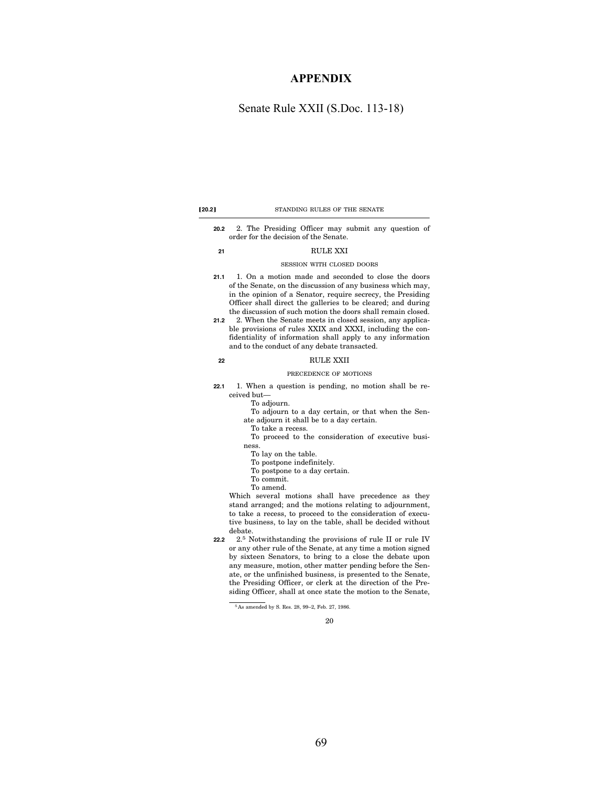### **APPENDIX**

# Senate Rule XXII (S.Doc. 113-18)

### ø**20.2**¿ STANDING RULES OF THE SENATE

**20.2** 2. The Presiding Officer may submit any question of order for the decision of the Senate.

#### **21** RULE XXI

#### SESSION WITH CLOSED DOORS

- **21.1** 1. On a motion made and seconded to close the doors of the Senate, on the discussion of any business which may, in the opinion of a Senator, require secrecy, the Presiding Officer shall direct the galleries to be cleared; and during the discussion of such motion the doors shall remain closed.
- **21.2** 2. When the Senate meets in closed session, any applicable provisions of rules XXIX and XXXI, including the confidentiality of information shall apply to any information and to the conduct of any debate transacted.

### **22** RULE XXII

#### PRECEDENCE OF MOTIONS

- **22.1** 1. When a question is pending, no motion shall be received but—
	- To adjourn.

To adjourn to a day certain, or that when the Senate adjourn it shall be to a day certain.

To take a recess.

To proceed to the consideration of executive business.

- To lay on the table.
- To postpone indefinitely.
- To postpone to a day certain.
- To commit.
- To amend.

Which several motions shall have precedence as they stand arranged; and the motions relating to adjournment, to take a recess, to proceed to the consideration of executive business, to lay on the table, shall be decided without debate.

**22.2** 2.5 Notwithstanding the provisions of rule II or rule IV or any other rule of the Senate, at any time a motion signed by sixteen Senators, to bring to a close the debate upon any measure, motion, other matter pending before the Senate, or the unfinished business, is presented to the Senate, the Presiding Officer, or clerk at the direction of the Presiding Officer, shall at once state the motion to the Senate,

<sup>5</sup> As amended by S. Res. 28, 99–2, Feb. 27, 1986.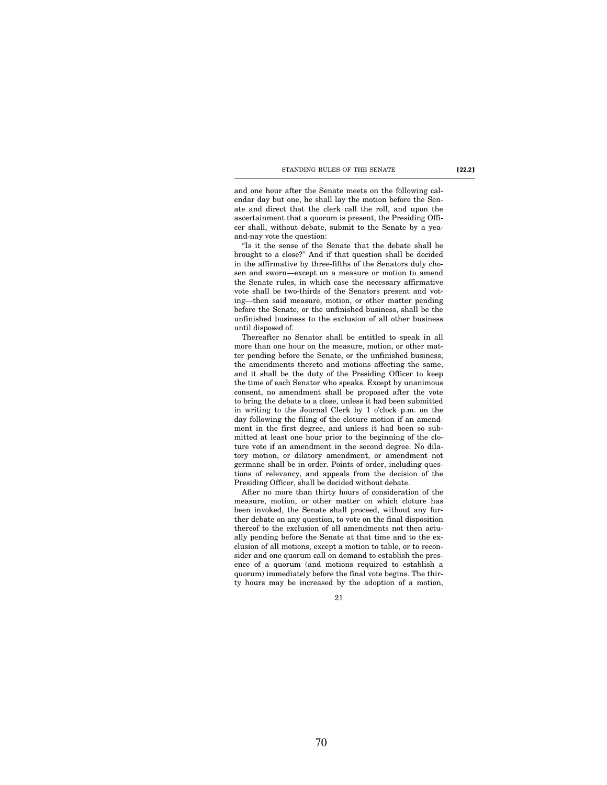STANDING RULES OF THE SENATE **[22.2**]

and one hour after the Senate meets on the following calendar day but one, he shall lay the motion before the Senate and direct that the clerk call the roll, and upon the ascertainment that a quorum is present, the Presiding Officer shall, without debate, submit to the Senate by a yeaand-nay vote the question:

''Is it the sense of the Senate that the debate shall be brought to a close?'' And if that question shall be decided in the affirmative by three-fifths of the Senators duly chosen and sworn—except on a measure or motion to amend the Senate rules, in which case the necessary affirmative vote shall be two-thirds of the Senators present and voting—then said measure, motion, or other matter pending before the Senate, or the unfinished business, shall be the unfinished business to the exclusion of all other business until disposed of.

Thereafter no Senator shall be entitled to speak in all more than one hour on the measure, motion, or other matter pending before the Senate, or the unfinished business, the amendments thereto and motions affecting the same, and it shall be the duty of the Presiding Officer to keep the time of each Senator who speaks. Except by unanimous consent, no amendment shall be proposed after the vote to bring the debate to a close, unless it had been submitted in writing to the Journal Clerk by 1 o'clock p.m. on the day following the filing of the cloture motion if an amendment in the first degree, and unless it had been so submitted at least one hour prior to the beginning of the cloture vote if an amendment in the second degree. No dilatory motion, or dilatory amendment, or amendment not germane shall be in order. Points of order, including questions of relevancy, and appeals from the decision of the Presiding Officer, shall be decided without debate.

After no more than thirty hours of consideration of the measure, motion, or other matter on which cloture has been invoked, the Senate shall proceed, without any further debate on any question, to vote on the final disposition thereof to the exclusion of all amendments not then actually pending before the Senate at that time and to the exclusion of all motions, except a motion to table, or to reconsider and one quorum call on demand to establish the presence of a quorum (and motions required to establish a quorum) immediately before the final vote begins. The thirty hours may be increased by the adoption of a motion,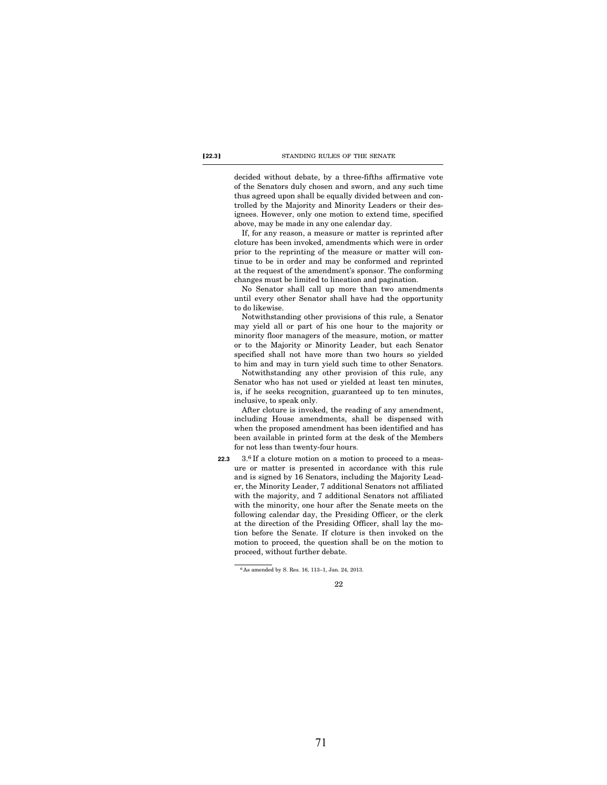#### **F22.31** STANDING RULES OF THE SENATE

decided without debate, by a three-fifths affirmative vote of the Senators duly chosen and sworn, and any such time thus agreed upon shall be equally divided between and controlled by the Majority and Minority Leaders or their designees. However, only one motion to extend time, specified above, may be made in any one calendar day.

If, for any reason, a measure or matter is reprinted after cloture has been invoked, amendments which were in order prior to the reprinting of the measure or matter will continue to be in order and may be conformed and reprinted at the request of the amendment's sponsor. The conforming changes must be limited to lineation and pagination.

No Senator shall call up more than two amendments until every other Senator shall have had the opportunity to do likewise.

Notwithstanding other provisions of this rule, a Senator may yield all or part of his one hour to the majority or minority floor managers of the measure, motion, or matter or to the Majority or Minority Leader, but each Senator specified shall not have more than two hours so yielded to him and may in turn yield such time to other Senators.

Notwithstanding any other provision of this rule, any Senator who has not used or yielded at least ten minutes, is, if he seeks recognition, guaranteed up to ten minutes, inclusive, to speak only.

After cloture is invoked, the reading of any amendment, including House amendments, shall be dispensed with when the proposed amendment has been identified and has been available in printed form at the desk of the Members for not less than twenty-four hours.

**22.3** 3.6 If a cloture motion on a motion to proceed to a measure or matter is presented in accordance with this rule and is signed by 16 Senators, including the Majority Leader, the Minority Leader, 7 additional Senators not affiliated with the majority, and 7 additional Senators not affiliated with the minority, one hour after the Senate meets on the following calendar day, the Presiding Officer, or the clerk at the direction of the Presiding Officer, shall lay the motion before the Senate. If cloture is then invoked on the motion to proceed, the question shall be on the motion to proceed, without further debate.

<sup>6</sup> As amended by S. Res. 16, 113–1, Jan. 24, 2013.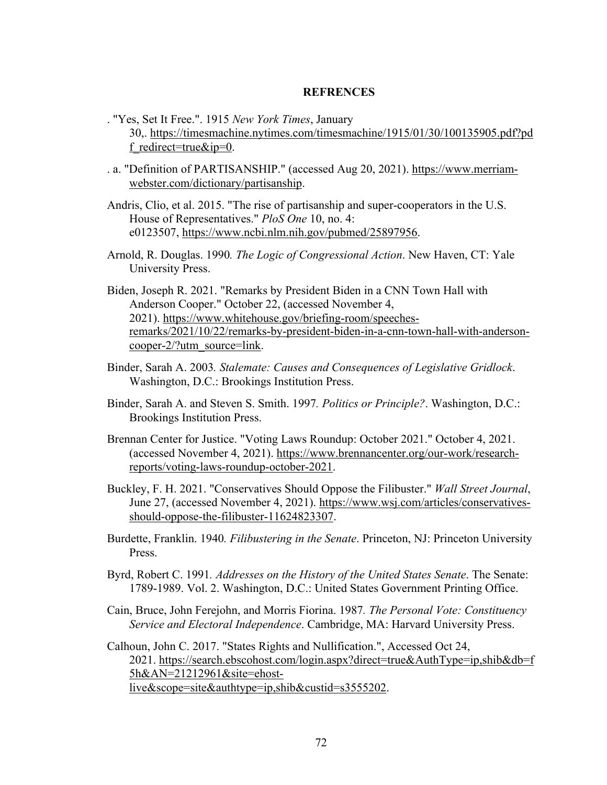# **REFRENCES**

- . "Yes, Set It Free.". 1915 *New York Times*, January 30,. https://timesmachine.nytimes.com/timesmachine/1915/01/30/100135905.pdf?pd f\_redirect=true&ip=0.
- . a. "Definition of PARTISANSHIP." (accessed Aug 20, 2021). https://www.merriamwebster.com/dictionary/partisanship.
- Andris, Clio, et al. 2015. "The rise of partisanship and super-cooperators in the U.S. House of Representatives." *PloS One* 10, no. 4: e0123507, https://www.ncbi.nlm.nih.gov/pubmed/25897956.
- Arnold, R. Douglas. 1990*. The Logic of Congressional Action*. New Haven, CT: Yale University Press.
- Biden, Joseph R. 2021. "Remarks by President Biden in a CNN Town Hall with Anderson Cooper." October 22, (accessed November 4, 2021). https://www.whitehouse.gov/briefing-room/speechesremarks/2021/10/22/remarks-by-president-biden-in-a-cnn-town-hall-with-andersoncooper-2/?utm\_source=link.
- Binder, Sarah A. 2003*. Stalemate: Causes and Consequences of Legislative Gridlock*. Washington, D.C.: Brookings Institution Press.
- Binder, Sarah A. and Steven S. Smith. 1997*. Politics or Principle?*. Washington, D.C.: Brookings Institution Press.
- Brennan Center for Justice. "Voting Laws Roundup: October 2021." October 4, 2021. (accessed November 4, 2021). https://www.brennancenter.org/our-work/researchreports/voting-laws-roundup-october-2021.
- Buckley, F. H. 2021. "Conservatives Should Oppose the Filibuster." *Wall Street Journal*, June 27, (accessed November 4, 2021). https://www.wsj.com/articles/conservativesshould-oppose-the-filibuster-11624823307.
- Burdette, Franklin. 1940*. Filibustering in the Senate*. Princeton, NJ: Princeton University Press.
- Byrd, Robert C. 1991*. Addresses on the History of the United States Senate*. The Senate: 1789-1989. Vol. 2. Washington, D.C.: United States Government Printing Office.
- Cain, Bruce, John Ferejohn, and Morris Fiorina. 1987*. The Personal Vote: Constituency Service and Electoral Independence*. Cambridge, MA: Harvard University Press.

Calhoun, John C. 2017. "States Rights and Nullification.", Accessed Oct 24, 2021. https://search.ebscohost.com/login.aspx?direct=true&AuthType=ip,shib&db=f 5h&AN=21212961&site=ehostlive&scope=site&authtype=ip,shib&custid=s3555202.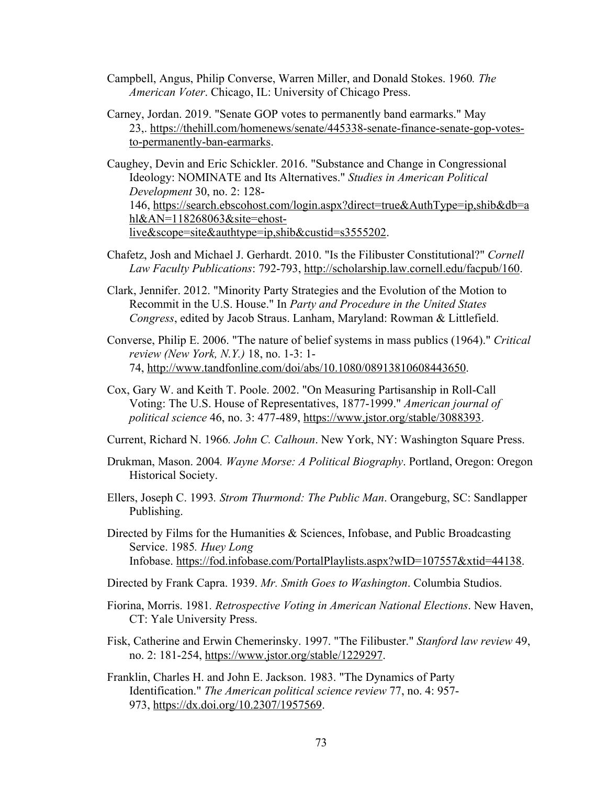- Campbell, Angus, Philip Converse, Warren Miller, and Donald Stokes. 1960*. The American Voter*. Chicago, IL: University of Chicago Press.
- Carney, Jordan. 2019. "Senate GOP votes to permanently band earmarks." May 23,. https://thehill.com/homenews/senate/445338-senate-finance-senate-gop-votesto-permanently-ban-earmarks.

Caughey, Devin and Eric Schickler. 2016. "Substance and Change in Congressional Ideology: NOMINATE and Its Alternatives." *Studies in American Political Development* 30, no. 2: 128- 146, https://search.ebscohost.com/login.aspx?direct=true&AuthType=ip,shib&db=a hl&AN=118268063&site=ehostlive&scope=site&authtype=ip,shib&custid=s3555202.

- Chafetz, Josh and Michael J. Gerhardt. 2010. "Is the Filibuster Constitutional?" *Cornell Law Faculty Publications*: 792-793, http://scholarship.law.cornell.edu/facpub/160.
- Clark, Jennifer. 2012. "Minority Party Strategies and the Evolution of the Motion to Recommit in the U.S. House." In *Party and Procedure in the United States Congress*, edited by Jacob Straus. Lanham, Maryland: Rowman & Littlefield.
- Converse, Philip E. 2006. "The nature of belief systems in mass publics (1964)." *Critical review (New York, N.Y.)* 18, no. 1-3: 1- 74, http://www.tandfonline.com/doi/abs/10.1080/08913810608443650.
- Cox, Gary W. and Keith T. Poole. 2002. "On Measuring Partisanship in Roll-Call Voting: The U.S. House of Representatives, 1877-1999." *American journal of political science* 46, no. 3: 477-489, https://www.jstor.org/stable/3088393.
- Current, Richard N. 1966*. John C. Calhoun*. New York, NY: Washington Square Press.
- Drukman, Mason. 2004*. Wayne Morse: A Political Biography*. Portland, Oregon: Oregon Historical Society.
- Ellers, Joseph C. 1993*. Strom Thurmond: The Public Man*. Orangeburg, SC: Sandlapper Publishing.
- Directed by Films for the Humanities & Sciences, Infobase, and Public Broadcasting Service. 1985*. Huey Long* Infobase. https://fod.infobase.com/PortalPlaylists.aspx?wID=107557&xtid=44138.
- Directed by Frank Capra. 1939. *Mr. Smith Goes to Washington*. Columbia Studios.
- Fiorina, Morris. 1981*. Retrospective Voting in American National Elections*. New Haven, CT: Yale University Press.
- Fisk, Catherine and Erwin Chemerinsky. 1997. "The Filibuster." *Stanford law review* 49, no. 2: 181-254, https://www.jstor.org/stable/1229297.
- Franklin, Charles H. and John E. Jackson. 1983. "The Dynamics of Party Identification." *The American political science review* 77, no. 4: 957- 973, https://dx.doi.org/10.2307/1957569.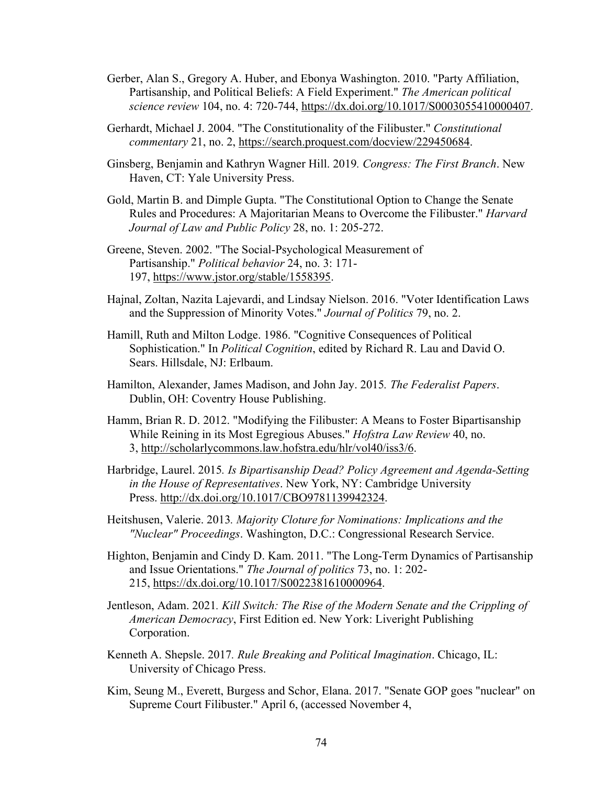- Gerber, Alan S., Gregory A. Huber, and Ebonya Washington. 2010. "Party Affiliation, Partisanship, and Political Beliefs: A Field Experiment." *The American political science review* 104, no. 4: 720-744, https://dx.doi.org/10.1017/S0003055410000407.
- Gerhardt, Michael J. 2004. "The Constitutionality of the Filibuster." *Constitutional commentary* 21, no. 2, https://search.proquest.com/docview/229450684.
- Ginsberg, Benjamin and Kathryn Wagner Hill. 2019*. Congress: The First Branch*. New Haven, CT: Yale University Press.
- Gold, Martin B. and Dimple Gupta. "The Constitutional Option to Change the Senate Rules and Procedures: A Majoritarian Means to Overcome the Filibuster." *Harvard Journal of Law and Public Policy* 28, no. 1: 205-272.
- Greene, Steven. 2002. "The Social-Psychological Measurement of Partisanship." *Political behavior* 24, no. 3: 171- 197, https://www.jstor.org/stable/1558395.
- Hajnal, Zoltan, Nazita Lajevardi, and Lindsay Nielson. 2016. "Voter Identification Laws and the Suppression of Minority Votes." *Journal of Politics* 79, no. 2.
- Hamill, Ruth and Milton Lodge. 1986. "Cognitive Consequences of Political Sophistication." In *Political Cognition*, edited by Richard R. Lau and David O. Sears. Hillsdale, NJ: Erlbaum.
- Hamilton, Alexander, James Madison, and John Jay. 2015*. The Federalist Papers*. Dublin, OH: Coventry House Publishing.
- Hamm, Brian R. D. 2012. "Modifying the Filibuster: A Means to Foster Bipartisanship While Reining in its Most Egregious Abuses." *Hofstra Law Review* 40, no. 3, http://scholarlycommons.law.hofstra.edu/hlr/vol40/iss3/6.
- Harbridge, Laurel. 2015*. Is Bipartisanship Dead? Policy Agreement and Agenda-Setting in the House of Representatives*. New York, NY: Cambridge University Press. http://dx.doi.org/10.1017/CBO9781139942324.
- Heitshusen, Valerie. 2013*. Majority Cloture for Nominations: Implications and the "Nuclear" Proceedings*. Washington, D.C.: Congressional Research Service.
- Highton, Benjamin and Cindy D. Kam. 2011. "The Long-Term Dynamics of Partisanship and Issue Orientations." *The Journal of politics* 73, no. 1: 202- 215, https://dx.doi.org/10.1017/S0022381610000964.
- Jentleson, Adam. 2021*. Kill Switch: The Rise of the Modern Senate and the Crippling of American Democracy*, First Edition ed. New York: Liveright Publishing Corporation.
- Kenneth A. Shepsle. 2017*. Rule Breaking and Political Imagination*. Chicago, IL: University of Chicago Press.
- Kim, Seung M., Everett, Burgess and Schor, Elana. 2017. "Senate GOP goes "nuclear" on Supreme Court Filibuster." April 6, (accessed November 4,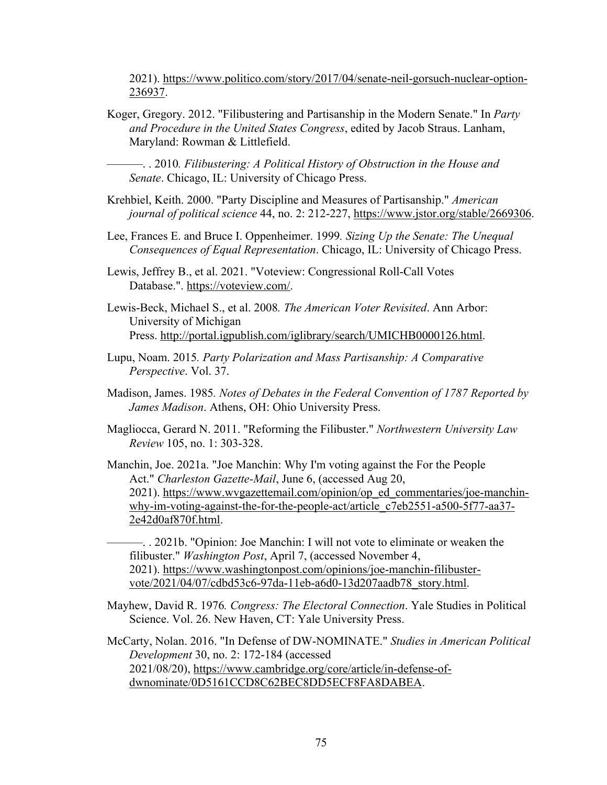2021). https://www.politico.com/story/2017/04/senate-neil-gorsuch-nuclear-option-236937.

Koger, Gregory. 2012. "Filibustering and Partisanship in the Modern Senate." In *Party and Procedure in the United States Congress*, edited by Jacob Straus. Lanham, Maryland: Rowman & Littlefield.

———. . 2010*. Filibustering: A Political History of Obstruction in the House and Senate*. Chicago, IL: University of Chicago Press.

- Krehbiel, Keith. 2000. "Party Discipline and Measures of Partisanship." *American journal of political science* 44, no. 2: 212-227, https://www.jstor.org/stable/2669306.
- Lee, Frances E. and Bruce I. Oppenheimer. 1999*. Sizing Up the Senate: The Unequal Consequences of Equal Representation*. Chicago, IL: University of Chicago Press.
- Lewis, Jeffrey B., et al. 2021. "Voteview: Congressional Roll-Call Votes Database.". https://voteview.com/.
- Lewis-Beck, Michael S., et al. 2008*. The American Voter Revisited*. Ann Arbor: University of Michigan Press. http://portal.igpublish.com/iglibrary/search/UMICHB0000126.html.
- Lupu, Noam. 2015*. Party Polarization and Mass Partisanship: A Comparative Perspective*. Vol. 37.
- Madison, James. 1985*. Notes of Debates in the Federal Convention of 1787 Reported by James Madison*. Athens, OH: Ohio University Press.
- Magliocca, Gerard N. 2011. "Reforming the Filibuster." *Northwestern University Law Review* 105, no. 1: 303-328.
- Manchin, Joe. 2021a. "Joe Manchin: Why I'm voting against the For the People Act." *Charleston Gazette-Mail*, June 6, (accessed Aug 20, 2021). https://www.wvgazettemail.com/opinion/op\_ed\_commentaries/joe-manchinwhy-im-voting-against-the-for-the-people-act/article\_c7eb2551-a500-5f77-aa37-2e42d0af870f.html.

———. . 2021b. "Opinion: Joe Manchin: I will not vote to eliminate or weaken the filibuster." *Washington Post*, April 7, (accessed November 4, 2021). https://www.washingtonpost.com/opinions/joe-manchin-filibustervote/2021/04/07/cdbd53c6-97da-11eb-a6d0-13d207aadb78\_story.html.

Mayhew, David R. 1976*. Congress: The Electoral Connection*. Yale Studies in Political Science. Vol. 26. New Haven, CT: Yale University Press.

McCarty, Nolan. 2016. "In Defense of DW-NOMINATE." *Studies in American Political Development* 30, no. 2: 172-184 (accessed 2021/08/20), https://www.cambridge.org/core/article/in-defense-ofdwnominate/0D5161CCD8C62BEC8DD5ECF8FA8DABEA.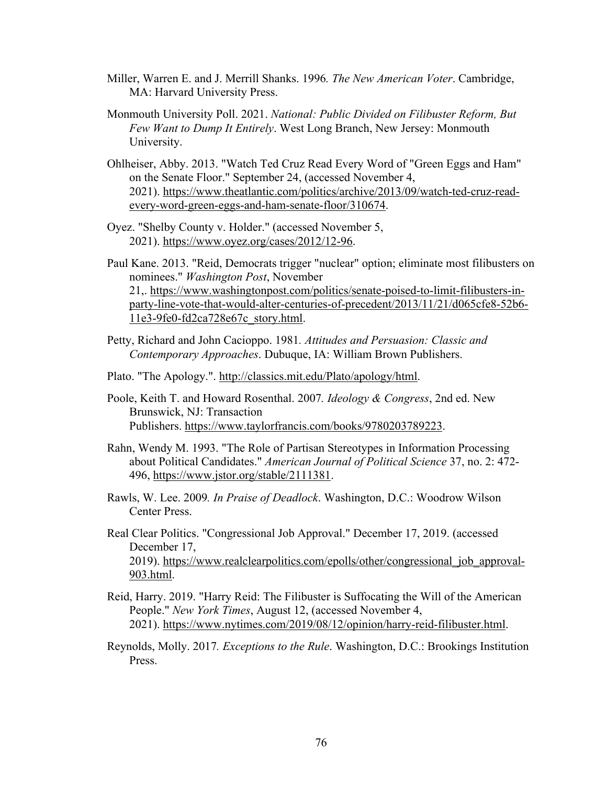- Miller, Warren E. and J. Merrill Shanks. 1996*. The New American Voter*. Cambridge, MA: Harvard University Press.
- Monmouth University Poll. 2021. *National: Public Divided on Filibuster Reform, But Few Want to Dump It Entirely*. West Long Branch, New Jersey: Monmouth University.
- Ohlheiser, Abby. 2013. "Watch Ted Cruz Read Every Word of "Green Eggs and Ham" on the Senate Floor." September 24, (accessed November 4, 2021). https://www.theatlantic.com/politics/archive/2013/09/watch-ted-cruz-readevery-word-green-eggs-and-ham-senate-floor/310674.
- Oyez. "Shelby County v. Holder." (accessed November 5, 2021). https://www.oyez.org/cases/2012/12-96.
- Paul Kane. 2013. "Reid, Democrats trigger "nuclear" option; eliminate most filibusters on nominees." *Washington Post*, November 21,. https://www.washingtonpost.com/politics/senate-poised-to-limit-filibusters-inparty-line-vote-that-would-alter-centuries-of-precedent/2013/11/21/d065cfe8-52b6- 11e3-9fe0-fd2ca728e67c\_story.html.
- Petty, Richard and John Cacioppo. 1981*. Attitudes and Persuasion: Classic and Contemporary Approaches*. Dubuque, IA: William Brown Publishers.
- Plato. "The Apology.". http://classics.mit.edu/Plato/apology/html.
- Poole, Keith T. and Howard Rosenthal. 2007*. Ideology & Congress*, 2nd ed. New Brunswick, NJ: Transaction Publishers. https://www.taylorfrancis.com/books/9780203789223.
- Rahn, Wendy M. 1993. "The Role of Partisan Stereotypes in Information Processing about Political Candidates." *American Journal of Political Science* 37, no. 2: 472- 496, https://www.jstor.org/stable/2111381.
- Rawls, W. Lee. 2009*. In Praise of Deadlock*. Washington, D.C.: Woodrow Wilson Center Press.
- Real Clear Politics. "Congressional Job Approval." December 17, 2019. (accessed December 17, 2019). https://www.realclearpolitics.com/epolls/other/congressional job approval-903.html.
- Reid, Harry. 2019. "Harry Reid: The Filibuster is Suffocating the Will of the American People." *New York Times*, August 12, (accessed November 4, 2021). https://www.nytimes.com/2019/08/12/opinion/harry-reid-filibuster.html.
- Reynolds, Molly. 2017*. Exceptions to the Rule*. Washington, D.C.: Brookings Institution Press.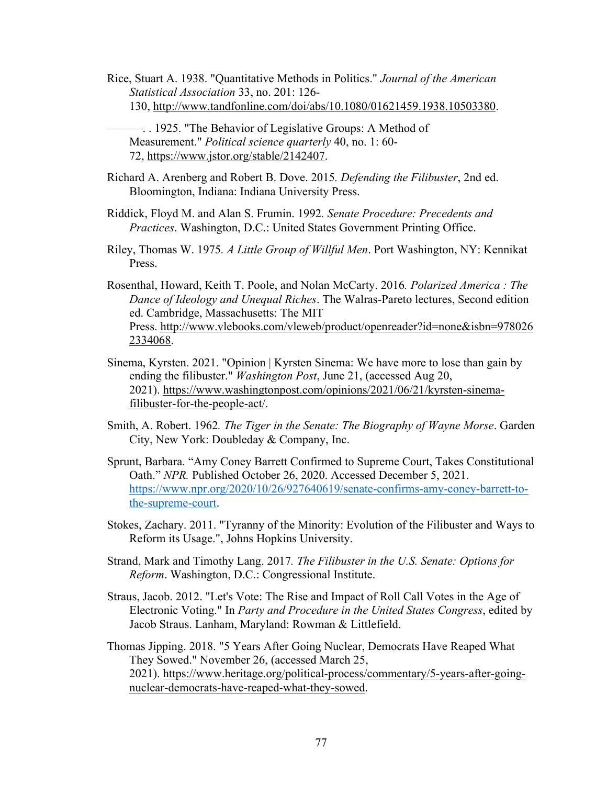Rice, Stuart A. 1938. "Quantitative Methods in Politics." *Journal of the American Statistical Association* 33, no. 201: 126- 130, http://www.tandfonline.com/doi/abs/10.1080/01621459.1938.10503380.

———. . 1925. "The Behavior of Legislative Groups: A Method of Measurement." *Political science quarterly* 40, no. 1: 60- 72, https://www.jstor.org/stable/2142407.

- Richard A. Arenberg and Robert B. Dove. 2015*. Defending the Filibuster*, 2nd ed. Bloomington, Indiana: Indiana University Press.
- Riddick, Floyd M. and Alan S. Frumin. 1992*. Senate Procedure: Precedents and Practices*. Washington, D.C.: United States Government Printing Office.
- Riley, Thomas W. 1975*. A Little Group of Willful Men*. Port Washington, NY: Kennikat Press.
- Rosenthal, Howard, Keith T. Poole, and Nolan McCarty. 2016*. Polarized America : The Dance of Ideology and Unequal Riches*. The Walras-Pareto lectures, Second edition ed. Cambridge, Massachusetts: The MIT Press. http://www.vlebooks.com/vleweb/product/openreader?id=none&isbn=978026 2334068.
- Sinema, Kyrsten. 2021. "Opinion | Kyrsten Sinema: We have more to lose than gain by ending the filibuster." *Washington Post*, June 21, (accessed Aug 20, 2021). https://www.washingtonpost.com/opinions/2021/06/21/kyrsten-sinemafilibuster-for-the-people-act/.
- Smith, A. Robert. 1962*. The Tiger in the Senate: The Biography of Wayne Morse*. Garden City, New York: Doubleday & Company, Inc.
- Sprunt, Barbara. "Amy Coney Barrett Confirmed to Supreme Court, Takes Constitutional Oath." *NPR.* Published October 26, 2020. Accessed December 5, 2021. https://www.npr.org/2020/10/26/927640619/senate-confirms-amy-coney-barrett-tothe-supreme-court.
- Stokes, Zachary. 2011. "Tyranny of the Minority: Evolution of the Filibuster and Ways to Reform its Usage.", Johns Hopkins University.
- Strand, Mark and Timothy Lang. 2017*. The Filibuster in the U.S. Senate: Options for Reform*. Washington, D.C.: Congressional Institute.
- Straus, Jacob. 2012. "Let's Vote: The Rise and Impact of Roll Call Votes in the Age of Electronic Voting." In *Party and Procedure in the United States Congress*, edited by Jacob Straus. Lanham, Maryland: Rowman & Littlefield.

Thomas Jipping. 2018. "5 Years After Going Nuclear, Democrats Have Reaped What They Sowed." November 26, (accessed March 25, 2021). https://www.heritage.org/political-process/commentary/5-years-after-goingnuclear-democrats-have-reaped-what-they-sowed.